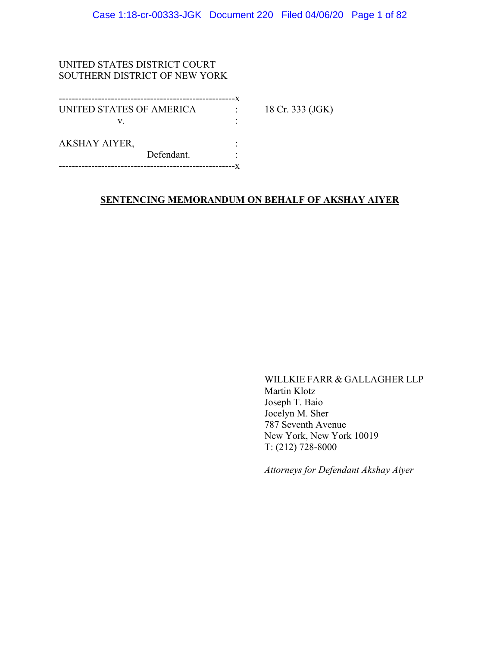## UNITED STATES DISTRICT COURT SOUTHERN DISTRICT OF NEW YORK

| UNITED STATES OF AMERICA |            | 18 Cr. 333 (JGK) |
|--------------------------|------------|------------------|
| V                        |            |                  |
| <b>AKSHAY AIYER,</b>     |            |                  |
|                          | Defendant. |                  |
|                          |            |                  |

## **SENTENCING MEMORANDUM ON BEHALF OF AKSHAY AIYER**

WILLKIE FARR & GALLAGHER LLP Martin Klotz Joseph T. Baio Jocelyn M. Sher 787 Seventh Avenue New York, New York 10019 T: (212) 728-8000

*Attorneys for Defendant Akshay Aiyer*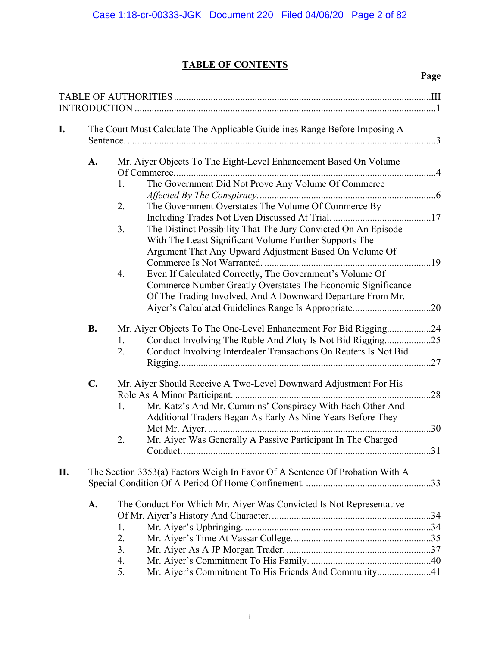**Page** 

## **TABLE OF CONTENTS**

| I.  |               | The Court Must Calculate The Applicable Guidelines Range Before Imposing A                                                                                                                                     |     |
|-----|---------------|----------------------------------------------------------------------------------------------------------------------------------------------------------------------------------------------------------------|-----|
|     | A.            | Mr. Aiyer Objects To The Eight-Level Enhancement Based On Volume                                                                                                                                               |     |
|     |               | The Government Did Not Prove Any Volume Of Commerce<br>1.                                                                                                                                                      |     |
|     |               | The Government Overstates The Volume Of Commerce By<br>2.                                                                                                                                                      |     |
|     |               | 3.<br>The Distinct Possibility That The Jury Convicted On An Episode<br>With The Least Significant Volume Further Supports The<br>Argument That Any Upward Adjustment Based On Volume Of                       |     |
|     |               | Even If Calculated Correctly, The Government's Volume Of<br>4.<br>Commerce Number Greatly Overstates The Economic Significance<br>Of The Trading Involved, And A Downward Departure From Mr.                   |     |
|     |               |                                                                                                                                                                                                                |     |
|     | <b>B.</b>     | Mr. Aiyer Objects To The One-Level Enhancement For Bid Rigging24<br>Conduct Involving The Ruble And Zloty Is Not Bid Rigging25<br>1.<br>Conduct Involving Interdealer Transactions On Reuters Is Not Bid<br>2. |     |
|     |               |                                                                                                                                                                                                                | .27 |
|     | $C_{\bullet}$ | Mr. Aiyer Should Receive A Two-Level Downward Adjustment For His                                                                                                                                               | .28 |
|     |               | Mr. Katz's And Mr. Cummins' Conspiracy With Each Other And<br>1.<br>Additional Traders Began As Early As Nine Years Before They                                                                                |     |
|     |               | Mr. Aiyer Was Generally A Passive Participant In The Charged<br>2.                                                                                                                                             | .30 |
|     |               |                                                                                                                                                                                                                |     |
| II. |               | The Section 3353(a) Factors Weigh In Favor Of A Sentence Of Probation With A                                                                                                                                   |     |
|     | A.            | The Conduct For Which Mr. Aiyer Was Convicted Is Not Representative                                                                                                                                            |     |
|     |               | 1.                                                                                                                                                                                                             |     |
|     |               | 2.                                                                                                                                                                                                             |     |
|     |               | 3.                                                                                                                                                                                                             |     |
|     |               | 4.                                                                                                                                                                                                             |     |
|     |               | 5.<br>Mr. Aiyer's Commitment To His Friends And Community41                                                                                                                                                    |     |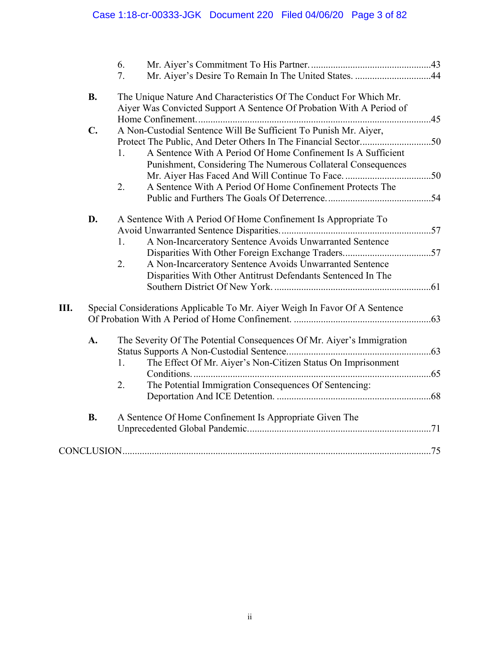|           |               | 6. |                                                                             |  |
|-----------|---------------|----|-----------------------------------------------------------------------------|--|
|           |               | 7. | Mr. Aiyer's Desire To Remain In The United States. 44                       |  |
| <b>B.</b> |               |    | The Unique Nature And Characteristics Of The Conduct For Which Mr.          |  |
|           |               |    | Aiyer Was Convicted Support A Sentence Of Probation With A Period of        |  |
|           |               |    |                                                                             |  |
|           | $C_{\bullet}$ |    | A Non-Custodial Sentence Will Be Sufficient To Punish Mr. Aiyer,            |  |
|           |               |    | A Sentence With A Period Of Home Confinement Is A Sufficient                |  |
|           |               | 1. |                                                                             |  |
|           |               |    | Punishment, Considering The Numerous Collateral Consequences                |  |
|           |               | 2. | A Sentence With A Period Of Home Confinement Protects The                   |  |
|           |               |    |                                                                             |  |
|           |               |    |                                                                             |  |
|           | D.            |    | A Sentence With A Period Of Home Confinement Is Appropriate To              |  |
|           |               |    |                                                                             |  |
|           |               | 1. | A Non-Incarceratory Sentence Avoids Unwarranted Sentence                    |  |
|           |               |    |                                                                             |  |
|           |               | 2. | A Non-Incarceratory Sentence Avoids Unwarranted Sentence                    |  |
|           |               |    | Disparities With Other Antitrust Defendants Sentenced In The                |  |
|           |               |    |                                                                             |  |
| Ш.        |               |    |                                                                             |  |
|           |               |    | Special Considerations Applicable To Mr. Aiyer Weigh In Favor Of A Sentence |  |
|           |               |    |                                                                             |  |
|           | A.            |    | The Severity Of The Potential Consequences Of Mr. Aiyer's Immigration       |  |
|           |               |    |                                                                             |  |
|           |               | 1. | The Effect Of Mr. Aiyer's Non-Citizen Status On Imprisonment                |  |
|           |               |    |                                                                             |  |
|           |               | 2. | The Potential Immigration Consequences Of Sentencing:                       |  |
|           |               |    |                                                                             |  |
|           | <b>B.</b>     |    | A Sentence Of Home Confinement Is Appropriate Given The                     |  |
|           |               |    |                                                                             |  |
|           |               |    |                                                                             |  |
|           |               |    |                                                                             |  |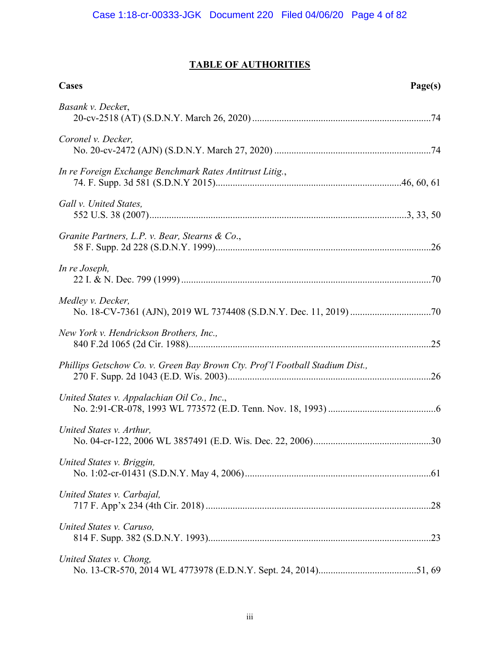## **TABLE OF AUTHORITIES**

| <b>Cases</b>                                                                 | Page(s) |
|------------------------------------------------------------------------------|---------|
| Basank v. Decker,                                                            |         |
| Coronel v. Decker,                                                           |         |
| In re Foreign Exchange Benchmark Rates Antitrust Litig.,                     |         |
| Gall v. United States,                                                       |         |
| Granite Partners, L.P. v. Bear, Stearns & Co.,                               |         |
| In re Joseph,                                                                |         |
| Medley v. Decker,                                                            |         |
| New York v. Hendrickson Brothers, Inc.,                                      |         |
| Phillips Getschow Co. v. Green Bay Brown Cty. Prof'l Football Stadium Dist., |         |
| United States v. Appalachian Oil Co., Inc.,                                  |         |
| United States v. Arthur,                                                     |         |
| United States v. Briggin,                                                    |         |
| United States v. Carbajal,                                                   |         |
| United States v. Caruso,                                                     |         |
| United States v. Chong,                                                      |         |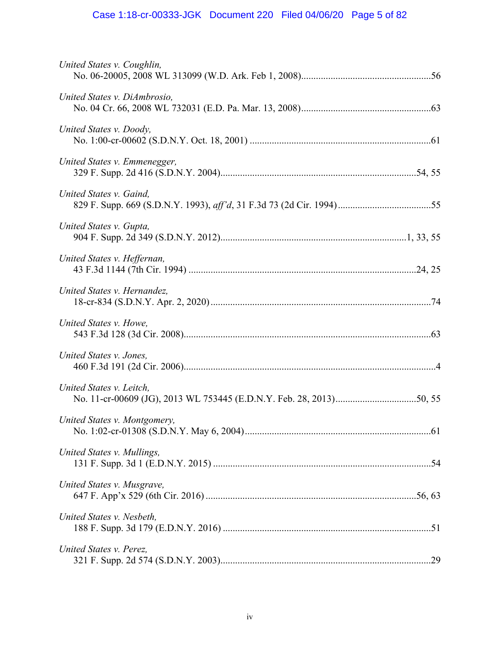# Case 1:18-cr-00333-JGK Document 220 Filed 04/06/20 Page 5 of 82

| United States v. Coughlin,   |  |
|------------------------------|--|
| United States v. DiAmbrosio, |  |
| United States v. Doody,      |  |
| United States v. Emmenegger, |  |
| United States v. Gaind,      |  |
| United States v. Gupta,      |  |
| United States v. Heffernan,  |  |
| United States v. Hernandez,  |  |
| United States v. Howe,       |  |
| United States v. Jones,      |  |
| United States v. Leitch,     |  |
| United States v. Montgomery, |  |
| United States v. Mullings,   |  |
| United States v. Musgrave,   |  |
| United States v. Nesbeth,    |  |
| United States v. Perez,      |  |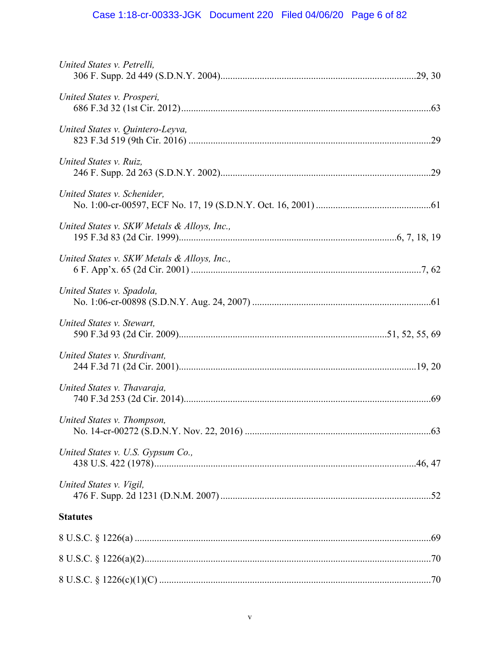# Case 1:18-cr-00333-JGK Document 220 Filed 04/06/20 Page 6 of 82

| United States v. Petrelli,                  |  |
|---------------------------------------------|--|
| United States v. Prosperi,                  |  |
| United States v. Quintero-Leyva,            |  |
| United States v. Ruiz,                      |  |
| United States v. Schenider,                 |  |
| United States v. SKW Metals & Alloys, Inc., |  |
| United States v. SKW Metals & Alloys, Inc., |  |
| United States v. Spadola,                   |  |
| United States v. Stewart,                   |  |
| United States v. Sturdivant,                |  |
| United States v. Thavaraja,                 |  |
| United States v. Thompson,                  |  |
| United States v. U.S. Gypsum Co.,           |  |
|                                             |  |
| United States v. Vigil,                     |  |
| <b>Statutes</b>                             |  |
|                                             |  |
|                                             |  |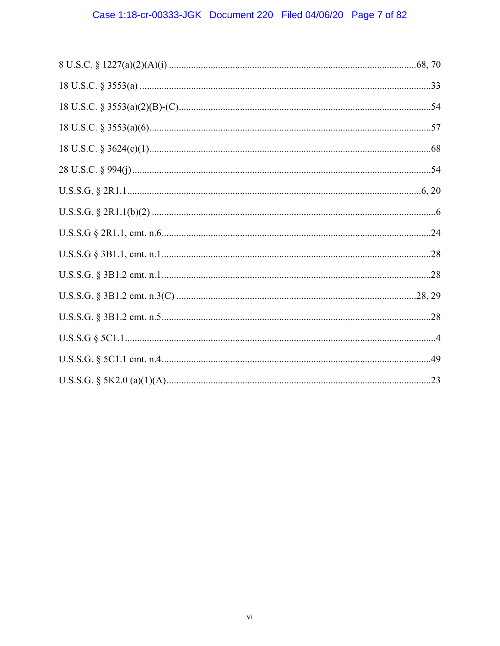# Case 1:18-cr-00333-JGK Document 220 Filed 04/06/20 Page 7 of 82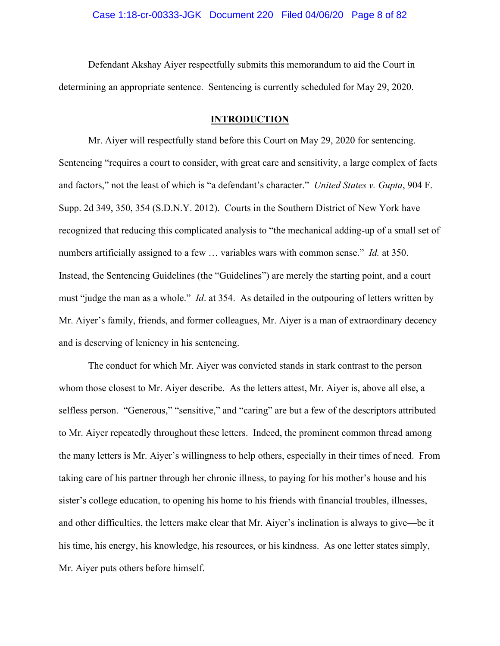Defendant Akshay Aiyer respectfully submits this memorandum to aid the Court in determining an appropriate sentence. Sentencing is currently scheduled for May 29, 2020.

#### **INTRODUCTION**

Mr. Aiyer will respectfully stand before this Court on May 29, 2020 for sentencing. Sentencing "requires a court to consider, with great care and sensitivity, a large complex of facts and factors," not the least of which is "a defendant's character." *United States v. Gupta*, 904 F. Supp. 2d 349, 350, 354 (S.D.N.Y. 2012). Courts in the Southern District of New York have recognized that reducing this complicated analysis to "the mechanical adding-up of a small set of numbers artificially assigned to a few … variables wars with common sense." *Id.* at 350. Instead, the Sentencing Guidelines (the "Guidelines") are merely the starting point, and a court must "judge the man as a whole." *Id*. at 354. As detailed in the outpouring of letters written by Mr. Aiyer's family, friends, and former colleagues, Mr. Aiyer is a man of extraordinary decency and is deserving of leniency in his sentencing.

The conduct for which Mr. Aiyer was convicted stands in stark contrast to the person whom those closest to Mr. Aiyer describe. As the letters attest, Mr. Aiyer is, above all else, a selfless person. "Generous," "sensitive," and "caring" are but a few of the descriptors attributed to Mr. Aiyer repeatedly throughout these letters. Indeed, the prominent common thread among the many letters is Mr. Aiyer's willingness to help others, especially in their times of need. From taking care of his partner through her chronic illness, to paying for his mother's house and his sister's college education, to opening his home to his friends with financial troubles, illnesses, and other difficulties, the letters make clear that Mr. Aiyer's inclination is always to give—be it his time, his energy, his knowledge, his resources, or his kindness. As one letter states simply, Mr. Aiyer puts others before himself.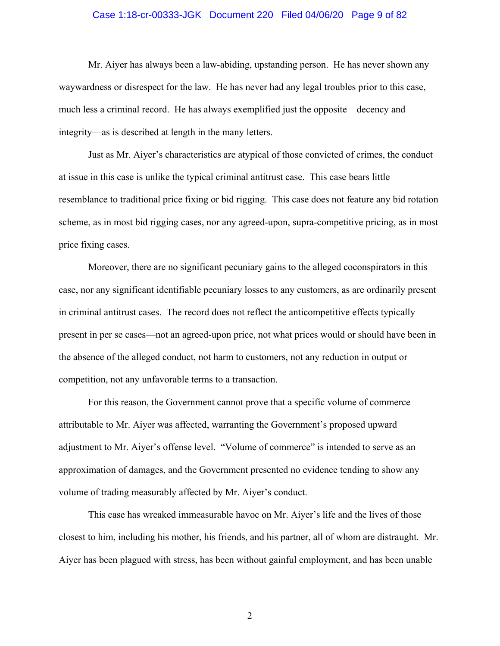#### Case 1:18-cr-00333-JGK Document 220 Filed 04/06/20 Page 9 of 82

Mr. Aiyer has always been a law-abiding, upstanding person. He has never shown any waywardness or disrespect for the law. He has never had any legal troubles prior to this case, much less a criminal record. He has always exemplified just the opposite—decency and integrity—as is described at length in the many letters.

Just as Mr. Aiyer's characteristics are atypical of those convicted of crimes, the conduct at issue in this case is unlike the typical criminal antitrust case. This case bears little resemblance to traditional price fixing or bid rigging. This case does not feature any bid rotation scheme, as in most bid rigging cases, nor any agreed-upon, supra-competitive pricing, as in most price fixing cases.

Moreover, there are no significant pecuniary gains to the alleged coconspirators in this case, nor any significant identifiable pecuniary losses to any customers, as are ordinarily present in criminal antitrust cases. The record does not reflect the anticompetitive effects typically present in per se cases—not an agreed-upon price, not what prices would or should have been in the absence of the alleged conduct, not harm to customers, not any reduction in output or competition, not any unfavorable terms to a transaction.

For this reason, the Government cannot prove that a specific volume of commerce attributable to Mr. Aiyer was affected, warranting the Government's proposed upward adjustment to Mr. Aiyer's offense level. "Volume of commerce" is intended to serve as an approximation of damages, and the Government presented no evidence tending to show any volume of trading measurably affected by Mr. Aiyer's conduct.

This case has wreaked immeasurable havoc on Mr. Aiyer's life and the lives of those closest to him, including his mother, his friends, and his partner, all of whom are distraught. Mr. Aiyer has been plagued with stress, has been without gainful employment, and has been unable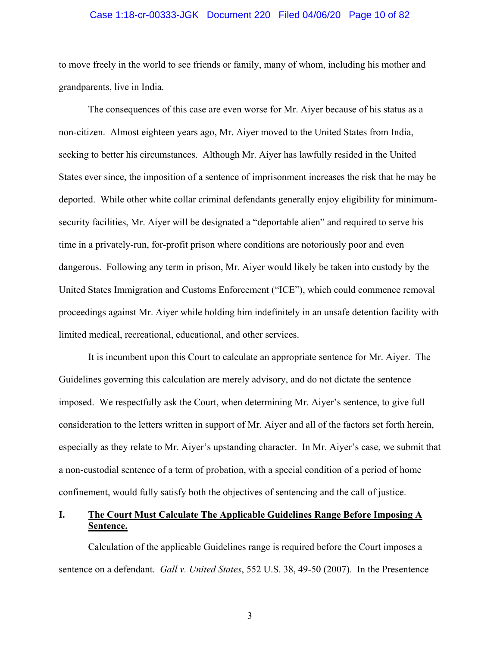#### Case 1:18-cr-00333-JGK Document 220 Filed 04/06/20 Page 10 of 82

to move freely in the world to see friends or family, many of whom, including his mother and grandparents, live in India.

The consequences of this case are even worse for Mr. Aiyer because of his status as a non-citizen. Almost eighteen years ago, Mr. Aiyer moved to the United States from India, seeking to better his circumstances. Although Mr. Aiyer has lawfully resided in the United States ever since, the imposition of a sentence of imprisonment increases the risk that he may be deported. While other white collar criminal defendants generally enjoy eligibility for minimumsecurity facilities, Mr. Aiyer will be designated a "deportable alien" and required to serve his time in a privately-run, for-profit prison where conditions are notoriously poor and even dangerous. Following any term in prison, Mr. Aiyer would likely be taken into custody by the United States Immigration and Customs Enforcement ("ICE"), which could commence removal proceedings against Mr. Aiyer while holding him indefinitely in an unsafe detention facility with limited medical, recreational, educational, and other services.

It is incumbent upon this Court to calculate an appropriate sentence for Mr. Aiyer. The Guidelines governing this calculation are merely advisory, and do not dictate the sentence imposed. We respectfully ask the Court, when determining Mr. Aiyer's sentence, to give full consideration to the letters written in support of Mr. Aiyer and all of the factors set forth herein, especially as they relate to Mr. Aiyer's upstanding character. In Mr. Aiyer's case, we submit that a non-custodial sentence of a term of probation, with a special condition of a period of home confinement, would fully satisfy both the objectives of sentencing and the call of justice.

## **I. The Court Must Calculate The Applicable Guidelines Range Before Imposing A Sentence.**

Calculation of the applicable Guidelines range is required before the Court imposes a sentence on a defendant. *Gall v. United States*, 552 U.S. 38, 49-50 (2007). In the Presentence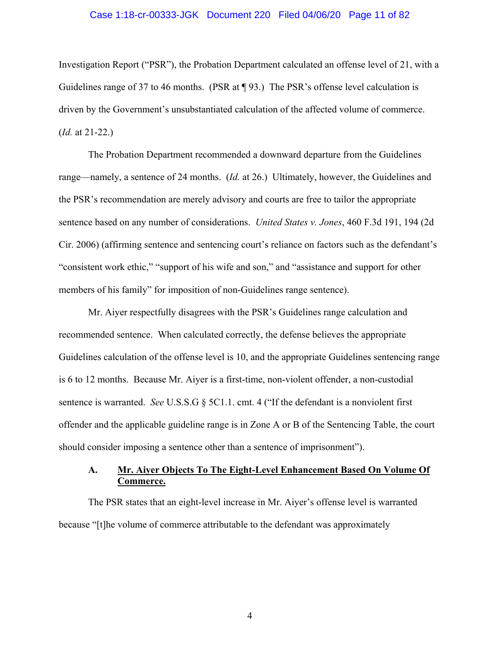#### Case 1:18-cr-00333-JGK Document 220 Filed 04/06/20 Page 11 of 82

Investigation Report ("PSR"), the Probation Department calculated an offense level of 21, with a Guidelines range of 37 to 46 months. (PSR at ¶ 93.) The PSR's offense level calculation is driven by the Government's unsubstantiated calculation of the affected volume of commerce. (*Id.* at 21-22.)

The Probation Department recommended a downward departure from the Guidelines range—namely, a sentence of 24 months. (*Id.* at 26.) Ultimately, however, the Guidelines and the PSR's recommendation are merely advisory and courts are free to tailor the appropriate sentence based on any number of considerations. *United States v. Jones*, 460 F.3d 191, 194 (2d Cir. 2006) (affirming sentence and sentencing court's reliance on factors such as the defendant's "consistent work ethic," "support of his wife and son," and "assistance and support for other members of his family" for imposition of non-Guidelines range sentence).

Mr. Aiyer respectfully disagrees with the PSR's Guidelines range calculation and recommended sentence. When calculated correctly, the defense believes the appropriate Guidelines calculation of the offense level is 10, and the appropriate Guidelines sentencing range is 6 to 12 months. Because Mr. Aiyer is a first-time, non-violent offender, a non-custodial sentence is warranted. *See* U.S.S.G § 5C1.1. cmt. 4 ("If the defendant is a nonviolent first offender and the applicable guideline range is in Zone A or B of the Sentencing Table, the court should consider imposing a sentence other than a sentence of imprisonment").

## **A. Mr. Aiyer Objects To The Eight-Level Enhancement Based On Volume Of Commerce.**

The PSR states that an eight-level increase in Mr. Aiyer's offense level is warranted because "[t]he volume of commerce attributable to the defendant was approximately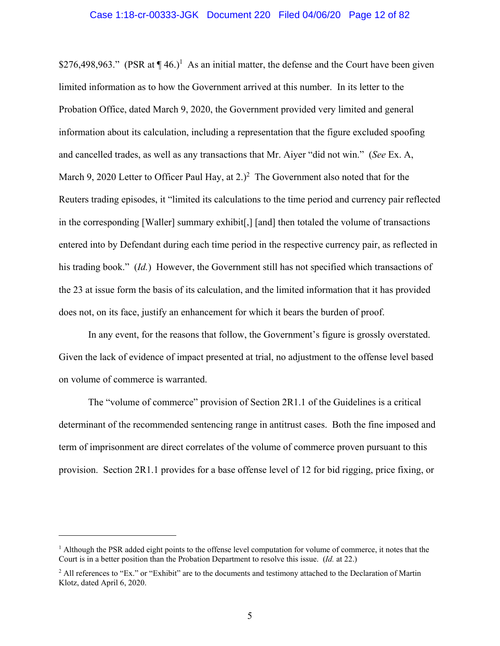\$276,498,963." (PSR at  $\P$ 46.)<sup>1</sup> As an initial matter, the defense and the Court have been given limited information as to how the Government arrived at this number. In its letter to the Probation Office, dated March 9, 2020, the Government provided very limited and general information about its calculation, including a representation that the figure excluded spoofing and cancelled trades, as well as any transactions that Mr. Aiyer "did not win." (*See* Ex. A, March 9, 2020 Letter to Officer Paul Hay, at  $2.<sup>2</sup>$  The Government also noted that for the Reuters trading episodes, it "limited its calculations to the time period and currency pair reflected in the corresponding [Waller] summary exhibit[,] [and] then totaled the volume of transactions entered into by Defendant during each time period in the respective currency pair, as reflected in his trading book." (*Id.*) However, the Government still has not specified which transactions of the 23 at issue form the basis of its calculation, and the limited information that it has provided does not, on its face, justify an enhancement for which it bears the burden of proof.

In any event, for the reasons that follow, the Government's figure is grossly overstated. Given the lack of evidence of impact presented at trial, no adjustment to the offense level based on volume of commerce is warranted.

The "volume of commerce" provision of Section 2R1.1 of the Guidelines is a critical determinant of the recommended sentencing range in antitrust cases. Both the fine imposed and term of imprisonment are direct correlates of the volume of commerce proven pursuant to this provision. Section 2R1.1 provides for a base offense level of 12 for bid rigging, price fixing, or

 $\overline{a}$ 

<sup>&</sup>lt;sup>1</sup> Although the PSR added eight points to the offense level computation for volume of commerce, it notes that the Court is in a better position than the Probation Department to resolve this issue. (*Id.* at 22.)

<sup>&</sup>lt;sup>2</sup> All references to "Ex." or "Exhibit" are to the documents and testimony attached to the Declaration of Martin Klotz, dated April 6, 2020.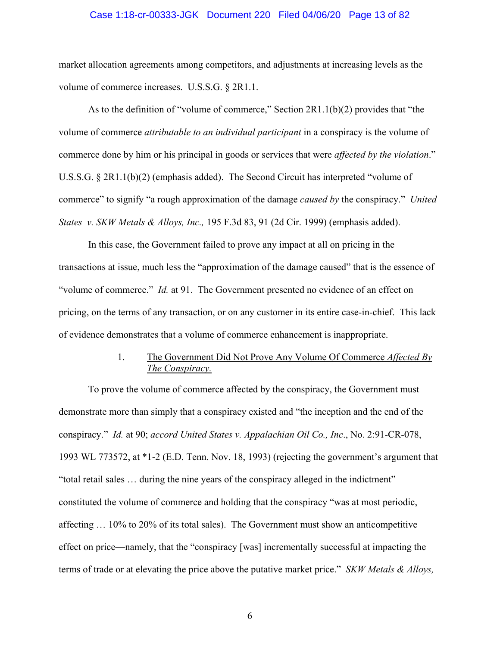#### Case 1:18-cr-00333-JGK Document 220 Filed 04/06/20 Page 13 of 82

market allocation agreements among competitors, and adjustments at increasing levels as the volume of commerce increases. U.S.S.G. § 2R1.1.

As to the definition of "volume of commerce," Section 2R1.1(b)(2) provides that "the volume of commerce *attributable to an individual participant* in a conspiracy is the volume of commerce done by him or his principal in goods or services that were *affected by the violation*." U.S.S.G. § 2R1.1(b)(2) (emphasis added). The Second Circuit has interpreted "volume of commerce" to signify "a rough approximation of the damage *caused by* the conspiracy." *United States v. SKW Metals & Alloys, Inc.,* 195 F.3d 83, 91 (2d Cir. 1999) (emphasis added).

In this case, the Government failed to prove any impact at all on pricing in the transactions at issue, much less the "approximation of the damage caused" that is the essence of "volume of commerce." *Id.* at 91. The Government presented no evidence of an effect on pricing, on the terms of any transaction, or on any customer in its entire case-in-chief. This lack of evidence demonstrates that a volume of commerce enhancement is inappropriate.

## 1. The Government Did Not Prove Any Volume Of Commerce *Affected By The Conspiracy.*

To prove the volume of commerce affected by the conspiracy, the Government must demonstrate more than simply that a conspiracy existed and "the inception and the end of the conspiracy." *Id.* at 90; *accord United States v. Appalachian Oil Co., Inc*., No. 2:91-CR-078, 1993 WL 773572, at \*1-2 (E.D. Tenn. Nov. 18, 1993) (rejecting the government's argument that "total retail sales … during the nine years of the conspiracy alleged in the indictment" constituted the volume of commerce and holding that the conspiracy "was at most periodic, affecting … 10% to 20% of its total sales). The Government must show an anticompetitive effect on price—namely, that the "conspiracy [was] incrementally successful at impacting the terms of trade or at elevating the price above the putative market price." *SKW Metals & Alloys,*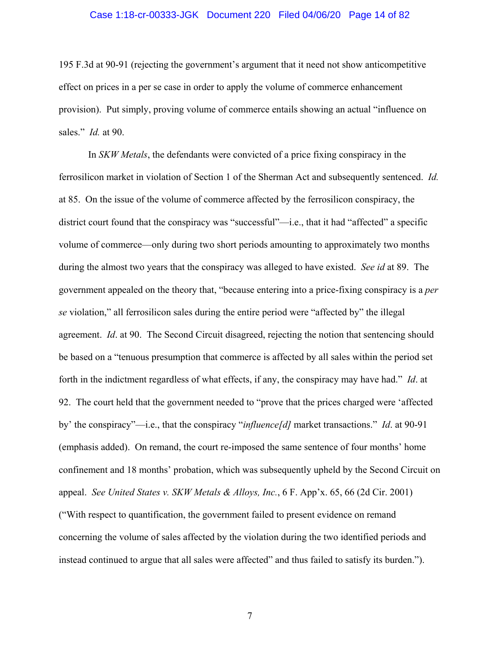#### Case 1:18-cr-00333-JGK Document 220 Filed 04/06/20 Page 14 of 82

195 F.3d at 90-91 (rejecting the government's argument that it need not show anticompetitive effect on prices in a per se case in order to apply the volume of commerce enhancement provision). Put simply, proving volume of commerce entails showing an actual "influence on sales." *Id.* at 90.

In *SKW Metals*, the defendants were convicted of a price fixing conspiracy in the ferrosilicon market in violation of Section 1 of the Sherman Act and subsequently sentenced. *Id.* at 85. On the issue of the volume of commerce affected by the ferrosilicon conspiracy, the district court found that the conspiracy was "successful"—i.e., that it had "affected" a specific volume of commerce—only during two short periods amounting to approximately two months during the almost two years that the conspiracy was alleged to have existed. *See id* at 89. The government appealed on the theory that, "because entering into a price-fixing conspiracy is a *per se* violation," all ferrosilicon sales during the entire period were "affected by" the illegal agreement. *Id*. at 90. The Second Circuit disagreed, rejecting the notion that sentencing should be based on a "tenuous presumption that commerce is affected by all sales within the period set forth in the indictment regardless of what effects, if any, the conspiracy may have had." *Id*. at 92. The court held that the government needed to "prove that the prices charged were 'affected by' the conspiracy"—i.e., that the conspiracy "*influence[d]* market transactions." *Id*. at 90-91 (emphasis added). On remand, the court re-imposed the same sentence of four months' home confinement and 18 months' probation, which was subsequently upheld by the Second Circuit on appeal. *See United States v. SKW Metals & Alloys, Inc.*, 6 F. App'x. 65, 66 (2d Cir. 2001) ("With respect to quantification, the government failed to present evidence on remand concerning the volume of sales affected by the violation during the two identified periods and instead continued to argue that all sales were affected" and thus failed to satisfy its burden.").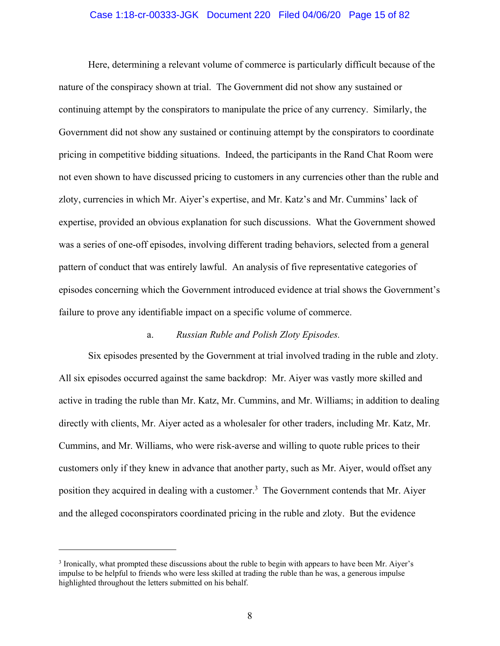#### Case 1:18-cr-00333-JGK Document 220 Filed 04/06/20 Page 15 of 82

Here, determining a relevant volume of commerce is particularly difficult because of the nature of the conspiracy shown at trial. The Government did not show any sustained or continuing attempt by the conspirators to manipulate the price of any currency. Similarly, the Government did not show any sustained or continuing attempt by the conspirators to coordinate pricing in competitive bidding situations. Indeed, the participants in the Rand Chat Room were not even shown to have discussed pricing to customers in any currencies other than the ruble and zloty, currencies in which Mr. Aiyer's expertise, and Mr. Katz's and Mr. Cummins' lack of expertise, provided an obvious explanation for such discussions. What the Government showed was a series of one-off episodes, involving different trading behaviors, selected from a general pattern of conduct that was entirely lawful. An analysis of five representative categories of episodes concerning which the Government introduced evidence at trial shows the Government's failure to prove any identifiable impact on a specific volume of commerce.

#### a. *Russian Ruble and Polish Zloty Episodes.*

Six episodes presented by the Government at trial involved trading in the ruble and zloty. All six episodes occurred against the same backdrop: Mr. Aiyer was vastly more skilled and active in trading the ruble than Mr. Katz, Mr. Cummins, and Mr. Williams; in addition to dealing directly with clients, Mr. Aiyer acted as a wholesaler for other traders, including Mr. Katz, Mr. Cummins, and Mr. Williams, who were risk-averse and willing to quote ruble prices to their customers only if they knew in advance that another party, such as Mr. Aiyer, would offset any position they acquired in dealing with a customer.<sup>3</sup> The Government contends that Mr. Aiyer and the alleged coconspirators coordinated pricing in the ruble and zloty. But the evidence

 $\overline{a}$ 

<sup>&</sup>lt;sup>3</sup> Ironically, what prompted these discussions about the ruble to begin with appears to have been Mr. Aiyer's impulse to be helpful to friends who were less skilled at trading the ruble than he was, a generous impulse highlighted throughout the letters submitted on his behalf.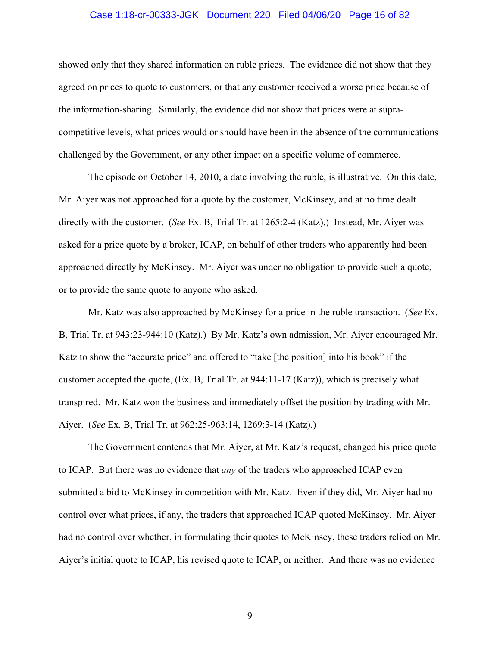#### Case 1:18-cr-00333-JGK Document 220 Filed 04/06/20 Page 16 of 82

showed only that they shared information on ruble prices. The evidence did not show that they agreed on prices to quote to customers, or that any customer received a worse price because of the information-sharing. Similarly, the evidence did not show that prices were at supracompetitive levels, what prices would or should have been in the absence of the communications challenged by the Government, or any other impact on a specific volume of commerce.

The episode on October 14, 2010, a date involving the ruble, is illustrative. On this date, Mr. Aiyer was not approached for a quote by the customer, McKinsey, and at no time dealt directly with the customer. (*See* Ex. B, Trial Tr. at 1265:2-4 (Katz).) Instead, Mr. Aiyer was asked for a price quote by a broker, ICAP, on behalf of other traders who apparently had been approached directly by McKinsey. Mr. Aiyer was under no obligation to provide such a quote, or to provide the same quote to anyone who asked.

Mr. Katz was also approached by McKinsey for a price in the ruble transaction. (*See* Ex. B, Trial Tr. at 943:23-944:10 (Katz).) By Mr. Katz's own admission, Mr. Aiyer encouraged Mr. Katz to show the "accurate price" and offered to "take [the position] into his book" if the customer accepted the quote, (Ex. B, Trial Tr. at 944:11-17 (Katz)), which is precisely what transpired. Mr. Katz won the business and immediately offset the position by trading with Mr. Aiyer. (*See* Ex. B, Trial Tr. at 962:25-963:14, 1269:3-14 (Katz).)

The Government contends that Mr. Aiyer, at Mr. Katz's request, changed his price quote to ICAP. But there was no evidence that *any* of the traders who approached ICAP even submitted a bid to McKinsey in competition with Mr. Katz. Even if they did, Mr. Aiyer had no control over what prices, if any, the traders that approached ICAP quoted McKinsey. Mr. Aiyer had no control over whether, in formulating their quotes to McKinsey, these traders relied on Mr. Aiyer's initial quote to ICAP, his revised quote to ICAP, or neither. And there was no evidence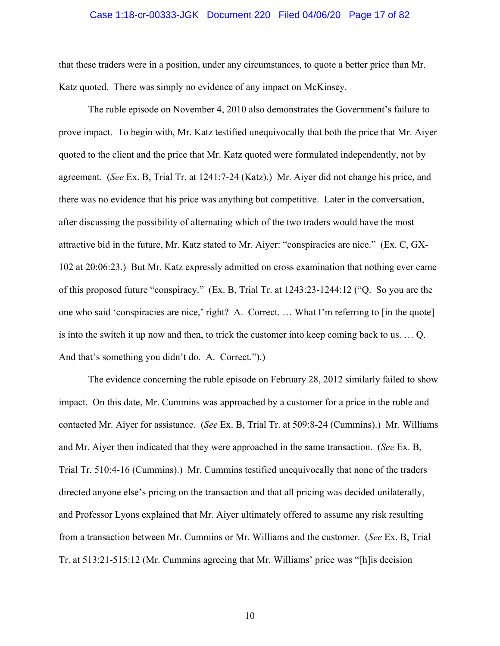#### Case 1:18-cr-00333-JGK Document 220 Filed 04/06/20 Page 17 of 82

that these traders were in a position, under any circumstances, to quote a better price than Mr. Katz quoted. There was simply no evidence of any impact on McKinsey.

The ruble episode on November 4, 2010 also demonstrates the Government's failure to prove impact. To begin with, Mr. Katz testified unequivocally that both the price that Mr. Aiyer quoted to the client and the price that Mr. Katz quoted were formulated independently, not by agreement. (*See* Ex. B, Trial Tr. at 1241:7-24 (Katz).) Mr. Aiyer did not change his price, and there was no evidence that his price was anything but competitive. Later in the conversation, after discussing the possibility of alternating which of the two traders would have the most attractive bid in the future, Mr. Katz stated to Mr. Aiyer: "conspiracies are nice." (Ex. C, GX-102 at 20:06:23.) But Mr. Katz expressly admitted on cross examination that nothing ever came of this proposed future "conspiracy." (Ex. B, Trial Tr. at 1243:23-1244:12 ("Q. So you are the one who said 'conspiracies are nice,' right? A. Correct. … What I'm referring to [in the quote] is into the switch it up now and then, to trick the customer into keep coming back to us. … Q. And that's something you didn't do. A. Correct.").)

The evidence concerning the ruble episode on February 28, 2012 similarly failed to show impact. On this date, Mr. Cummins was approached by a customer for a price in the ruble and contacted Mr. Aiyer for assistance. (*See* Ex. B, Trial Tr. at 509:8-24 (Cummins).) Mr. Williams and Mr. Aiyer then indicated that they were approached in the same transaction. (*See* Ex. B, Trial Tr. 510:4-16 (Cummins).) Mr. Cummins testified unequivocally that none of the traders directed anyone else's pricing on the transaction and that all pricing was decided unilaterally, and Professor Lyons explained that Mr. Aiyer ultimately offered to assume any risk resulting from a transaction between Mr. Cummins or Mr. Williams and the customer. (*See* Ex. B, Trial Tr. at 513:21-515:12 (Mr. Cummins agreeing that Mr. Williams' price was "[h]is decision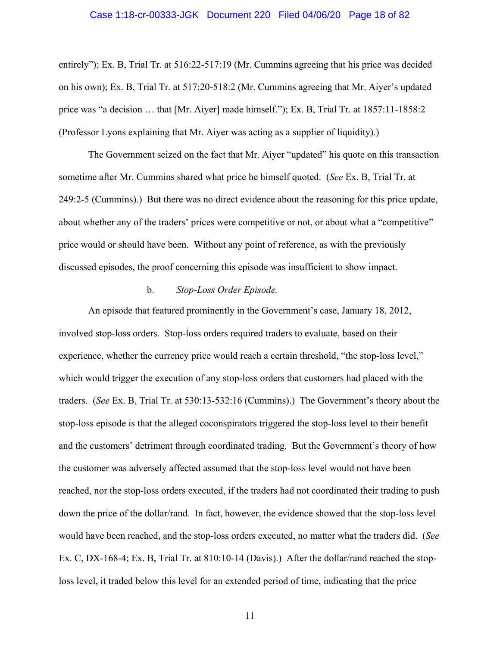#### Case 1:18-cr-00333-JGK Document 220 Filed 04/06/20 Page 18 of 82

entirely"); Ex. B, Trial Tr. at 516:22-517:19 (Mr. Cummins agreeing that his price was decided on his own); Ex. B, Trial Tr. at 517:20-518:2 (Mr. Cummins agreeing that Mr. Aiyer's updated price was "a decision … that [Mr. Aiyer] made himself."); Ex. B, Trial Tr. at 1857:11-1858:2 (Professor Lyons explaining that Mr. Aiyer was acting as a supplier of liquidity).)

The Government seized on the fact that Mr. Aiyer "updated" his quote on this transaction sometime after Mr. Cummins shared what price he himself quoted. (*See* Ex. B, Trial Tr. at 249:2-5 (Cummins).) But there was no direct evidence about the reasoning for this price update, about whether any of the traders' prices were competitive or not, or about what a "competitive" price would or should have been. Without any point of reference, as with the previously discussed episodes, the proof concerning this episode was insufficient to show impact.

### b. *Stop-Loss Order Episode.*

An episode that featured prominently in the Government's case, January 18, 2012, involved stop-loss orders. Stop-loss orders required traders to evaluate, based on their experience, whether the currency price would reach a certain threshold, "the stop-loss level," which would trigger the execution of any stop-loss orders that customers had placed with the traders. (*See* Ex. B, Trial Tr. at 530:13-532:16 (Cummins).) The Government's theory about the stop-loss episode is that the alleged coconspirators triggered the stop-loss level to their benefit and the customers' detriment through coordinated trading. But the Government's theory of how the customer was adversely affected assumed that the stop-loss level would not have been reached, nor the stop-loss orders executed, if the traders had not coordinated their trading to push down the price of the dollar/rand. In fact, however, the evidence showed that the stop-loss level would have been reached, and the stop-loss orders executed, no matter what the traders did. (*See*  Ex. C, DX-168-4; Ex. B, Trial Tr. at 810:10-14 (Davis).) After the dollar/rand reached the stoploss level, it traded below this level for an extended period of time, indicating that the price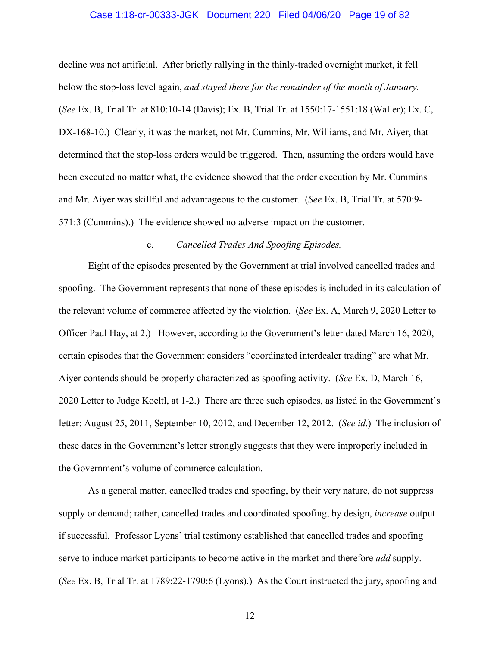#### Case 1:18-cr-00333-JGK Document 220 Filed 04/06/20 Page 19 of 82

decline was not artificial. After briefly rallying in the thinly-traded overnight market, it fell below the stop-loss level again, *and stayed there for the remainder of the month of January.*  (*See* Ex. B, Trial Tr. at 810:10-14 (Davis); Ex. B, Trial Tr. at 1550:17-1551:18 (Waller); Ex. C, DX-168-10.) Clearly, it was the market, not Mr. Cummins, Mr. Williams, and Mr. Aiyer, that determined that the stop-loss orders would be triggered. Then, assuming the orders would have been executed no matter what, the evidence showed that the order execution by Mr. Cummins and Mr. Aiyer was skillful and advantageous to the customer. (*See* Ex. B, Trial Tr. at 570:9- 571:3 (Cummins).) The evidence showed no adverse impact on the customer.

#### c. *Cancelled Trades And Spoofing Episodes.*

Eight of the episodes presented by the Government at trial involved cancelled trades and spoofing. The Government represents that none of these episodes is included in its calculation of the relevant volume of commerce affected by the violation. (*See* Ex. A, March 9, 2020 Letter to Officer Paul Hay, at 2.) However, according to the Government's letter dated March 16, 2020, certain episodes that the Government considers "coordinated interdealer trading" are what Mr. Aiyer contends should be properly characterized as spoofing activity. (*See* Ex. D, March 16, 2020 Letter to Judge Koeltl, at 1-2.) There are three such episodes, as listed in the Government's letter: August 25, 2011, September 10, 2012, and December 12, 2012. (*See id*.) The inclusion of these dates in the Government's letter strongly suggests that they were improperly included in the Government's volume of commerce calculation.

As a general matter, cancelled trades and spoofing, by their very nature, do not suppress supply or demand; rather, cancelled trades and coordinated spoofing, by design, *increase* output if successful. Professor Lyons' trial testimony established that cancelled trades and spoofing serve to induce market participants to become active in the market and therefore *add* supply. (*See* Ex. B, Trial Tr. at 1789:22-1790:6 (Lyons).) As the Court instructed the jury, spoofing and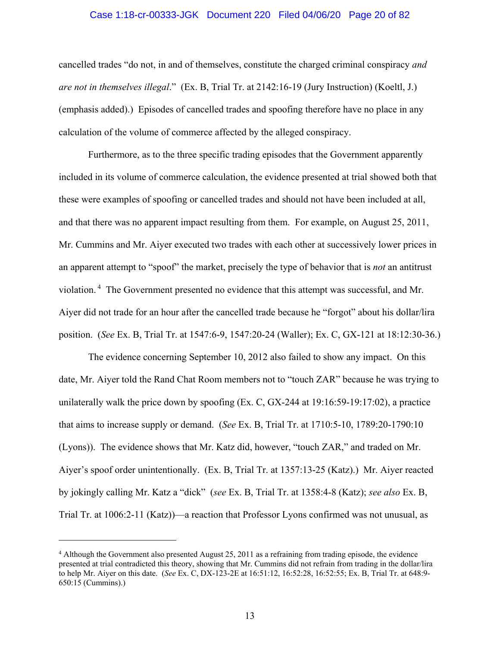#### Case 1:18-cr-00333-JGK Document 220 Filed 04/06/20 Page 20 of 82

cancelled trades "do not, in and of themselves, constitute the charged criminal conspiracy *and are not in themselves illegal*." (Ex. B, Trial Tr. at 2142:16-19 (Jury Instruction) (Koeltl, J.) (emphasis added).) Episodes of cancelled trades and spoofing therefore have no place in any calculation of the volume of commerce affected by the alleged conspiracy.

Furthermore, as to the three specific trading episodes that the Government apparently included in its volume of commerce calculation, the evidence presented at trial showed both that these were examples of spoofing or cancelled trades and should not have been included at all, and that there was no apparent impact resulting from them. For example, on August 25, 2011, Mr. Cummins and Mr. Aiyer executed two trades with each other at successively lower prices in an apparent attempt to "spoof" the market, precisely the type of behavior that is *not* an antitrust violation. 4 The Government presented no evidence that this attempt was successful, and Mr. Aiyer did not trade for an hour after the cancelled trade because he "forgot" about his dollar/lira position. (*See* Ex. B, Trial Tr. at 1547:6-9, 1547:20-24 (Waller); Ex. C, GX-121 at 18:12:30-36.)

The evidence concerning September 10, 2012 also failed to show any impact. On this date, Mr. Aiyer told the Rand Chat Room members not to "touch ZAR" because he was trying to unilaterally walk the price down by spoofing (Ex. C, GX-244 at 19:16:59-19:17:02), a practice that aims to increase supply or demand. (*See* Ex. B, Trial Tr. at 1710:5-10, 1789:20-1790:10 (Lyons)). The evidence shows that Mr. Katz did, however, "touch ZAR," and traded on Mr. Aiyer's spoof order unintentionally. (Ex. B, Trial Tr. at 1357:13-25 (Katz).) Mr. Aiyer reacted by jokingly calling Mr. Katz a "dick" (*see* Ex. B, Trial Tr. at 1358:4-8 (Katz); *see also* Ex. B, Trial Tr. at 1006:2-11 (Katz))—a reaction that Professor Lyons confirmed was not unusual, as

 $\overline{a}$ 

<sup>4</sup> Although the Government also presented August 25, 2011 as a refraining from trading episode, the evidence presented at trial contradicted this theory, showing that Mr. Cummins did not refrain from trading in the dollar/lira to help Mr. Aiyer on this date. (*See* Ex. C, DX-123-2E at 16:51:12, 16:52:28, 16:52:55; Ex. B, Trial Tr. at 648:9- 650:15 (Cummins).)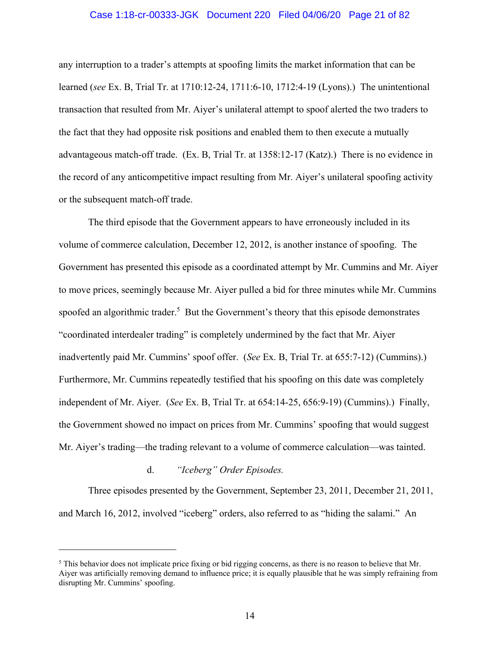#### Case 1:18-cr-00333-JGK Document 220 Filed 04/06/20 Page 21 of 82

any interruption to a trader's attempts at spoofing limits the market information that can be learned (*see* Ex. B, Trial Tr. at 1710:12-24, 1711:6-10, 1712:4-19 (Lyons).) The unintentional transaction that resulted from Mr. Aiyer's unilateral attempt to spoof alerted the two traders to the fact that they had opposite risk positions and enabled them to then execute a mutually advantageous match-off trade. (Ex. B, Trial Tr. at 1358:12-17 (Katz).) There is no evidence in the record of any anticompetitive impact resulting from Mr. Aiyer's unilateral spoofing activity or the subsequent match-off trade.

The third episode that the Government appears to have erroneously included in its volume of commerce calculation, December 12, 2012, is another instance of spoofing. The Government has presented this episode as a coordinated attempt by Mr. Cummins and Mr. Aiyer to move prices, seemingly because Mr. Aiyer pulled a bid for three minutes while Mr. Cummins spoofed an algorithmic trader.<sup>5</sup> But the Government's theory that this episode demonstrates "coordinated interdealer trading" is completely undermined by the fact that Mr. Aiyer inadvertently paid Mr. Cummins' spoof offer. (*See* Ex. B, Trial Tr. at 655:7-12) (Cummins).) Furthermore, Mr. Cummins repeatedly testified that his spoofing on this date was completely independent of Mr. Aiyer. (*See* Ex. B, Trial Tr. at 654:14-25, 656:9-19) (Cummins).) Finally, the Government showed no impact on prices from Mr. Cummins' spoofing that would suggest Mr. Aiyer's trading—the trading relevant to a volume of commerce calculation—was tainted.

#### d. *"Iceberg" Order Episodes.*

 $\overline{a}$ 

Three episodes presented by the Government, September 23, 2011, December 21, 2011, and March 16, 2012, involved "iceberg" orders, also referred to as "hiding the salami." An

<sup>&</sup>lt;sup>5</sup> This behavior does not implicate price fixing or bid rigging concerns, as there is no reason to believe that Mr. Aiyer was artificially removing demand to influence price; it is equally plausible that he was simply refraining from disrupting Mr. Cummins' spoofing.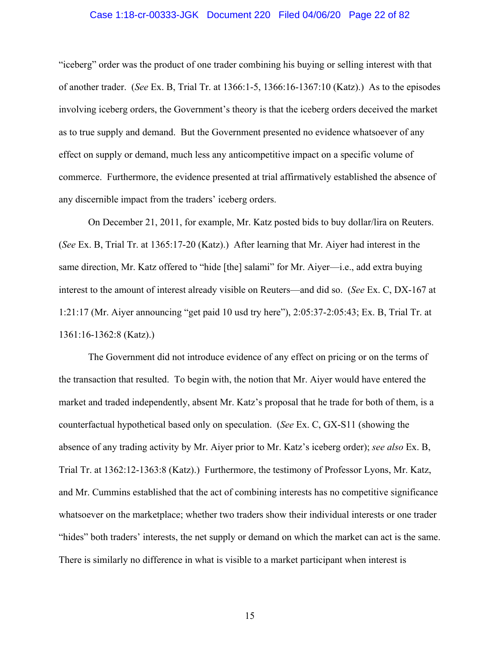#### Case 1:18-cr-00333-JGK Document 220 Filed 04/06/20 Page 22 of 82

"iceberg" order was the product of one trader combining his buying or selling interest with that of another trader. (*See* Ex. B, Trial Tr. at 1366:1-5, 1366:16-1367:10 (Katz).) As to the episodes involving iceberg orders, the Government's theory is that the iceberg orders deceived the market as to true supply and demand. But the Government presented no evidence whatsoever of any effect on supply or demand, much less any anticompetitive impact on a specific volume of commerce. Furthermore, the evidence presented at trial affirmatively established the absence of any discernible impact from the traders' iceberg orders.

On December 21, 2011, for example, Mr. Katz posted bids to buy dollar/lira on Reuters. (*See* Ex. B, Trial Tr. at 1365:17-20 (Katz).) After learning that Mr. Aiyer had interest in the same direction, Mr. Katz offered to "hide [the] salami" for Mr. Aiyer—i.e., add extra buying interest to the amount of interest already visible on Reuters—and did so. (*See* Ex. C, DX-167 at 1:21:17 (Mr. Aiyer announcing "get paid 10 usd try here"), 2:05:37-2:05:43; Ex. B, Trial Tr. at 1361:16-1362:8 (Katz).)

The Government did not introduce evidence of any effect on pricing or on the terms of the transaction that resulted. To begin with, the notion that Mr. Aiyer would have entered the market and traded independently, absent Mr. Katz's proposal that he trade for both of them, is a counterfactual hypothetical based only on speculation. (*See* Ex. C, GX-S11 (showing the absence of any trading activity by Mr. Aiyer prior to Mr. Katz's iceberg order); *see also* Ex. B, Trial Tr. at 1362:12-1363:8 (Katz).) Furthermore, the testimony of Professor Lyons, Mr. Katz, and Mr. Cummins established that the act of combining interests has no competitive significance whatsoever on the marketplace; whether two traders show their individual interests or one trader "hides" both traders' interests, the net supply or demand on which the market can act is the same. There is similarly no difference in what is visible to a market participant when interest is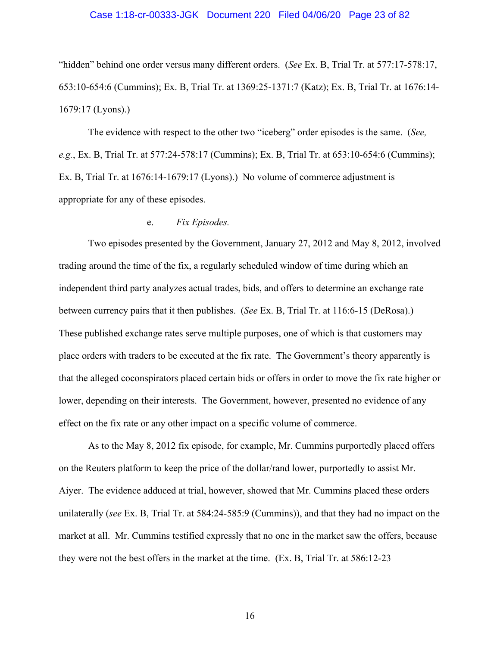#### Case 1:18-cr-00333-JGK Document 220 Filed 04/06/20 Page 23 of 82

"hidden" behind one order versus many different orders. (*See* Ex. B, Trial Tr. at 577:17-578:17, 653:10-654:6 (Cummins); Ex. B, Trial Tr. at 1369:25-1371:7 (Katz); Ex. B, Trial Tr. at 1676:14- 1679:17 (Lyons).)

The evidence with respect to the other two "iceberg" order episodes is the same. (*See, e.g.*, Ex. B, Trial Tr. at 577:24-578:17 (Cummins); Ex. B, Trial Tr. at 653:10-654:6 (Cummins); Ex. B, Trial Tr. at 1676:14-1679:17 (Lyons).) No volume of commerce adjustment is appropriate for any of these episodes.

#### e. *Fix Episodes.*

Two episodes presented by the Government, January 27, 2012 and May 8, 2012, involved trading around the time of the fix, a regularly scheduled window of time during which an independent third party analyzes actual trades, bids, and offers to determine an exchange rate between currency pairs that it then publishes. (*See* Ex. B, Trial Tr. at 116:6-15 (DeRosa).) These published exchange rates serve multiple purposes, one of which is that customers may place orders with traders to be executed at the fix rate. The Government's theory apparently is that the alleged coconspirators placed certain bids or offers in order to move the fix rate higher or lower, depending on their interests. The Government, however, presented no evidence of any effect on the fix rate or any other impact on a specific volume of commerce.

As to the May 8, 2012 fix episode, for example, Mr. Cummins purportedly placed offers on the Reuters platform to keep the price of the dollar/rand lower, purportedly to assist Mr. Aiyer. The evidence adduced at trial, however, showed that Mr. Cummins placed these orders unilaterally (*see* Ex. B, Trial Tr. at 584:24-585:9 (Cummins)), and that they had no impact on the market at all. Mr. Cummins testified expressly that no one in the market saw the offers, because they were not the best offers in the market at the time. (Ex. B, Trial Tr. at 586:12-23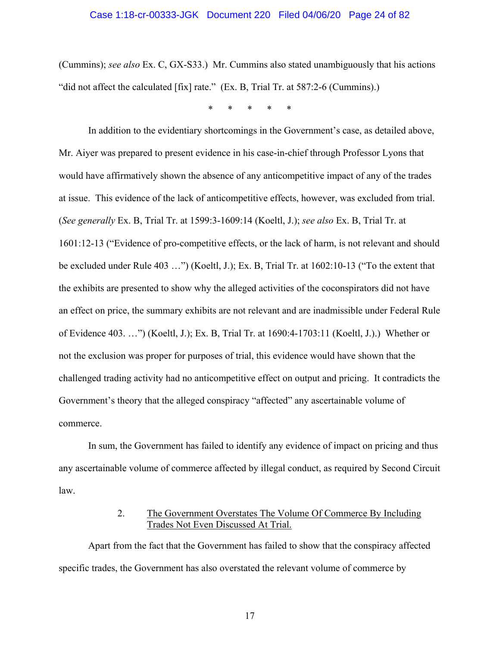(Cummins); *see also* Ex. C, GX-S33.) Mr. Cummins also stated unambiguously that his actions "did not affect the calculated [fix] rate." (Ex. B, Trial Tr. at 587:2-6 (Cummins).)

\* \* \* \* \*

In addition to the evidentiary shortcomings in the Government's case, as detailed above, Mr. Aiyer was prepared to present evidence in his case-in-chief through Professor Lyons that would have affirmatively shown the absence of any anticompetitive impact of any of the trades at issue. This evidence of the lack of anticompetitive effects, however, was excluded from trial. (*See generally* Ex. B, Trial Tr. at 1599:3-1609:14 (Koeltl, J.); *see also* Ex. B, Trial Tr. at 1601:12-13 ("Evidence of pro-competitive effects, or the lack of harm, is not relevant and should be excluded under Rule 403 …") (Koeltl, J.); Ex. B, Trial Tr. at 1602:10-13 ("To the extent that the exhibits are presented to show why the alleged activities of the coconspirators did not have an effect on price, the summary exhibits are not relevant and are inadmissible under Federal Rule of Evidence 403. …") (Koeltl, J.); Ex. B, Trial Tr. at 1690:4-1703:11 (Koeltl, J.).) Whether or not the exclusion was proper for purposes of trial, this evidence would have shown that the challenged trading activity had no anticompetitive effect on output and pricing. It contradicts the Government's theory that the alleged conspiracy "affected" any ascertainable volume of commerce.

In sum, the Government has failed to identify any evidence of impact on pricing and thus any ascertainable volume of commerce affected by illegal conduct, as required by Second Circuit law.

## 2. The Government Overstates The Volume Of Commerce By Including Trades Not Even Discussed At Trial.

Apart from the fact that the Government has failed to show that the conspiracy affected specific trades, the Government has also overstated the relevant volume of commerce by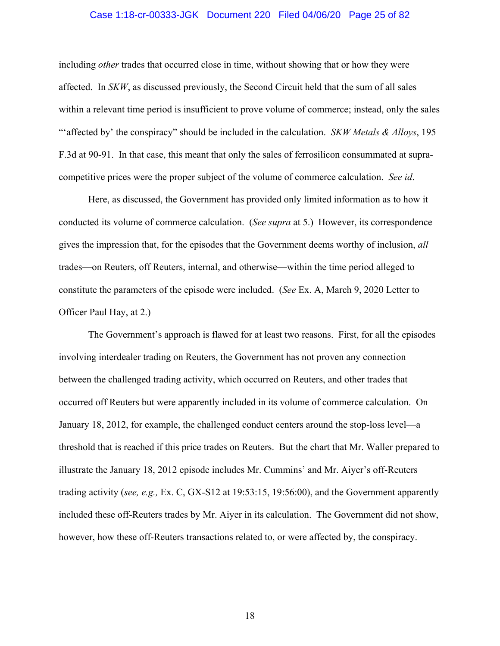#### Case 1:18-cr-00333-JGK Document 220 Filed 04/06/20 Page 25 of 82

including *other* trades that occurred close in time, without showing that or how they were affected. In *SKW*, as discussed previously, the Second Circuit held that the sum of all sales within a relevant time period is insufficient to prove volume of commerce; instead, only the sales "'affected by' the conspiracy" should be included in the calculation. *SKW Metals & Alloys*, 195 F.3d at 90-91. In that case, this meant that only the sales of ferrosilicon consummated at supracompetitive prices were the proper subject of the volume of commerce calculation. *See id*.

Here, as discussed, the Government has provided only limited information as to how it conducted its volume of commerce calculation. (*See supra* at 5.) However, its correspondence gives the impression that, for the episodes that the Government deems worthy of inclusion, *all* trades—on Reuters, off Reuters, internal, and otherwise—within the time period alleged to constitute the parameters of the episode were included. (*See* Ex. A, March 9, 2020 Letter to Officer Paul Hay, at 2.)

The Government's approach is flawed for at least two reasons. First, for all the episodes involving interdealer trading on Reuters, the Government has not proven any connection between the challenged trading activity, which occurred on Reuters, and other trades that occurred off Reuters but were apparently included in its volume of commerce calculation. On January 18, 2012, for example, the challenged conduct centers around the stop-loss level—a threshold that is reached if this price trades on Reuters. But the chart that Mr. Waller prepared to illustrate the January 18, 2012 episode includes Mr. Cummins' and Mr. Aiyer's off-Reuters trading activity (*see, e.g.,* Ex. C, GX-S12 at 19:53:15, 19:56:00), and the Government apparently included these off-Reuters trades by Mr. Aiyer in its calculation. The Government did not show, however, how these off-Reuters transactions related to, or were affected by, the conspiracy.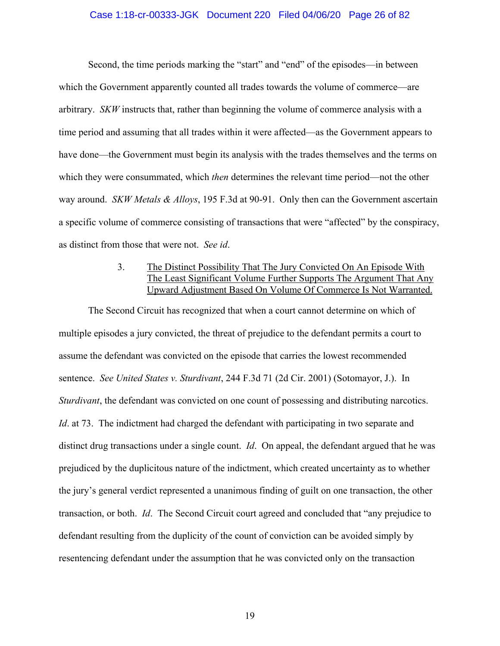#### Case 1:18-cr-00333-JGK Document 220 Filed 04/06/20 Page 26 of 82

Second, the time periods marking the "start" and "end" of the episodes—in between which the Government apparently counted all trades towards the volume of commerce—are arbitrary. *SKW* instructs that, rather than beginning the volume of commerce analysis with a time period and assuming that all trades within it were affected—as the Government appears to have done—the Government must begin its analysis with the trades themselves and the terms on which they were consummated, which *then* determines the relevant time period—not the other way around. *SKW Metals & Alloys*, 195 F.3d at 90-91. Only then can the Government ascertain a specific volume of commerce consisting of transactions that were "affected" by the conspiracy, as distinct from those that were not. *See id*.

## 3. The Distinct Possibility That The Jury Convicted On An Episode With The Least Significant Volume Further Supports The Argument That Any Upward Adjustment Based On Volume Of Commerce Is Not Warranted.

The Second Circuit has recognized that when a court cannot determine on which of multiple episodes a jury convicted, the threat of prejudice to the defendant permits a court to assume the defendant was convicted on the episode that carries the lowest recommended sentence. *See United States v. Sturdivant*, 244 F.3d 71 (2d Cir. 2001) (Sotomayor, J.). In *Sturdivant*, the defendant was convicted on one count of possessing and distributing narcotics. *Id*. at 73. The indictment had charged the defendant with participating in two separate and distinct drug transactions under a single count. *Id*. On appeal, the defendant argued that he was prejudiced by the duplicitous nature of the indictment, which created uncertainty as to whether the jury's general verdict represented a unanimous finding of guilt on one transaction, the other transaction, or both. *Id*. The Second Circuit court agreed and concluded that "any prejudice to defendant resulting from the duplicity of the count of conviction can be avoided simply by resentencing defendant under the assumption that he was convicted only on the transaction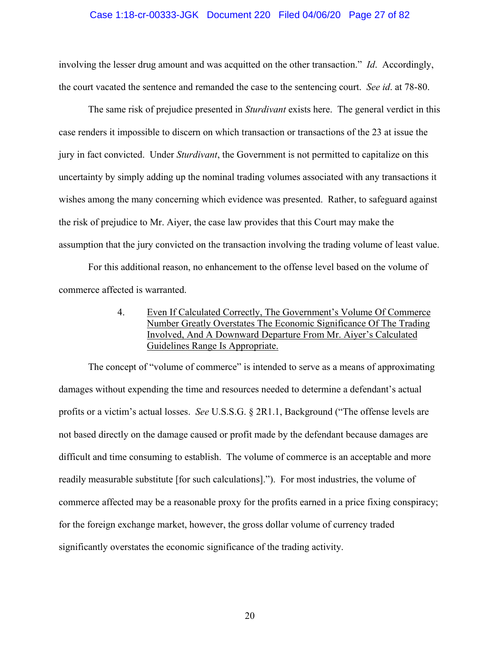#### Case 1:18-cr-00333-JGK Document 220 Filed 04/06/20 Page 27 of 82

involving the lesser drug amount and was acquitted on the other transaction." *Id*. Accordingly, the court vacated the sentence and remanded the case to the sentencing court. *See id*. at 78-80.

The same risk of prejudice presented in *Sturdivant* exists here. The general verdict in this case renders it impossible to discern on which transaction or transactions of the 23 at issue the jury in fact convicted. Under *Sturdivant*, the Government is not permitted to capitalize on this uncertainty by simply adding up the nominal trading volumes associated with any transactions it wishes among the many concerning which evidence was presented. Rather, to safeguard against the risk of prejudice to Mr. Aiyer, the case law provides that this Court may make the assumption that the jury convicted on the transaction involving the trading volume of least value.

For this additional reason, no enhancement to the offense level based on the volume of commerce affected is warranted.

> 4. Even If Calculated Correctly, The Government's Volume Of Commerce Number Greatly Overstates The Economic Significance Of The Trading Involved, And A Downward Departure From Mr. Aiyer's Calculated Guidelines Range Is Appropriate.

The concept of "volume of commerce" is intended to serve as a means of approximating damages without expending the time and resources needed to determine a defendant's actual profits or a victim's actual losses. *See* U.S.S.G. § 2R1.1, Background ("The offense levels are not based directly on the damage caused or profit made by the defendant because damages are difficult and time consuming to establish. The volume of commerce is an acceptable and more readily measurable substitute [for such calculations]."). For most industries, the volume of commerce affected may be a reasonable proxy for the profits earned in a price fixing conspiracy; for the foreign exchange market, however, the gross dollar volume of currency traded significantly overstates the economic significance of the trading activity.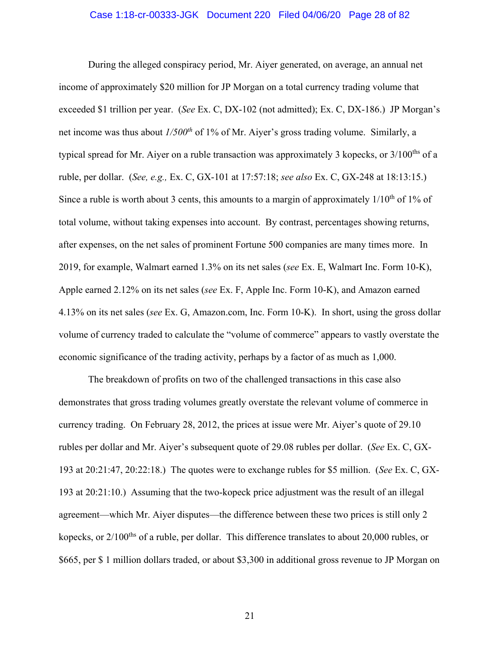#### Case 1:18-cr-00333-JGK Document 220 Filed 04/06/20 Page 28 of 82

During the alleged conspiracy period, Mr. Aiyer generated, on average, an annual net income of approximately \$20 million for JP Morgan on a total currency trading volume that exceeded \$1 trillion per year. (*See* Ex. C, DX-102 (not admitted); Ex. C, DX-186.) JP Morgan's net income was thus about *1/500th* of 1% of Mr. Aiyer's gross trading volume. Similarly, a typical spread for Mr. Aiyer on a ruble transaction was approximately 3 kopecks, or 3/100<sup>ths</sup> of a ruble, per dollar. (*See, e.g.,* Ex. C, GX-101 at 17:57:18; *see also* Ex. C, GX-248 at 18:13:15.) Since a ruble is worth about 3 cents, this amounts to a margin of approximately  $1/10^{th}$  of  $1\%$  of total volume, without taking expenses into account. By contrast, percentages showing returns, after expenses, on the net sales of prominent Fortune 500 companies are many times more. In 2019, for example, Walmart earned 1.3% on its net sales (*see* Ex. E, Walmart Inc. Form 10-K), Apple earned 2.12% on its net sales (*see* Ex. F, Apple Inc. Form 10-K), and Amazon earned 4.13% on its net sales (*see* Ex. G, Amazon.com, Inc. Form 10-K). In short, using the gross dollar volume of currency traded to calculate the "volume of commerce" appears to vastly overstate the economic significance of the trading activity, perhaps by a factor of as much as 1,000.

The breakdown of profits on two of the challenged transactions in this case also demonstrates that gross trading volumes greatly overstate the relevant volume of commerce in currency trading. On February 28, 2012, the prices at issue were Mr. Aiyer's quote of 29.10 rubles per dollar and Mr. Aiyer's subsequent quote of 29.08 rubles per dollar. (*See* Ex. C, GX-193 at 20:21:47, 20:22:18.) The quotes were to exchange rubles for \$5 million. (*See* Ex. C, GX-193 at 20:21:10.) Assuming that the two-kopeck price adjustment was the result of an illegal agreement—which Mr. Aiyer disputes—the difference between these two prices is still only 2 kopecks, or 2/100<sup>ths</sup> of a ruble, per dollar. This difference translates to about 20,000 rubles, or \$665, per \$ 1 million dollars traded, or about \$3,300 in additional gross revenue to JP Morgan on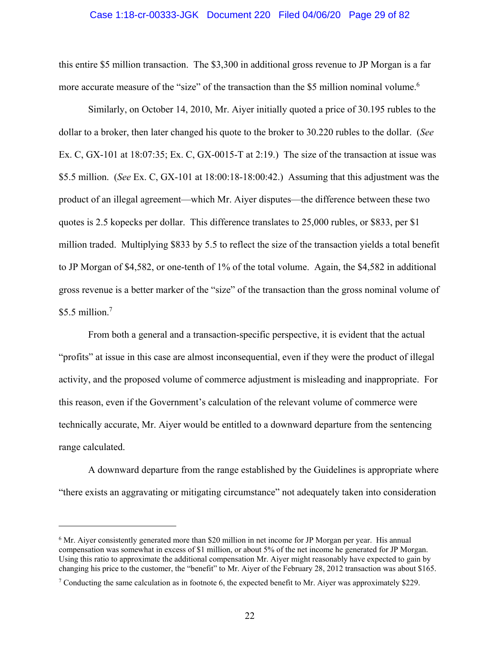#### Case 1:18-cr-00333-JGK Document 220 Filed 04/06/20 Page 29 of 82

this entire \$5 million transaction. The \$3,300 in additional gross revenue to JP Morgan is a far more accurate measure of the "size" of the transaction than the \$5 million nominal volume.<sup>6</sup>

Similarly, on October 14, 2010, Mr. Aiyer initially quoted a price of 30.195 rubles to the dollar to a broker, then later changed his quote to the broker to 30.220 rubles to the dollar. (*See* Ex. C, GX-101 at 18:07:35; Ex. C, GX-0015-T at 2:19.) The size of the transaction at issue was \$5.5 million. (*See* Ex. C, GX-101 at 18:00:18-18:00:42.) Assuming that this adjustment was the product of an illegal agreement—which Mr. Aiyer disputes—the difference between these two quotes is 2.5 kopecks per dollar. This difference translates to 25,000 rubles, or \$833, per \$1 million traded. Multiplying \$833 by 5.5 to reflect the size of the transaction yields a total benefit to JP Morgan of \$4,582, or one-tenth of 1% of the total volume. Again, the \$4,582 in additional gross revenue is a better marker of the "size" of the transaction than the gross nominal volume of  $$5.5$  million.<sup>7</sup>

From both a general and a transaction-specific perspective, it is evident that the actual "profits" at issue in this case are almost inconsequential, even if they were the product of illegal activity, and the proposed volume of commerce adjustment is misleading and inappropriate. For this reason, even if the Government's calculation of the relevant volume of commerce were technically accurate, Mr. Aiyer would be entitled to a downward departure from the sentencing range calculated.

A downward departure from the range established by the Guidelines is appropriate where "there exists an aggravating or mitigating circumstance" not adequately taken into consideration

 $\overline{a}$ 

<sup>&</sup>lt;sup>6</sup> Mr. Aiyer consistently generated more than \$20 million in net income for JP Morgan per year. His annual compensation was somewhat in excess of \$1 million, or about 5% of the net income he generated for JP Morgan. Using this ratio to approximate the additional compensation Mr. Aiyer might reasonably have expected to gain by changing his price to the customer, the "benefit" to Mr. Aiyer of the February 28, 2012 transaction was about \$165.

<sup>&</sup>lt;sup>7</sup> Conducting the same calculation as in footnote 6, the expected benefit to Mr. Aiyer was approximately \$229.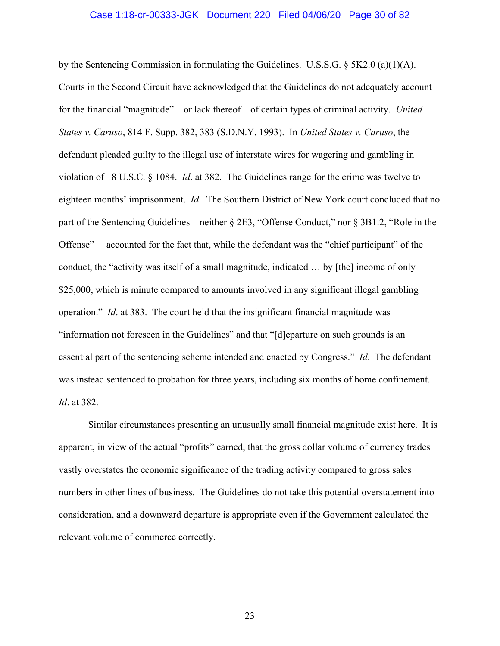#### Case 1:18-cr-00333-JGK Document 220 Filed 04/06/20 Page 30 of 82

by the Sentencing Commission in formulating the Guidelines. U.S.S.G.  $\S$  5K2.0 (a)(1)(A). Courts in the Second Circuit have acknowledged that the Guidelines do not adequately account for the financial "magnitude"—or lack thereof—of certain types of criminal activity. *United States v. Caruso*, 814 F. Supp. 382, 383 (S.D.N.Y. 1993). In *United States v. Caruso*, the defendant pleaded guilty to the illegal use of interstate wires for wagering and gambling in violation of 18 U.S.C. § 1084. *Id*. at 382. The Guidelines range for the crime was twelve to eighteen months' imprisonment. *Id*. The Southern District of New York court concluded that no part of the Sentencing Guidelines—neither § 2E3, "Offense Conduct," nor § 3B1.2, "Role in the Offense"— accounted for the fact that, while the defendant was the "chief participant" of the conduct, the "activity was itself of a small magnitude, indicated … by [the] income of only \$25,000, which is minute compared to amounts involved in any significant illegal gambling operation." *Id*. at 383. The court held that the insignificant financial magnitude was "information not foreseen in the Guidelines" and that "[d]eparture on such grounds is an essential part of the sentencing scheme intended and enacted by Congress." *Id*. The defendant was instead sentenced to probation for three years, including six months of home confinement. *Id*. at 382.

Similar circumstances presenting an unusually small financial magnitude exist here. It is apparent, in view of the actual "profits" earned, that the gross dollar volume of currency trades vastly overstates the economic significance of the trading activity compared to gross sales numbers in other lines of business. The Guidelines do not take this potential overstatement into consideration, and a downward departure is appropriate even if the Government calculated the relevant volume of commerce correctly.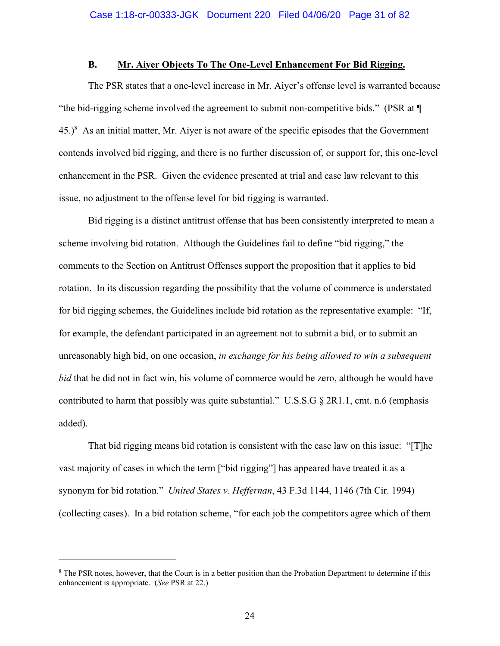### **B. Mr. Aiyer Objects To The One-Level Enhancement For Bid Rigging.**

The PSR states that a one-level increase in Mr. Aiyer's offense level is warranted because "the bid-rigging scheme involved the agreement to submit non-competitive bids." (PSR at ¶  $(45.)^8$  As an initial matter, Mr. Aiyer is not aware of the specific episodes that the Government contends involved bid rigging, and there is no further discussion of, or support for, this one-level enhancement in the PSR. Given the evidence presented at trial and case law relevant to this issue, no adjustment to the offense level for bid rigging is warranted.

Bid rigging is a distinct antitrust offense that has been consistently interpreted to mean a scheme involving bid rotation. Although the Guidelines fail to define "bid rigging," the comments to the Section on Antitrust Offenses support the proposition that it applies to bid rotation. In its discussion regarding the possibility that the volume of commerce is understated for bid rigging schemes, the Guidelines include bid rotation as the representative example: "If, for example, the defendant participated in an agreement not to submit a bid, or to submit an unreasonably high bid, on one occasion, *in exchange for his being allowed to win a subsequent bid* that he did not in fact win, his volume of commerce would be zero, although he would have contributed to harm that possibly was quite substantial." U.S.S.G § 2R1.1, cmt. n.6 (emphasis added).

That bid rigging means bid rotation is consistent with the case law on this issue: "[T]he vast majority of cases in which the term ["bid rigging"] has appeared have treated it as a synonym for bid rotation." *United States v. Heffernan*, 43 F.3d 1144, 1146 (7th Cir. 1994) (collecting cases). In a bid rotation scheme, "for each job the competitors agree which of them

 $\overline{a}$ 

<sup>&</sup>lt;sup>8</sup> The PSR notes, however, that the Court is in a better position than the Probation Department to determine if this enhancement is appropriate. (*See* PSR at 22.)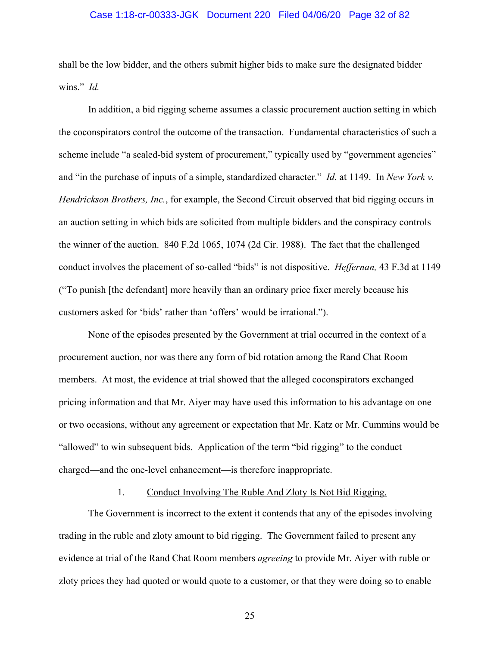#### Case 1:18-cr-00333-JGK Document 220 Filed 04/06/20 Page 32 of 82

shall be the low bidder, and the others submit higher bids to make sure the designated bidder wins." *Id.* 

In addition, a bid rigging scheme assumes a classic procurement auction setting in which the coconspirators control the outcome of the transaction. Fundamental characteristics of such a scheme include "a sealed-bid system of procurement," typically used by "government agencies" and "in the purchase of inputs of a simple, standardized character." *Id.* at 1149. In *New York v. Hendrickson Brothers, Inc.*, for example, the Second Circuit observed that bid rigging occurs in an auction setting in which bids are solicited from multiple bidders and the conspiracy controls the winner of the auction. 840 F.2d 1065, 1074 (2d Cir. 1988). The fact that the challenged conduct involves the placement of so-called "bids" is not dispositive. *Heffernan,* 43 F.3d at 1149 ("To punish [the defendant] more heavily than an ordinary price fixer merely because his customers asked for 'bids' rather than 'offers' would be irrational.").

None of the episodes presented by the Government at trial occurred in the context of a procurement auction, nor was there any form of bid rotation among the Rand Chat Room members. At most, the evidence at trial showed that the alleged coconspirators exchanged pricing information and that Mr. Aiyer may have used this information to his advantage on one or two occasions, without any agreement or expectation that Mr. Katz or Mr. Cummins would be "allowed" to win subsequent bids. Application of the term "bid rigging" to the conduct charged—and the one-level enhancement—is therefore inappropriate.

## 1. Conduct Involving The Ruble And Zloty Is Not Bid Rigging.

The Government is incorrect to the extent it contends that any of the episodes involving trading in the ruble and zloty amount to bid rigging. The Government failed to present any evidence at trial of the Rand Chat Room members *agreeing* to provide Mr. Aiyer with ruble or zloty prices they had quoted or would quote to a customer, or that they were doing so to enable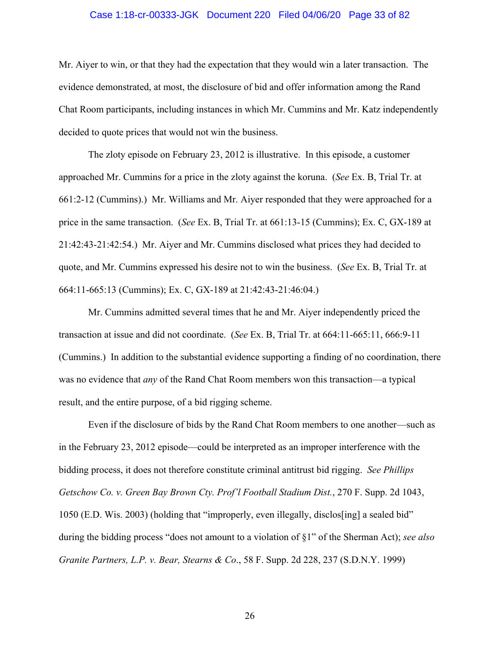#### Case 1:18-cr-00333-JGK Document 220 Filed 04/06/20 Page 33 of 82

Mr. Aiyer to win, or that they had the expectation that they would win a later transaction. The evidence demonstrated, at most, the disclosure of bid and offer information among the Rand Chat Room participants, including instances in which Mr. Cummins and Mr. Katz independently decided to quote prices that would not win the business.

The zloty episode on February 23, 2012 is illustrative. In this episode, a customer approached Mr. Cummins for a price in the zloty against the koruna. (*See* Ex. B, Trial Tr. at 661:2-12 (Cummins).) Mr. Williams and Mr. Aiyer responded that they were approached for a price in the same transaction. (*See* Ex. B, Trial Tr. at 661:13-15 (Cummins); Ex. C, GX-189 at 21:42:43-21:42:54.) Mr. Aiyer and Mr. Cummins disclosed what prices they had decided to quote, and Mr. Cummins expressed his desire not to win the business. (*See* Ex. B, Trial Tr. at 664:11-665:13 (Cummins); Ex. C, GX-189 at 21:42:43-21:46:04.)

Mr. Cummins admitted several times that he and Mr. Aiyer independently priced the transaction at issue and did not coordinate. (*See* Ex. B, Trial Tr. at 664:11-665:11, 666:9-11 (Cummins.) In addition to the substantial evidence supporting a finding of no coordination, there was no evidence that *any* of the Rand Chat Room members won this transaction—a typical result, and the entire purpose, of a bid rigging scheme.

Even if the disclosure of bids by the Rand Chat Room members to one another—such as in the February 23, 2012 episode—could be interpreted as an improper interference with the bidding process, it does not therefore constitute criminal antitrust bid rigging. *See Phillips Getschow Co. v. Green Bay Brown Cty. Prof'l Football Stadium Dist.*, 270 F. Supp. 2d 1043, 1050 (E.D. Wis. 2003) (holding that "improperly, even illegally, disclos[ing] a sealed bid" during the bidding process "does not amount to a violation of §1" of the Sherman Act); *see also Granite Partners, L.P. v. Bear, Stearns & Co*., 58 F. Supp. 2d 228, 237 (S.D.N.Y. 1999)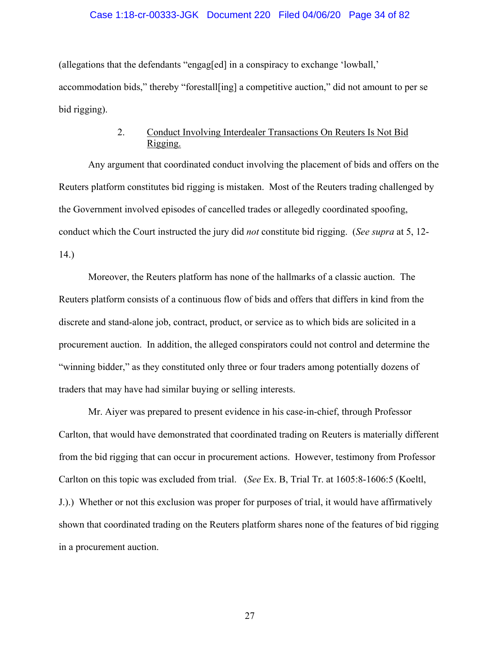#### Case 1:18-cr-00333-JGK Document 220 Filed 04/06/20 Page 34 of 82

(allegations that the defendants "engag[ed] in a conspiracy to exchange 'lowball,' accommodation bids," thereby "forestall[ing] a competitive auction," did not amount to per se bid rigging).

## 2. Conduct Involving Interdealer Transactions On Reuters Is Not Bid Rigging.

Any argument that coordinated conduct involving the placement of bids and offers on the Reuters platform constitutes bid rigging is mistaken. Most of the Reuters trading challenged by the Government involved episodes of cancelled trades or allegedly coordinated spoofing, conduct which the Court instructed the jury did *not* constitute bid rigging. (*See supra* at 5, 12- 14.)

Moreover, the Reuters platform has none of the hallmarks of a classic auction. The Reuters platform consists of a continuous flow of bids and offers that differs in kind from the discrete and stand-alone job, contract, product, or service as to which bids are solicited in a procurement auction. In addition, the alleged conspirators could not control and determine the "winning bidder," as they constituted only three or four traders among potentially dozens of traders that may have had similar buying or selling interests.

Mr. Aiyer was prepared to present evidence in his case-in-chief, through Professor Carlton, that would have demonstrated that coordinated trading on Reuters is materially different from the bid rigging that can occur in procurement actions. However, testimony from Professor Carlton on this topic was excluded from trial. (*See* Ex. B, Trial Tr. at 1605:8-1606:5 (Koeltl, J.).) Whether or not this exclusion was proper for purposes of trial, it would have affirmatively shown that coordinated trading on the Reuters platform shares none of the features of bid rigging in a procurement auction.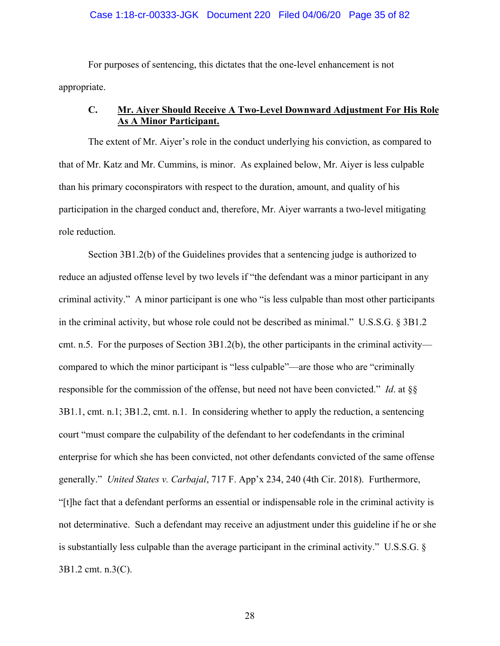#### Case 1:18-cr-00333-JGK Document 220 Filed 04/06/20 Page 35 of 82

For purposes of sentencing, this dictates that the one-level enhancement is not appropriate.

## **C. Mr. Aiyer Should Receive A Two-Level Downward Adjustment For His Role As A Minor Participant.**

The extent of Mr. Aiyer's role in the conduct underlying his conviction, as compared to that of Mr. Katz and Mr. Cummins, is minor. As explained below, Mr. Aiyer is less culpable than his primary coconspirators with respect to the duration, amount, and quality of his participation in the charged conduct and, therefore, Mr. Aiyer warrants a two-level mitigating role reduction.

Section 3B1.2(b) of the Guidelines provides that a sentencing judge is authorized to reduce an adjusted offense level by two levels if "the defendant was a minor participant in any criminal activity." A minor participant is one who "is less culpable than most other participants in the criminal activity, but whose role could not be described as minimal." U.S.S.G. § 3B1.2 cmt. n.5. For the purposes of Section 3B1.2(b), the other participants in the criminal activity compared to which the minor participant is "less culpable"—are those who are "criminally responsible for the commission of the offense, but need not have been convicted." *Id*. at §§ 3B1.1, cmt. n.1; 3B1.2, cmt. n.1. In considering whether to apply the reduction, a sentencing court "must compare the culpability of the defendant to her codefendants in the criminal enterprise for which she has been convicted, not other defendants convicted of the same offense generally." *United States v. Carbajal*, 717 F. App'x 234, 240 (4th Cir. 2018). Furthermore, "[t]he fact that a defendant performs an essential or indispensable role in the criminal activity is not determinative. Such a defendant may receive an adjustment under this guideline if he or she is substantially less culpable than the average participant in the criminal activity." U.S.S.G. § 3B1.2 cmt. n.3(C).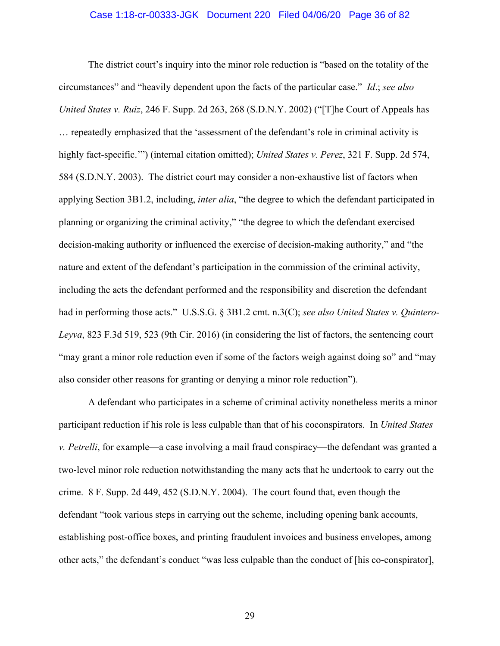#### Case 1:18-cr-00333-JGK Document 220 Filed 04/06/20 Page 36 of 82

The district court's inquiry into the minor role reduction is "based on the totality of the circumstances" and "heavily dependent upon the facts of the particular case." *Id*.; *see also United States v. Ruiz*, 246 F. Supp. 2d 263, 268 (S.D.N.Y. 2002) ("[T]he Court of Appeals has … repeatedly emphasized that the 'assessment of the defendant's role in criminal activity is highly fact-specific.'") (internal citation omitted); *United States v. Perez*, 321 F. Supp. 2d 574, 584 (S.D.N.Y. 2003). The district court may consider a non-exhaustive list of factors when applying Section 3B1.2, including, *inter alia*, "the degree to which the defendant participated in planning or organizing the criminal activity," "the degree to which the defendant exercised decision-making authority or influenced the exercise of decision-making authority," and "the nature and extent of the defendant's participation in the commission of the criminal activity, including the acts the defendant performed and the responsibility and discretion the defendant had in performing those acts." U.S.S.G. § 3B1.2 cmt. n.3(C); *see also United States v. Quintero-Leyva*, 823 F.3d 519, 523 (9th Cir. 2016) (in considering the list of factors, the sentencing court "may grant a minor role reduction even if some of the factors weigh against doing so" and "may also consider other reasons for granting or denying a minor role reduction").

A defendant who participates in a scheme of criminal activity nonetheless merits a minor participant reduction if his role is less culpable than that of his coconspirators. In *United States v. Petrelli*, for example—a case involving a mail fraud conspiracy—the defendant was granted a two-level minor role reduction notwithstanding the many acts that he undertook to carry out the crime. 8 F. Supp. 2d 449, 452 (S.D.N.Y. 2004). The court found that, even though the defendant "took various steps in carrying out the scheme, including opening bank accounts, establishing post-office boxes, and printing fraudulent invoices and business envelopes, among other acts," the defendant's conduct "was less culpable than the conduct of [his co-conspirator],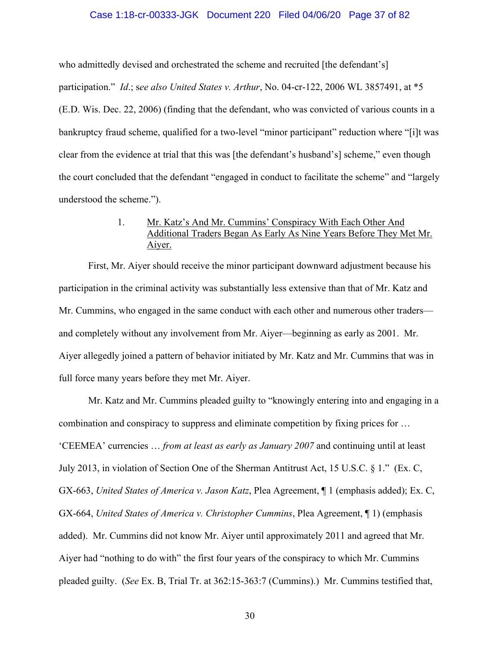#### Case 1:18-cr-00333-JGK Document 220 Filed 04/06/20 Page 37 of 82

who admittedly devised and orchestrated the scheme and recruited [the defendant's] participation." *Id*.; s*ee also United States v. Arthur*, No. 04-cr-122, 2006 WL 3857491, at \*5 (E.D. Wis. Dec. 22, 2006) (finding that the defendant, who was convicted of various counts in a bankruptcy fraud scheme, qualified for a two-level "minor participant" reduction where "[i]t was clear from the evidence at trial that this was [the defendant's husband's] scheme," even though the court concluded that the defendant "engaged in conduct to facilitate the scheme" and "largely understood the scheme.").

# 1. Mr. Katz's And Mr. Cummins' Conspiracy With Each Other And Additional Traders Began As Early As Nine Years Before They Met Mr. Aiyer.

First, Mr. Aiyer should receive the minor participant downward adjustment because his participation in the criminal activity was substantially less extensive than that of Mr. Katz and Mr. Cummins, who engaged in the same conduct with each other and numerous other traders and completely without any involvement from Mr. Aiyer—beginning as early as 2001. Mr. Aiyer allegedly joined a pattern of behavior initiated by Mr. Katz and Mr. Cummins that was in full force many years before they met Mr. Aiyer.

Mr. Katz and Mr. Cummins pleaded guilty to "knowingly entering into and engaging in a combination and conspiracy to suppress and eliminate competition by fixing prices for … 'CEEMEA' currencies … *from at least as early as January 2007* and continuing until at least July 2013, in violation of Section One of the Sherman Antitrust Act, 15 U.S.C. § 1." (Ex. C, GX-663, *United States of America v. Jason Katz*, Plea Agreement, ¶ 1 (emphasis added); Ex. C, GX-664, *United States of America v. Christopher Cummins*, Plea Agreement, ¶ 1) (emphasis added). Mr. Cummins did not know Mr. Aiyer until approximately 2011 and agreed that Mr. Aiyer had "nothing to do with" the first four years of the conspiracy to which Mr. Cummins pleaded guilty. (*See* Ex. B, Trial Tr. at 362:15-363:7 (Cummins).) Mr. Cummins testified that,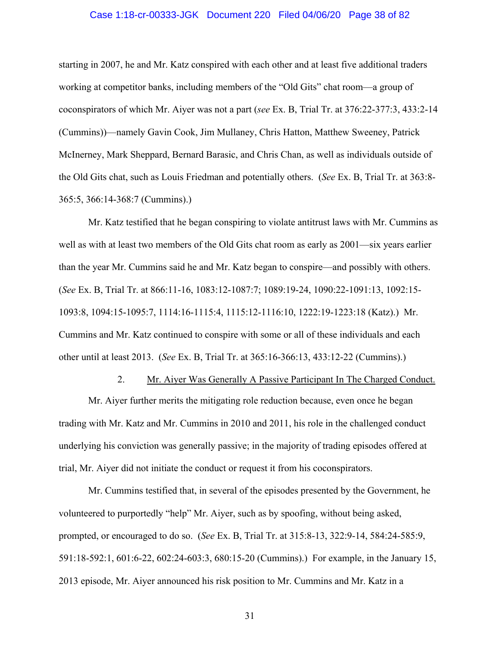#### Case 1:18-cr-00333-JGK Document 220 Filed 04/06/20 Page 38 of 82

starting in 2007, he and Mr. Katz conspired with each other and at least five additional traders working at competitor banks, including members of the "Old Gits" chat room—a group of coconspirators of which Mr. Aiyer was not a part (*see* Ex. B, Trial Tr. at 376:22-377:3, 433:2-14 (Cummins))—namely Gavin Cook, Jim Mullaney, Chris Hatton, Matthew Sweeney, Patrick McInerney, Mark Sheppard, Bernard Barasic, and Chris Chan, as well as individuals outside of the Old Gits chat, such as Louis Friedman and potentially others. (*See* Ex. B, Trial Tr. at 363:8- 365:5, 366:14-368:7 (Cummins).)

Mr. Katz testified that he began conspiring to violate antitrust laws with Mr. Cummins as well as with at least two members of the Old Gits chat room as early as 2001—six years earlier than the year Mr. Cummins said he and Mr. Katz began to conspire—and possibly with others. (*See* Ex. B, Trial Tr. at 866:11-16, 1083:12-1087:7; 1089:19-24, 1090:22-1091:13, 1092:15- 1093:8, 1094:15-1095:7, 1114:16-1115:4, 1115:12-1116:10, 1222:19-1223:18 (Katz).) Mr. Cummins and Mr. Katz continued to conspire with some or all of these individuals and each other until at least 2013. (*See* Ex. B, Trial Tr. at 365:16-366:13, 433:12-22 (Cummins).)

#### 2. Mr. Aiyer Was Generally A Passive Participant In The Charged Conduct.

Mr. Aiyer further merits the mitigating role reduction because, even once he began trading with Mr. Katz and Mr. Cummins in 2010 and 2011, his role in the challenged conduct underlying his conviction was generally passive; in the majority of trading episodes offered at trial, Mr. Aiyer did not initiate the conduct or request it from his coconspirators.

Mr. Cummins testified that, in several of the episodes presented by the Government, he volunteered to purportedly "help" Mr. Aiyer, such as by spoofing, without being asked, prompted, or encouraged to do so. (*See* Ex. B, Trial Tr. at 315:8-13, 322:9-14, 584:24-585:9, 591:18-592:1, 601:6-22, 602:24-603:3, 680:15-20 (Cummins).) For example, in the January 15, 2013 episode, Mr. Aiyer announced his risk position to Mr. Cummins and Mr. Katz in a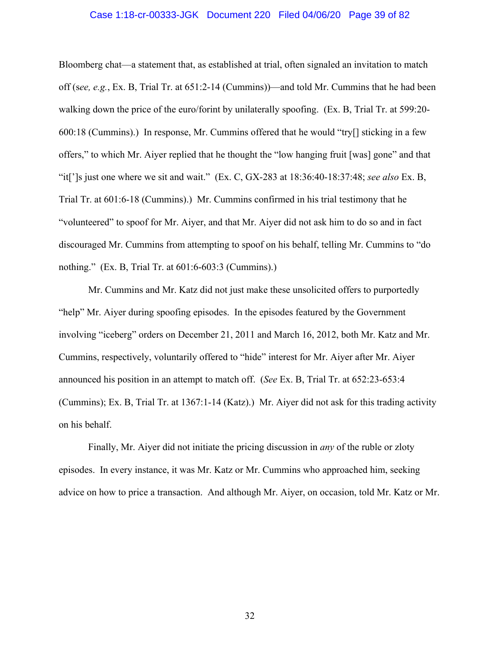#### Case 1:18-cr-00333-JGK Document 220 Filed 04/06/20 Page 39 of 82

Bloomberg chat—a statement that, as established at trial, often signaled an invitation to match off (s*ee, e.g.*, Ex. B, Trial Tr. at 651:2-14 (Cummins))—and told Mr. Cummins that he had been walking down the price of the euro/forint by unilaterally spoofing. (Ex. B, Trial Tr. at 599:20- 600:18 (Cummins).) In response, Mr. Cummins offered that he would "try[] sticking in a few offers," to which Mr. Aiyer replied that he thought the "low hanging fruit [was] gone" and that "it[']s just one where we sit and wait." (Ex. C, GX-283 at 18:36:40-18:37:48; *see also* Ex. B, Trial Tr. at 601:6-18 (Cummins).) Mr. Cummins confirmed in his trial testimony that he "volunteered" to spoof for Mr. Aiyer, and that Mr. Aiyer did not ask him to do so and in fact discouraged Mr. Cummins from attempting to spoof on his behalf, telling Mr. Cummins to "do nothing." (Ex. B, Trial Tr. at 601:6-603:3 (Cummins).)

Mr. Cummins and Mr. Katz did not just make these unsolicited offers to purportedly "help" Mr. Aiyer during spoofing episodes. In the episodes featured by the Government involving "iceberg" orders on December 21, 2011 and March 16, 2012, both Mr. Katz and Mr. Cummins, respectively, voluntarily offered to "hide" interest for Mr. Aiyer after Mr. Aiyer announced his position in an attempt to match off. (*See* Ex. B, Trial Tr. at 652:23-653:4 (Cummins); Ex. B, Trial Tr. at 1367:1-14 (Katz).) Mr. Aiyer did not ask for this trading activity on his behalf.

Finally, Mr. Aiyer did not initiate the pricing discussion in *any* of the ruble or zloty episodes. In every instance, it was Mr. Katz or Mr. Cummins who approached him, seeking advice on how to price a transaction. And although Mr. Aiyer, on occasion, told Mr. Katz or Mr.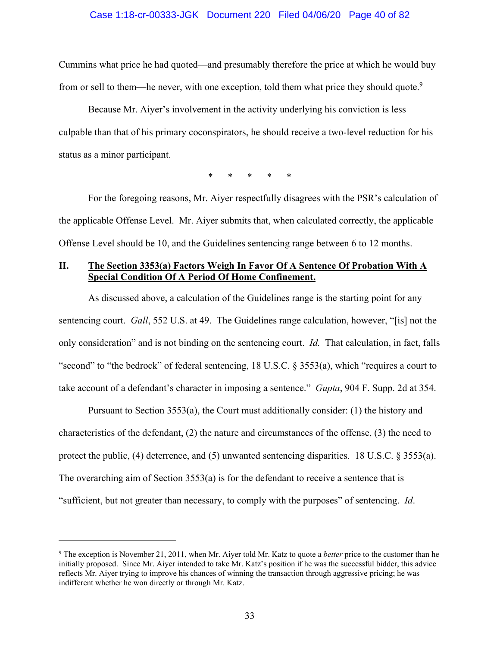#### Case 1:18-cr-00333-JGK Document 220 Filed 04/06/20 Page 40 of 82

Cummins what price he had quoted—and presumably therefore the price at which he would buy from or sell to them—he never, with one exception, told them what price they should quote.<sup>9</sup>

Because Mr. Aiyer's involvement in the activity underlying his conviction is less culpable than that of his primary coconspirators, he should receive a two-level reduction for his status as a minor participant.

\* \* \* \* \*

For the foregoing reasons, Mr. Aiyer respectfully disagrees with the PSR's calculation of the applicable Offense Level. Mr. Aiyer submits that, when calculated correctly, the applicable Offense Level should be 10, and the Guidelines sentencing range between 6 to 12 months.

# **II. The Section 3353(a) Factors Weigh In Favor Of A Sentence Of Probation With A Special Condition Of A Period Of Home Confinement.**

As discussed above, a calculation of the Guidelines range is the starting point for any sentencing court. *Gall*, 552 U.S. at 49. The Guidelines range calculation, however, "[is] not the only consideration" and is not binding on the sentencing court. *Id.* That calculation, in fact, falls "second" to "the bedrock" of federal sentencing, 18 U.S.C. § 3553(a), which "requires a court to take account of a defendant's character in imposing a sentence." *Gupta*, 904 F. Supp. 2d at 354.

Pursuant to Section 3553(a), the Court must additionally consider: (1) the history and characteristics of the defendant, (2) the nature and circumstances of the offense, (3) the need to protect the public, (4) deterrence, and (5) unwanted sentencing disparities. 18 U.S.C. § 3553(a). The overarching aim of Section  $3553(a)$  is for the defendant to receive a sentence that is "sufficient, but not greater than necessary, to comply with the purposes" of sentencing. *Id*.

<sup>9</sup> The exception is November 21, 2011, when Mr. Aiyer told Mr. Katz to quote a *better* price to the customer than he initially proposed. Since Mr. Aiyer intended to take Mr. Katz's position if he was the successful bidder, this advice reflects Mr. Aiyer trying to improve his chances of winning the transaction through aggressive pricing; he was indifferent whether he won directly or through Mr. Katz.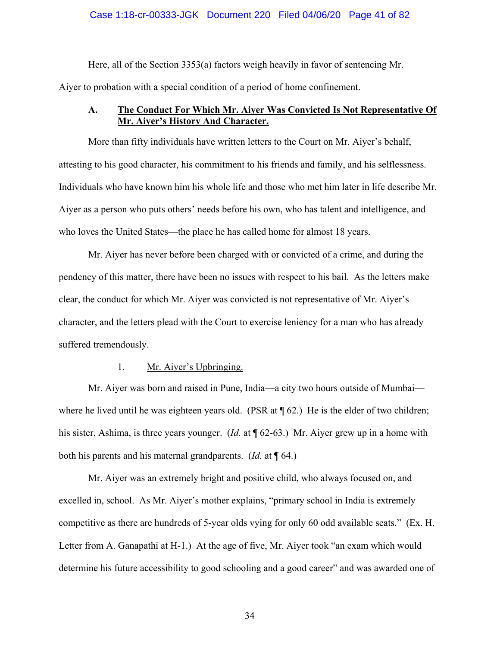### Case 1:18-cr-00333-JGK Document 220 Filed 04/06/20 Page 41 of 82

Here, all of the Section 3353(a) factors weigh heavily in favor of sentencing Mr.

Aiyer to probation with a special condition of a period of home confinement.

# **A. The Conduct For Which Mr. Aiyer Was Convicted Is Not Representative Of Mr. Aiyer's History And Character.**

More than fifty individuals have written letters to the Court on Mr. Aiyer's behalf, attesting to his good character, his commitment to his friends and family, and his selflessness. Individuals who have known him his whole life and those who met him later in life describe Mr. Aiyer as a person who puts others' needs before his own, who has talent and intelligence, and who loves the United States—the place he has called home for almost 18 years.

Mr. Aiyer has never before been charged with or convicted of a crime, and during the pendency of this matter, there have been no issues with respect to his bail. As the letters make clear, the conduct for which Mr. Aiyer was convicted is not representative of Mr. Aiyer's character, and the letters plead with the Court to exercise leniency for a man who has already suffered tremendously.

## 1. Mr. Aiyer's Upbringing.

Mr. Aiyer was born and raised in Pune, India—a city two hours outside of Mumbai where he lived until he was eighteen years old. (PSR at  $\P$  62.) He is the elder of two children; his sister, Ashima, is three years younger. (*Id.* at ¶ 62-63.) Mr. Aiyer grew up in a home with both his parents and his maternal grandparents. (*Id.* at ¶ 64.)

Mr. Aiyer was an extremely bright and positive child, who always focused on, and excelled in, school. As Mr. Aiyer's mother explains, "primary school in India is extremely competitive as there are hundreds of 5-year olds vying for only 60 odd available seats." (Ex. H, Letter from A. Ganapathi at H-1.) At the age of five, Mr. Aiyer took "an exam which would determine his future accessibility to good schooling and a good career" and was awarded one of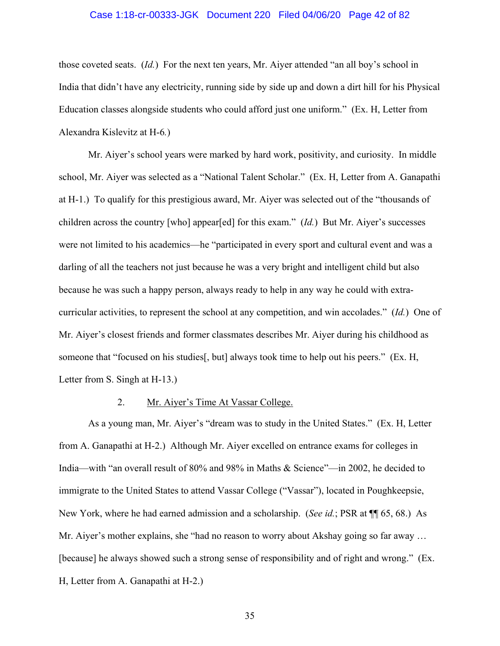### Case 1:18-cr-00333-JGK Document 220 Filed 04/06/20 Page 42 of 82

those coveted seats. (*Id.*) For the next ten years, Mr. Aiyer attended "an all boy's school in India that didn't have any electricity, running side by side up and down a dirt hill for his Physical Education classes alongside students who could afford just one uniform." (Ex. H, Letter from Alexandra Kislevitz at H-6*.*)

Mr. Aiyer's school years were marked by hard work, positivity, and curiosity. In middle school, Mr. Aiyer was selected as a "National Talent Scholar." (Ex. H, Letter from A. Ganapathi at H-1.) To qualify for this prestigious award, Mr. Aiyer was selected out of the "thousands of children across the country [who] appear[ed] for this exam." (*Id.*) But Mr. Aiyer's successes were not limited to his academics—he "participated in every sport and cultural event and was a darling of all the teachers not just because he was a very bright and intelligent child but also because he was such a happy person, always ready to help in any way he could with extracurricular activities, to represent the school at any competition, and win accolades." (*Id.*) One of Mr. Aiyer's closest friends and former classmates describes Mr. Aiyer during his childhood as someone that "focused on his studies[, but] always took time to help out his peers." (Ex. H, Letter from S. Singh at H-13.)

### 2. Mr. Aiyer's Time At Vassar College.

As a young man, Mr. Aiyer's "dream was to study in the United States." (Ex. H, Letter from A. Ganapathi at H-2.) Although Mr. Aiyer excelled on entrance exams for colleges in India—with "an overall result of 80% and 98% in Maths & Science"—in 2002, he decided to immigrate to the United States to attend Vassar College ("Vassar"), located in Poughkeepsie, New York, where he had earned admission and a scholarship. (*See id.*; PSR at ¶¶ 65, 68.) As Mr. Aiyer's mother explains, she "had no reason to worry about Akshay going so far away ... [because] he always showed such a strong sense of responsibility and of right and wrong." (Ex. H, Letter from A. Ganapathi at H-2.)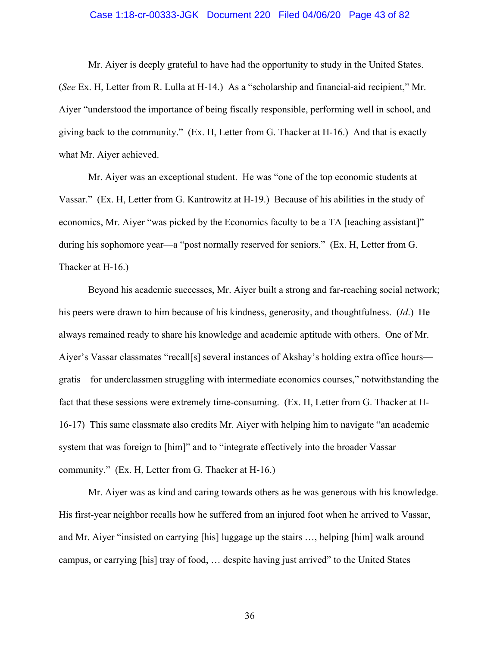#### Case 1:18-cr-00333-JGK Document 220 Filed 04/06/20 Page 43 of 82

Mr. Aiyer is deeply grateful to have had the opportunity to study in the United States. (*See* Ex. H, Letter from R. Lulla at H-14.) As a "scholarship and financial-aid recipient," Mr. Aiyer "understood the importance of being fiscally responsible, performing well in school, and giving back to the community." (Ex. H, Letter from G. Thacker at H-16.) And that is exactly what Mr. Aiyer achieved.

Mr. Aiyer was an exceptional student. He was "one of the top economic students at Vassar." (Ex. H, Letter from G. Kantrowitz at H-19.) Because of his abilities in the study of economics, Mr. Aiyer "was picked by the Economics faculty to be a TA [teaching assistant]" during his sophomore year—a "post normally reserved for seniors." (Ex. H, Letter from G. Thacker at H-16.)

Beyond his academic successes, Mr. Aiyer built a strong and far-reaching social network; his peers were drawn to him because of his kindness, generosity, and thoughtfulness. (*Id*.) He always remained ready to share his knowledge and academic aptitude with others. One of Mr. Aiyer's Vassar classmates "recall[s] several instances of Akshay's holding extra office hours gratis—for underclassmen struggling with intermediate economics courses," notwithstanding the fact that these sessions were extremely time-consuming. (Ex. H, Letter from G. Thacker at H-16-17) This same classmate also credits Mr. Aiyer with helping him to navigate "an academic system that was foreign to [him]" and to "integrate effectively into the broader Vassar community." (Ex. H, Letter from G. Thacker at H-16.)

Mr. Aiyer was as kind and caring towards others as he was generous with his knowledge. His first-year neighbor recalls how he suffered from an injured foot when he arrived to Vassar, and Mr. Aiyer "insisted on carrying [his] luggage up the stairs …, helping [him] walk around campus, or carrying [his] tray of food, … despite having just arrived" to the United States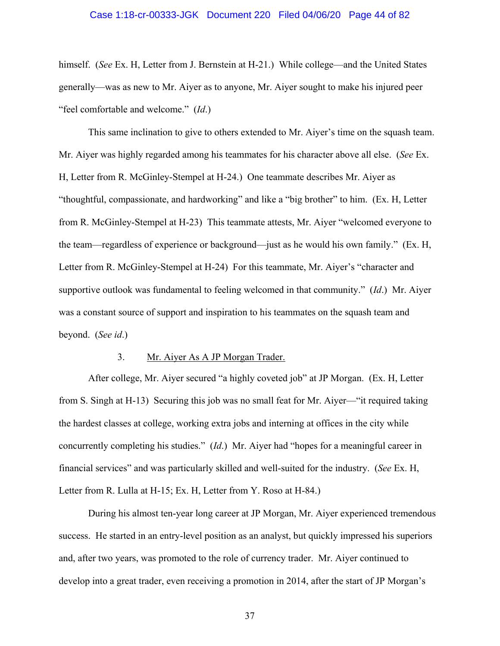#### Case 1:18-cr-00333-JGK Document 220 Filed 04/06/20 Page 44 of 82

himself. (*See* Ex. H, Letter from J. Bernstein at H-21.) While college—and the United States generally—was as new to Mr. Aiyer as to anyone, Mr. Aiyer sought to make his injured peer "feel comfortable and welcome." (*Id*.)

This same inclination to give to others extended to Mr. Aiyer's time on the squash team. Mr. Aiyer was highly regarded among his teammates for his character above all else. (*See* Ex. H, Letter from R. McGinley-Stempel at H-24.) One teammate describes Mr. Aiyer as "thoughtful, compassionate, and hardworking" and like a "big brother" to him. (Ex. H, Letter from R. McGinley-Stempel at H-23) This teammate attests, Mr. Aiyer "welcomed everyone to the team—regardless of experience or background—just as he would his own family." (Ex. H, Letter from R. McGinley-Stempel at H-24) For this teammate, Mr. Aiyer's "character and supportive outlook was fundamental to feeling welcomed in that community." (*Id*.) Mr. Aiyer was a constant source of support and inspiration to his teammates on the squash team and beyond. (*See id*.)

### 3. Mr. Aiyer As A JP Morgan Trader.

After college, Mr. Aiyer secured "a highly coveted job" at JP Morgan. (Ex. H, Letter from S. Singh at H-13) Securing this job was no small feat for Mr. Aiyer—"it required taking the hardest classes at college, working extra jobs and interning at offices in the city while concurrently completing his studies." (*Id*.) Mr. Aiyer had "hopes for a meaningful career in financial services" and was particularly skilled and well-suited for the industry. (*See* Ex. H, Letter from R. Lulla at H-15; Ex. H, Letter from Y. Roso at H-84.)

During his almost ten-year long career at JP Morgan, Mr. Aiyer experienced tremendous success. He started in an entry-level position as an analyst, but quickly impressed his superiors and, after two years, was promoted to the role of currency trader. Mr. Aiyer continued to develop into a great trader, even receiving a promotion in 2014, after the start of JP Morgan's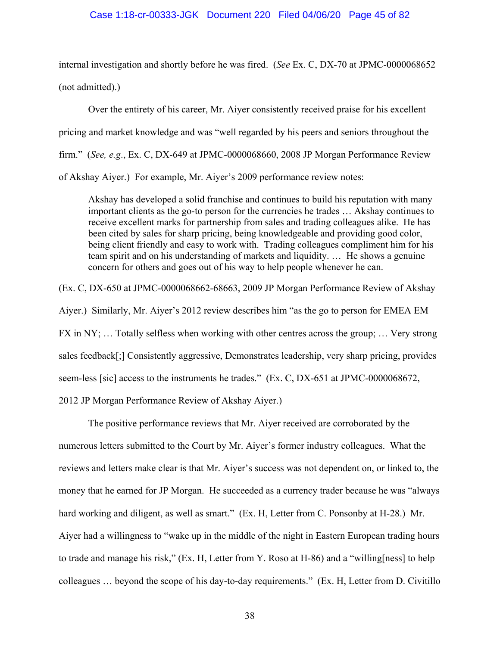#### Case 1:18-cr-00333-JGK Document 220 Filed 04/06/20 Page 45 of 82

internal investigation and shortly before he was fired. (*See* Ex. C, DX-70 at JPMC-0000068652

(not admitted).)

Over the entirety of his career, Mr. Aiyer consistently received praise for his excellent pricing and market knowledge and was "well regarded by his peers and seniors throughout the firm." (*See, e.g*., Ex. C, DX-649 at JPMC-0000068660, 2008 JP Morgan Performance Review of Akshay Aiyer.) For example, Mr. Aiyer's 2009 performance review notes:

Akshay has developed a solid franchise and continues to build his reputation with many important clients as the go-to person for the currencies he trades … Akshay continues to receive excellent marks for partnership from sales and trading colleagues alike. He has been cited by sales for sharp pricing, being knowledgeable and providing good color, being client friendly and easy to work with. Trading colleagues compliment him for his team spirit and on his understanding of markets and liquidity. … He shows a genuine concern for others and goes out of his way to help people whenever he can.

(Ex. C, DX-650 at JPMC-0000068662-68663, 2009 JP Morgan Performance Review of Akshay Aiyer.) Similarly, Mr. Aiyer's 2012 review describes him "as the go to person for EMEA EM FX in NY; … Totally selfless when working with other centres across the group; … Very strong sales feedback[;] Consistently aggressive, Demonstrates leadership, very sharp pricing, provides seem-less [sic] access to the instruments he trades." (Ex. C, DX-651 at JPMC-0000068672, 2012 JP Morgan Performance Review of Akshay Aiyer.)

The positive performance reviews that Mr. Aiyer received are corroborated by the numerous letters submitted to the Court by Mr. Aiyer's former industry colleagues. What the reviews and letters make clear is that Mr. Aiyer's success was not dependent on, or linked to, the money that he earned for JP Morgan. He succeeded as a currency trader because he was "always hard working and diligent, as well as smart." (Ex. H, Letter from C. Ponsonby at H-28.) Mr. Aiyer had a willingness to "wake up in the middle of the night in Eastern European trading hours to trade and manage his risk," (Ex. H, Letter from Y. Roso at H-86) and a "willing[ness] to help colleagues … beyond the scope of his day-to-day requirements." (Ex. H, Letter from D. Civitillo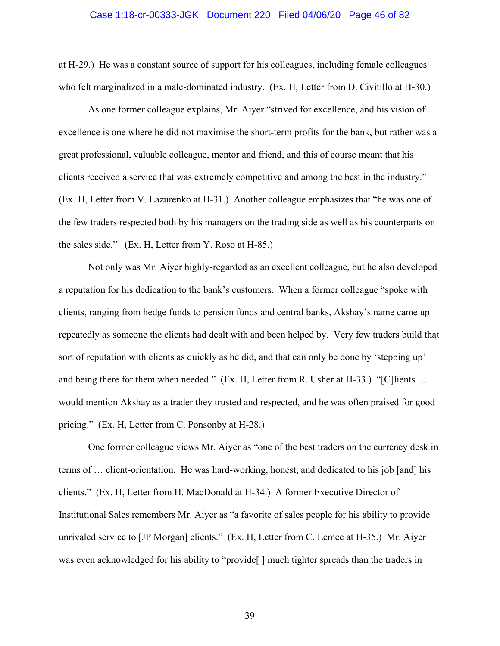#### Case 1:18-cr-00333-JGK Document 220 Filed 04/06/20 Page 46 of 82

at H-29.) He was a constant source of support for his colleagues, including female colleagues who felt marginalized in a male-dominated industry. (Ex. H, Letter from D. Civitillo at H-30.)

As one former colleague explains, Mr. Aiyer "strived for excellence, and his vision of excellence is one where he did not maximise the short-term profits for the bank, but rather was a great professional, valuable colleague, mentor and friend, and this of course meant that his clients received a service that was extremely competitive and among the best in the industry." (Ex. H, Letter from V. Lazurenko at H-31.) Another colleague emphasizes that "he was one of the few traders respected both by his managers on the trading side as well as his counterparts on the sales side." (Ex. H, Letter from Y. Roso at H-85.)

Not only was Mr. Aiyer highly-regarded as an excellent colleague, but he also developed a reputation for his dedication to the bank's customers. When a former colleague "spoke with clients, ranging from hedge funds to pension funds and central banks, Akshay's name came up repeatedly as someone the clients had dealt with and been helped by. Very few traders build that sort of reputation with clients as quickly as he did, and that can only be done by 'stepping up' and being there for them when needed." (Ex. H, Letter from R. Usher at H-33.) "[C]lients … would mention Akshay as a trader they trusted and respected, and he was often praised for good pricing." (Ex. H, Letter from C. Ponsonby at H-28.)

One former colleague views Mr. Aiyer as "one of the best traders on the currency desk in terms of … client-orientation. He was hard-working, honest, and dedicated to his job [and] his clients." (Ex. H, Letter from H. MacDonald at H-34.) A former Executive Director of Institutional Sales remembers Mr. Aiyer as "a favorite of sales people for his ability to provide unrivaled service to [JP Morgan] clients." (Ex. H, Letter from C. Lemee at H-35.) Mr. Aiyer was even acknowledged for his ability to "provide" | much tighter spreads than the traders in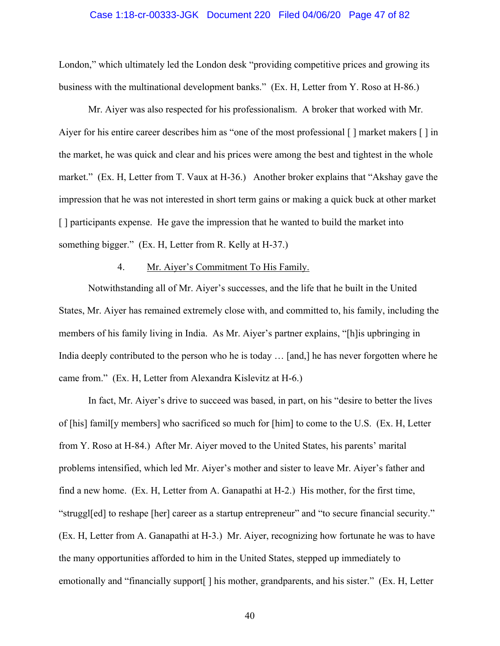#### Case 1:18-cr-00333-JGK Document 220 Filed 04/06/20 Page 47 of 82

London," which ultimately led the London desk "providing competitive prices and growing its business with the multinational development banks." (Ex. H, Letter from Y. Roso at H-86.)

Mr. Aiyer was also respected for his professionalism. A broker that worked with Mr. Aiyer for his entire career describes him as "one of the most professional [] market makers [] in the market, he was quick and clear and his prices were among the best and tightest in the whole market." (Ex. H, Letter from T. Vaux at H-36.) Another broker explains that "Akshay gave the impression that he was not interested in short term gains or making a quick buck at other market [] participants expense. He gave the impression that he wanted to build the market into something bigger." (Ex. H, Letter from R. Kelly at H-37.)

### 4. Mr. Aiyer's Commitment To His Family.

Notwithstanding all of Mr. Aiyer's successes, and the life that he built in the United States, Mr. Aiyer has remained extremely close with, and committed to, his family, including the members of his family living in India. As Mr. Aiyer's partner explains, "[h]is upbringing in India deeply contributed to the person who he is today … [and,] he has never forgotten where he came from." (Ex. H, Letter from Alexandra Kislevitz at H-6.)

In fact, Mr. Aiyer's drive to succeed was based, in part, on his "desire to better the lives of [his] famil[y members] who sacrificed so much for [him] to come to the U.S. (Ex. H, Letter from Y. Roso at H-84.) After Mr. Aiyer moved to the United States, his parents' marital problems intensified, which led Mr. Aiyer's mother and sister to leave Mr. Aiyer's father and find a new home. (Ex. H, Letter from A. Ganapathi at H-2.) His mother, for the first time, "struggl[ed] to reshape [her] career as a startup entrepreneur" and "to secure financial security." (Ex. H, Letter from A. Ganapathi at H-3.) Mr. Aiyer, recognizing how fortunate he was to have the many opportunities afforded to him in the United States, stepped up immediately to emotionally and "financially support[ ] his mother, grandparents, and his sister." (Ex. H, Letter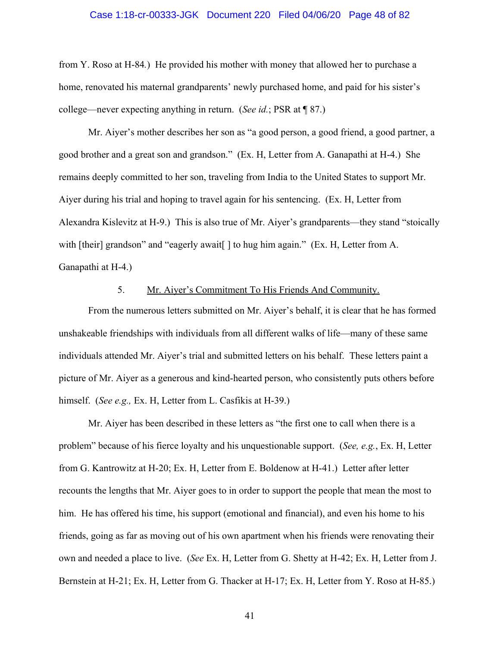#### Case 1:18-cr-00333-JGK Document 220 Filed 04/06/20 Page 48 of 82

from Y. Roso at H-84*.*) He provided his mother with money that allowed her to purchase a home, renovated his maternal grandparents' newly purchased home, and paid for his sister's college—never expecting anything in return. (*See id.*; PSR at ¶ 87.)

Mr. Aiyer's mother describes her son as "a good person, a good friend, a good partner, a good brother and a great son and grandson." (Ex. H, Letter from A. Ganapathi at H-4.) She remains deeply committed to her son, traveling from India to the United States to support Mr. Aiyer during his trial and hoping to travel again for his sentencing. (Ex. H, Letter from Alexandra Kislevitz at H-9.) This is also true of Mr. Aiyer's grandparents—they stand "stoically with [their] grandson" and "eagerly await [] to hug him again." (Ex. H, Letter from A. Ganapathi at H-4.)

### 5. Mr. Aiyer's Commitment To His Friends And Community.

From the numerous letters submitted on Mr. Aiyer's behalf, it is clear that he has formed unshakeable friendships with individuals from all different walks of life—many of these same individuals attended Mr. Aiyer's trial and submitted letters on his behalf. These letters paint a picture of Mr. Aiyer as a generous and kind-hearted person, who consistently puts others before himself. (*See e.g.,* Ex. H, Letter from L. Casfikis at H-39.)

Mr. Aiyer has been described in these letters as "the first one to call when there is a problem" because of his fierce loyalty and his unquestionable support. (*See, e.g.*, Ex. H, Letter from G. Kantrowitz at H-20; Ex. H, Letter from E. Boldenow at H-41.) Letter after letter recounts the lengths that Mr. Aiyer goes to in order to support the people that mean the most to him. He has offered his time, his support (emotional and financial), and even his home to his friends, going as far as moving out of his own apartment when his friends were renovating their own and needed a place to live. (*See* Ex. H, Letter from G. Shetty at H-42; Ex. H, Letter from J. Bernstein at H-21; Ex. H, Letter from G. Thacker at H-17; Ex. H, Letter from Y. Roso at H-85.)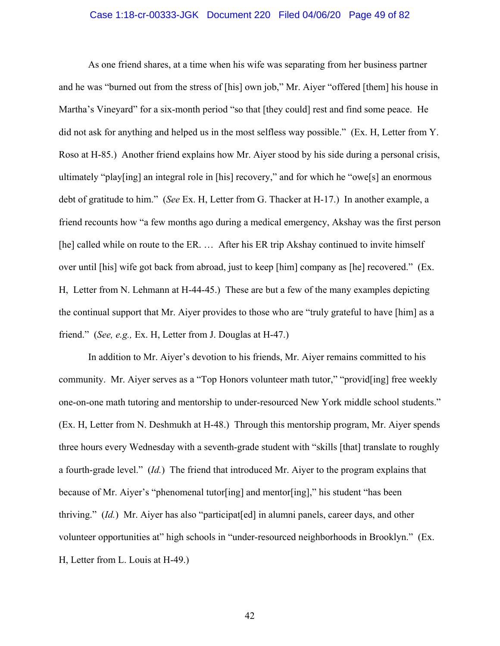#### Case 1:18-cr-00333-JGK Document 220 Filed 04/06/20 Page 49 of 82

As one friend shares, at a time when his wife was separating from her business partner and he was "burned out from the stress of [his] own job," Mr. Aiyer "offered [them] his house in Martha's Vineyard" for a six-month period "so that [they could] rest and find some peace. He did not ask for anything and helped us in the most selfless way possible." (Ex. H, Letter from Y. Roso at H-85.) Another friend explains how Mr. Aiyer stood by his side during a personal crisis, ultimately "play[ing] an integral role in [his] recovery," and for which he "owe[s] an enormous debt of gratitude to him." (*See* Ex. H, Letter from G. Thacker at H-17.) In another example, a friend recounts how "a few months ago during a medical emergency, Akshay was the first person [he] called while on route to the ER. … After his ER trip Akshay continued to invite himself over until [his] wife got back from abroad, just to keep [him] company as [he] recovered." (Ex. H,Letter from N. Lehmann at H-44-45.) These are but a few of the many examples depicting the continual support that Mr. Aiyer provides to those who are "truly grateful to have [him] as a friend." (*See, e.g.,* Ex. H, Letter from J. Douglas at H-47.)

In addition to Mr. Aiyer's devotion to his friends, Mr. Aiyer remains committed to his community. Mr. Aiyer serves as a "Top Honors volunteer math tutor," "provid[ing] free weekly one-on-one math tutoring and mentorship to under-resourced New York middle school students." (Ex. H, Letter from N. Deshmukh at H-48.) Through this mentorship program, Mr. Aiyer spends three hours every Wednesday with a seventh-grade student with "skills [that] translate to roughly a fourth-grade level." (*Id.*) The friend that introduced Mr. Aiyer to the program explains that because of Mr. Aiyer's "phenomenal tutor[ing] and mentor[ing]," his student "has been thriving." (*Id.*) Mr. Aiyer has also "participat[ed] in alumni panels, career days, and other volunteer opportunities at" high schools in "under-resourced neighborhoods in Brooklyn." (Ex. H, Letter from L. Louis at H-49.)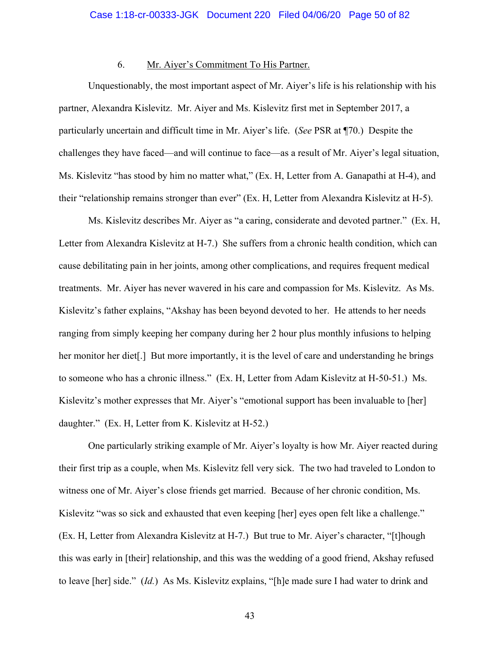### 6. Mr. Aiyer's Commitment To His Partner.

Unquestionably, the most important aspect of Mr. Aiyer's life is his relationship with his partner, Alexandra Kislevitz. Mr. Aiyer and Ms. Kislevitz first met in September 2017, a particularly uncertain and difficult time in Mr. Aiyer's life. (*See* PSR at ¶70.) Despite the challenges they have faced—and will continue to face—as a result of Mr. Aiyer's legal situation, Ms. Kislevitz "has stood by him no matter what," (Ex. H, Letter from A. Ganapathi at H-4), and their "relationship remains stronger than ever" (Ex. H, Letter from Alexandra Kislevitz at H-5).

Ms. Kislevitz describes Mr. Aiyer as "a caring, considerate and devoted partner." (Ex. H, Letter from Alexandra Kislevitz at H-7.) She suffers from a chronic health condition, which can cause debilitating pain in her joints, among other complications, and requires frequent medical treatments. Mr. Aiyer has never wavered in his care and compassion for Ms. Kislevitz. As Ms. Kislevitz's father explains, "Akshay has been beyond devoted to her. He attends to her needs ranging from simply keeping her company during her 2 hour plus monthly infusions to helping her monitor her diet[.] But more importantly, it is the level of care and understanding he brings to someone who has a chronic illness." (Ex. H, Letter from Adam Kislevitz at H-50-51.) Ms. Kislevitz's mother expresses that Mr. Aiyer's "emotional support has been invaluable to [her] daughter." (Ex. H, Letter from K. Kislevitz at H-52.)

One particularly striking example of Mr. Aiyer's loyalty is how Mr. Aiyer reacted during their first trip as a couple, when Ms. Kislevitz fell very sick. The two had traveled to London to witness one of Mr. Aiyer's close friends get married. Because of her chronic condition, Ms. Kislevitz "was so sick and exhausted that even keeping [her] eyes open felt like a challenge." (Ex. H, Letter from Alexandra Kislevitz at H-7.) But true to Mr. Aiyer's character, "[t]hough this was early in [their] relationship, and this was the wedding of a good friend, Akshay refused to leave [her] side." (*Id.*) As Ms. Kislevitz explains, "[h]e made sure I had water to drink and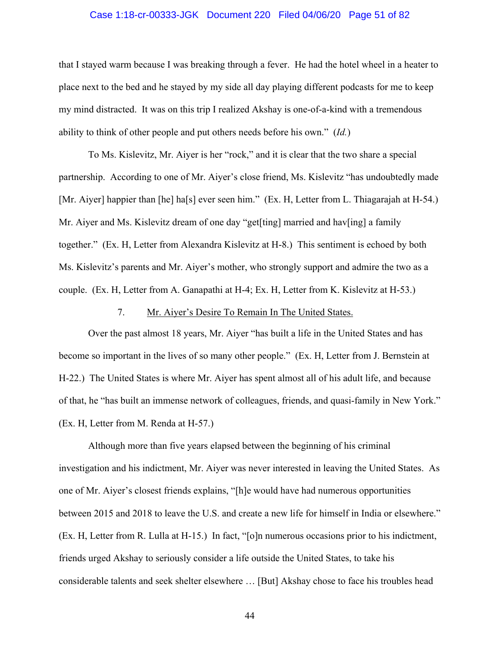### Case 1:18-cr-00333-JGK Document 220 Filed 04/06/20 Page 51 of 82

that I stayed warm because I was breaking through a fever. He had the hotel wheel in a heater to place next to the bed and he stayed by my side all day playing different podcasts for me to keep my mind distracted. It was on this trip I realized Akshay is one-of-a-kind with a tremendous ability to think of other people and put others needs before his own." (*Id.*)

To Ms. Kislevitz, Mr. Aiyer is her "rock," and it is clear that the two share a special partnership. According to one of Mr. Aiyer's close friend, Ms. Kislevitz "has undoubtedly made [Mr. Aiyer] happier than [he] ha[s] ever seen him." (Ex. H, Letter from L. Thiagarajah at H-54.) Mr. Aiyer and Ms. Kislevitz dream of one day "get[ting] married and hav[ing] a family together." (Ex. H, Letter from Alexandra Kislevitz at H-8.) This sentiment is echoed by both Ms. Kislevitz's parents and Mr. Aiyer's mother, who strongly support and admire the two as a couple. (Ex. H, Letter from A. Ganapathi at H-4; Ex. H, Letter from K. Kislevitz at H-53.)

#### 7. Mr. Aiyer's Desire To Remain In The United States.

Over the past almost 18 years, Mr. Aiyer "has built a life in the United States and has become so important in the lives of so many other people." (Ex. H, Letter from J. Bernstein at H-22.) The United States is where Mr. Aiyer has spent almost all of his adult life, and because of that, he "has built an immense network of colleagues, friends, and quasi-family in New York." (Ex. H, Letter from M. Renda at H-57.)

Although more than five years elapsed between the beginning of his criminal investigation and his indictment, Mr. Aiyer was never interested in leaving the United States. As one of Mr. Aiyer's closest friends explains, "[h]e would have had numerous opportunities between 2015 and 2018 to leave the U.S. and create a new life for himself in India or elsewhere." (Ex. H, Letter from R. Lulla at H-15.) In fact, "[o]n numerous occasions prior to his indictment, friends urged Akshay to seriously consider a life outside the United States, to take his considerable talents and seek shelter elsewhere … [But] Akshay chose to face his troubles head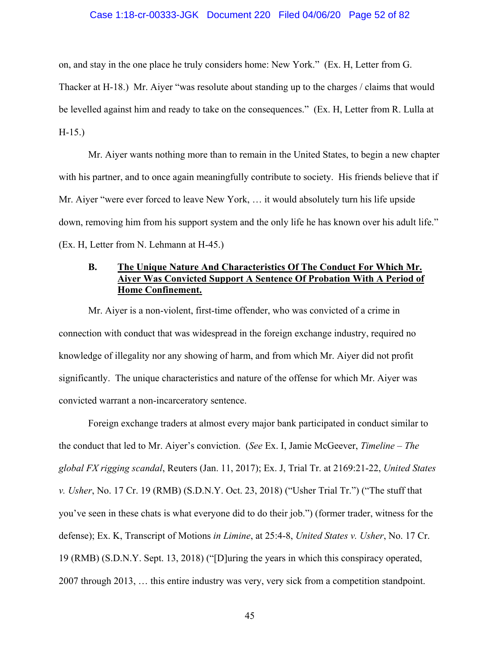#### Case 1:18-cr-00333-JGK Document 220 Filed 04/06/20 Page 52 of 82

on, and stay in the one place he truly considers home: New York." (Ex. H, Letter from G.

Thacker at H-18.) Mr. Aiyer "was resolute about standing up to the charges / claims that would be levelled against him and ready to take on the consequences." (Ex. H, Letter from R. Lulla at H-15.)

Mr. Aiyer wants nothing more than to remain in the United States, to begin a new chapter with his partner, and to once again meaningfully contribute to society. His friends believe that if Mr. Aiyer "were ever forced to leave New York, … it would absolutely turn his life upside down, removing him from his support system and the only life he has known over his adult life." (Ex. H, Letter from N. Lehmann at H-45.)

## **B. The Unique Nature And Characteristics Of The Conduct For Which Mr. Aiyer Was Convicted Support A Sentence Of Probation With A Period of Home Confinement.**

Mr. Aiyer is a non-violent, first-time offender, who was convicted of a crime in connection with conduct that was widespread in the foreign exchange industry, required no knowledge of illegality nor any showing of harm, and from which Mr. Aiyer did not profit significantly. The unique characteristics and nature of the offense for which Mr. Aiyer was convicted warrant a non-incarceratory sentence.

Foreign exchange traders at almost every major bank participated in conduct similar to the conduct that led to Mr. Aiyer's conviction. (*See* Ex. I, Jamie McGeever, *Timeline – The global FX rigging scandal*, Reuters (Jan. 11, 2017); Ex. J, Trial Tr. at 2169:21-22, *United States v. Usher*, No. 17 Cr. 19 (RMB) (S.D.N.Y. Oct. 23, 2018) ("Usher Trial Tr.") ("The stuff that you've seen in these chats is what everyone did to do their job.") (former trader, witness for the defense); Ex. K, Transcript of Motions *in Limine*, at 25:4-8, *United States v. Usher*, No. 17 Cr. 19 (RMB) (S.D.N.Y. Sept. 13, 2018) ("[D]uring the years in which this conspiracy operated, 2007 through 2013, … this entire industry was very, very sick from a competition standpoint.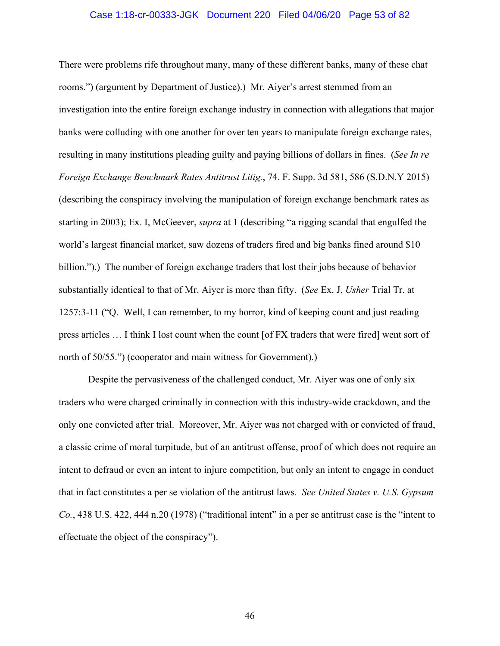#### Case 1:18-cr-00333-JGK Document 220 Filed 04/06/20 Page 53 of 82

There were problems rife throughout many, many of these different banks, many of these chat rooms.") (argument by Department of Justice).) Mr. Aiyer's arrest stemmed from an investigation into the entire foreign exchange industry in connection with allegations that major banks were colluding with one another for over ten years to manipulate foreign exchange rates, resulting in many institutions pleading guilty and paying billions of dollars in fines. (*See In re Foreign Exchange Benchmark Rates Antitrust Litig.*, 74. F. Supp. 3d 581, 586 (S.D.N.Y 2015) (describing the conspiracy involving the manipulation of foreign exchange benchmark rates as starting in 2003); Ex. I, McGeever, *supra* at 1 (describing "a rigging scandal that engulfed the world's largest financial market, saw dozens of traders fired and big banks fined around \$10 billion.").) The number of foreign exchange traders that lost their jobs because of behavior substantially identical to that of Mr. Aiyer is more than fifty. (*See* Ex. J, *Usher* Trial Tr. at 1257:3-11 ("Q. Well, I can remember, to my horror, kind of keeping count and just reading press articles … I think I lost count when the count [of FX traders that were fired] went sort of north of 50/55.") (cooperator and main witness for Government).)

Despite the pervasiveness of the challenged conduct, Mr. Aiyer was one of only six traders who were charged criminally in connection with this industry-wide crackdown, and the only one convicted after trial. Moreover, Mr. Aiyer was not charged with or convicted of fraud, a classic crime of moral turpitude, but of an antitrust offense, proof of which does not require an intent to defraud or even an intent to injure competition, but only an intent to engage in conduct that in fact constitutes a per se violation of the antitrust laws. *See United States v. U.S. Gypsum Co.*, 438 U.S. 422, 444 n.20 (1978) ("traditional intent" in a per se antitrust case is the "intent to effectuate the object of the conspiracy").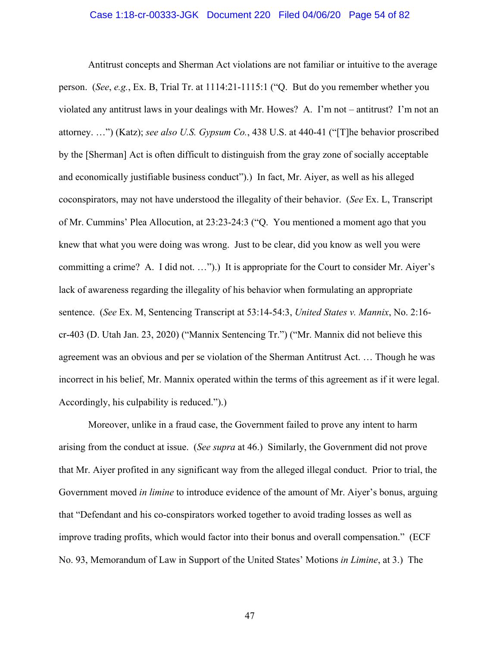Antitrust concepts and Sherman Act violations are not familiar or intuitive to the average person. (*See*, *e.g.*, Ex. B, Trial Tr. at 1114:21-1115:1 ("Q. But do you remember whether you violated any antitrust laws in your dealings with Mr. Howes? A. I'm not – antitrust? I'm not an attorney. …") (Katz); *see also U.S. Gypsum Co.*, 438 U.S. at 440-41 ("[T]he behavior proscribed by the [Sherman] Act is often difficult to distinguish from the gray zone of socially acceptable and economically justifiable business conduct").) In fact, Mr. Aiyer, as well as his alleged coconspirators, may not have understood the illegality of their behavior. (*See* Ex. L, Transcript of Mr. Cummins' Plea Allocution, at 23:23-24:3 ("Q. You mentioned a moment ago that you knew that what you were doing was wrong. Just to be clear, did you know as well you were committing a crime? A. I did not. …").) It is appropriate for the Court to consider Mr. Aiyer's lack of awareness regarding the illegality of his behavior when formulating an appropriate sentence. (*See* Ex. M, Sentencing Transcript at 53:14-54:3, *United States v. Mannix*, No. 2:16 cr-403 (D. Utah Jan. 23, 2020) ("Mannix Sentencing Tr.") ("Mr. Mannix did not believe this agreement was an obvious and per se violation of the Sherman Antitrust Act. … Though he was incorrect in his belief, Mr. Mannix operated within the terms of this agreement as if it were legal. Accordingly, his culpability is reduced.").)

Moreover, unlike in a fraud case, the Government failed to prove any intent to harm arising from the conduct at issue. (*See supra* at 46.) Similarly, the Government did not prove that Mr. Aiyer profited in any significant way from the alleged illegal conduct. Prior to trial, the Government moved *in limine* to introduce evidence of the amount of Mr. Aiyer's bonus, arguing that "Defendant and his co-conspirators worked together to avoid trading losses as well as improve trading profits, which would factor into their bonus and overall compensation." (ECF No. 93, Memorandum of Law in Support of the United States' Motions *in Limine*, at 3.) The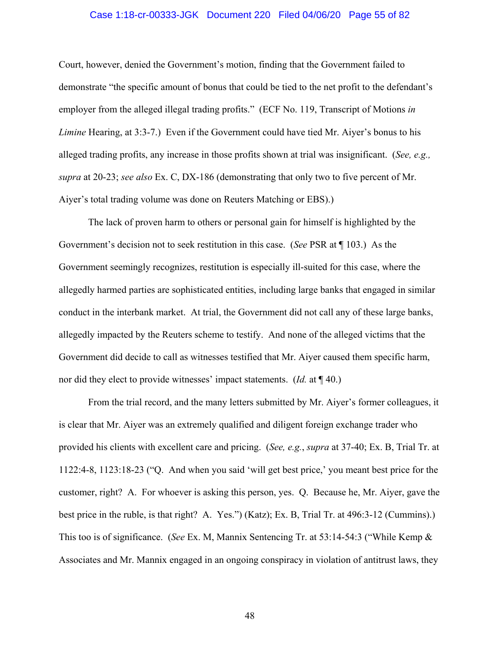#### Case 1:18-cr-00333-JGK Document 220 Filed 04/06/20 Page 55 of 82

Court, however, denied the Government's motion, finding that the Government failed to demonstrate "the specific amount of bonus that could be tied to the net profit to the defendant's employer from the alleged illegal trading profits." (ECF No. 119, Transcript of Motions *in Limine* Hearing, at 3:3-7.) Even if the Government could have tied Mr. Aiyer's bonus to his alleged trading profits, any increase in those profits shown at trial was insignificant. (*See, e.g., supra* at 20-23; *see also* Ex. C, DX-186 (demonstrating that only two to five percent of Mr. Aiyer's total trading volume was done on Reuters Matching or EBS).)

The lack of proven harm to others or personal gain for himself is highlighted by the Government's decision not to seek restitution in this case. (*See* PSR at ¶ 103.) As the Government seemingly recognizes, restitution is especially ill-suited for this case, where the allegedly harmed parties are sophisticated entities, including large banks that engaged in similar conduct in the interbank market. At trial, the Government did not call any of these large banks, allegedly impacted by the Reuters scheme to testify. And none of the alleged victims that the Government did decide to call as witnesses testified that Mr. Aiyer caused them specific harm, nor did they elect to provide witnesses' impact statements. (*Id.* at ¶ 40.)

From the trial record, and the many letters submitted by Mr. Aiyer's former colleagues, it is clear that Mr. Aiyer was an extremely qualified and diligent foreign exchange trader who provided his clients with excellent care and pricing. (*See, e.g.*, *supra* at 37-40; Ex. B, Trial Tr. at 1122:4-8, 1123:18-23 ("Q. And when you said 'will get best price,' you meant best price for the customer, right? A. For whoever is asking this person, yes. Q. Because he, Mr. Aiyer, gave the best price in the ruble, is that right? A. Yes.") (Katz); Ex. B, Trial Tr. at 496:3-12 (Cummins).) This too is of significance. (*See* Ex. M, Mannix Sentencing Tr. at 53:14-54:3 ("While Kemp & Associates and Mr. Mannix engaged in an ongoing conspiracy in violation of antitrust laws, they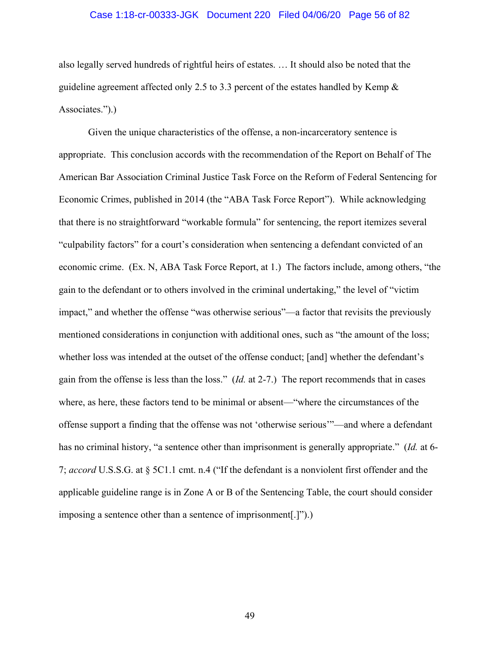#### Case 1:18-cr-00333-JGK Document 220 Filed 04/06/20 Page 56 of 82

also legally served hundreds of rightful heirs of estates. … It should also be noted that the guideline agreement affected only 2.5 to 3.3 percent of the estates handled by Kemp & Associates.").)

Given the unique characteristics of the offense, a non-incarceratory sentence is appropriate. This conclusion accords with the recommendation of the Report on Behalf of The American Bar Association Criminal Justice Task Force on the Reform of Federal Sentencing for Economic Crimes, published in 2014 (the "ABA Task Force Report"). While acknowledging that there is no straightforward "workable formula" for sentencing, the report itemizes several "culpability factors" for a court's consideration when sentencing a defendant convicted of an economic crime. (Ex. N, ABA Task Force Report, at 1.) The factors include, among others, "the gain to the defendant or to others involved in the criminal undertaking," the level of "victim impact," and whether the offense "was otherwise serious"—a factor that revisits the previously mentioned considerations in conjunction with additional ones, such as "the amount of the loss; whether loss was intended at the outset of the offense conduct; [and] whether the defendant's gain from the offense is less than the loss." (*Id.* at 2-7.) The report recommends that in cases where, as here, these factors tend to be minimal or absent—"where the circumstances of the offense support a finding that the offense was not 'otherwise serious'"—and where a defendant has no criminal history, "a sentence other than imprisonment is generally appropriate." (*Id.* at 6- 7; *accord* U.S.S.G. at § 5C1.1 cmt. n.4 ("If the defendant is a nonviolent first offender and the applicable guideline range is in Zone A or B of the Sentencing Table, the court should consider imposing a sentence other than a sentence of imprisonment[.]").)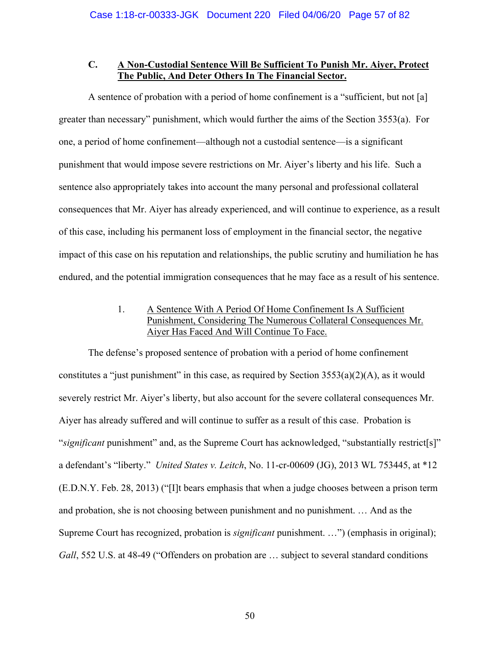# **C. A Non-Custodial Sentence Will Be Sufficient To Punish Mr. Aiyer, Protect The Public, And Deter Others In The Financial Sector.**

A sentence of probation with a period of home confinement is a "sufficient, but not [a] greater than necessary" punishment, which would further the aims of the Section 3553(a). For one, a period of home confinement—although not a custodial sentence—is a significant punishment that would impose severe restrictions on Mr. Aiyer's liberty and his life. Such a sentence also appropriately takes into account the many personal and professional collateral consequences that Mr. Aiyer has already experienced, and will continue to experience, as a result of this case, including his permanent loss of employment in the financial sector, the negative impact of this case on his reputation and relationships, the public scrutiny and humiliation he has endured, and the potential immigration consequences that he may face as a result of his sentence.

# 1. A Sentence With A Period Of Home Confinement Is A Sufficient Punishment, Considering The Numerous Collateral Consequences Mr. Aiyer Has Faced And Will Continue To Face.

The defense's proposed sentence of probation with a period of home confinement constitutes a "just punishment" in this case, as required by Section  $3553(a)(2)(A)$ , as it would severely restrict Mr. Aiyer's liberty, but also account for the severe collateral consequences Mr. Aiyer has already suffered and will continue to suffer as a result of this case. Probation is "*significant* punishment" and, as the Supreme Court has acknowledged, "substantially restrict[s]" a defendant's "liberty." *United States v. Leitch*, No. 11-cr-00609 (JG), 2013 WL 753445, at \*12 (E.D.N.Y. Feb. 28, 2013) ("[I]t bears emphasis that when a judge chooses between a prison term and probation, she is not choosing between punishment and no punishment. … And as the Supreme Court has recognized, probation is *significant* punishment. …") (emphasis in original); *Gall*, 552 U.S. at 48-49 ("Offenders on probation are … subject to several standard conditions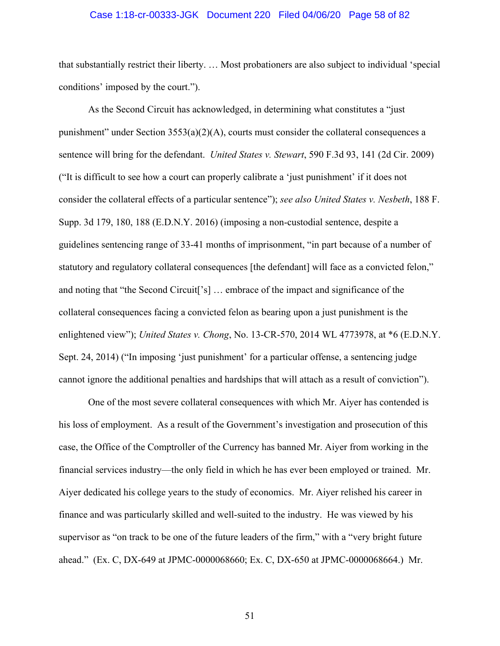#### Case 1:18-cr-00333-JGK Document 220 Filed 04/06/20 Page 58 of 82

that substantially restrict their liberty. … Most probationers are also subject to individual 'special conditions' imposed by the court.").

As the Second Circuit has acknowledged, in determining what constitutes a "just punishment" under Section 3553(a)(2)(A), courts must consider the collateral consequences a sentence will bring for the defendant. *United States v. Stewart*, 590 F.3d 93, 141 (2d Cir. 2009) ("It is difficult to see how a court can properly calibrate a 'just punishment' if it does not consider the collateral effects of a particular sentence"); *see also United States v. Nesbeth*, 188 F. Supp. 3d 179, 180, 188 (E.D.N.Y. 2016) (imposing a non-custodial sentence, despite a guidelines sentencing range of 33-41 months of imprisonment, "in part because of a number of statutory and regulatory collateral consequences [the defendant] will face as a convicted felon," and noting that "the Second Circuit['s] … embrace of the impact and significance of the collateral consequences facing a convicted felon as bearing upon a just punishment is the enlightened view"); *United States v. Chong*, No. 13-CR-570, 2014 WL 4773978, at \*6 (E.D.N.Y. Sept. 24, 2014) ("In imposing 'just punishment' for a particular offense, a sentencing judge cannot ignore the additional penalties and hardships that will attach as a result of conviction").

One of the most severe collateral consequences with which Mr. Aiyer has contended is his loss of employment. As a result of the Government's investigation and prosecution of this case, the Office of the Comptroller of the Currency has banned Mr. Aiyer from working in the financial services industry—the only field in which he has ever been employed or trained. Mr. Aiyer dedicated his college years to the study of economics. Mr. Aiyer relished his career in finance and was particularly skilled and well-suited to the industry. He was viewed by his supervisor as "on track to be one of the future leaders of the firm," with a "very bright future ahead." (Ex. C, DX-649 at JPMC-0000068660; Ex. C, DX-650 at JPMC-0000068664.) Mr.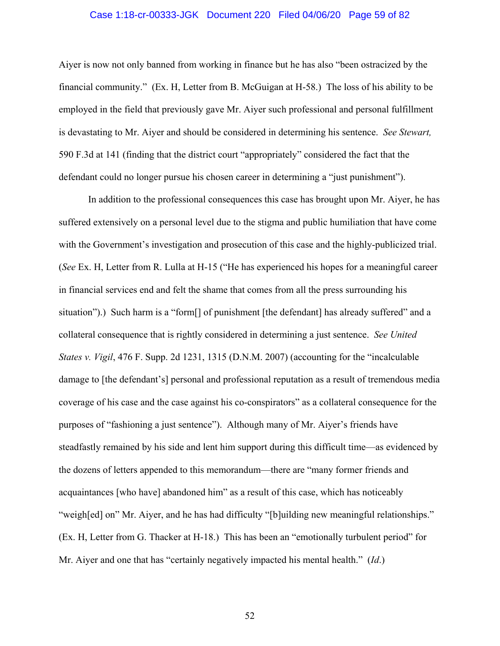### Case 1:18-cr-00333-JGK Document 220 Filed 04/06/20 Page 59 of 82

Aiyer is now not only banned from working in finance but he has also "been ostracized by the financial community." (Ex. H, Letter from B. McGuigan at H-58.) The loss of his ability to be employed in the field that previously gave Mr. Aiyer such professional and personal fulfillment is devastating to Mr. Aiyer and should be considered in determining his sentence. *See Stewart,*  590 F.3d at 141 (finding that the district court "appropriately" considered the fact that the defendant could no longer pursue his chosen career in determining a "just punishment").

In addition to the professional consequences this case has brought upon Mr. Aiyer, he has suffered extensively on a personal level due to the stigma and public humiliation that have come with the Government's investigation and prosecution of this case and the highly-publicized trial. (*See* Ex. H, Letter from R. Lulla at H-15 ("He has experienced his hopes for a meaningful career in financial services end and felt the shame that comes from all the press surrounding his situation").) Such harm is a "form[] of punishment [the defendant] has already suffered" and a collateral consequence that is rightly considered in determining a just sentence. *See United States v. Vigil*, 476 F. Supp. 2d 1231, 1315 (D.N.M. 2007) (accounting for the "incalculable damage to [the defendant's] personal and professional reputation as a result of tremendous media coverage of his case and the case against his co-conspirators" as a collateral consequence for the purposes of "fashioning a just sentence"). Although many of Mr. Aiyer's friends have steadfastly remained by his side and lent him support during this difficult time—as evidenced by the dozens of letters appended to this memorandum—there are "many former friends and acquaintances [who have] abandoned him" as a result of this case, which has noticeably "weigh[ed] on" Mr. Aiyer, and he has had difficulty "[b]uilding new meaningful relationships." (Ex. H, Letter from G. Thacker at H-18.) This has been an "emotionally turbulent period" for Mr. Aiyer and one that has "certainly negatively impacted his mental health." (*Id*.)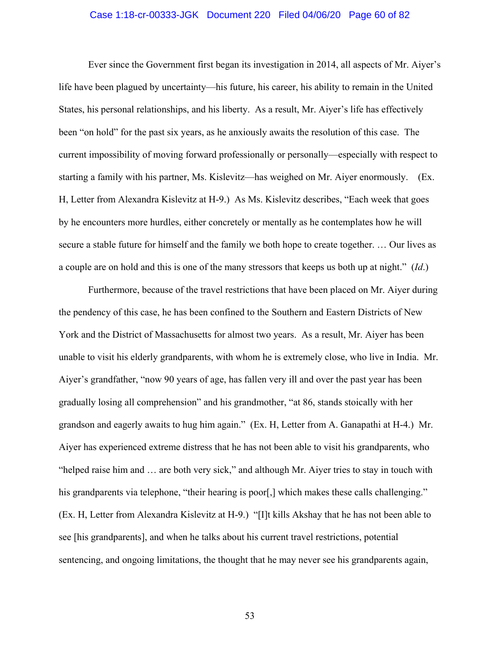#### Case 1:18-cr-00333-JGK Document 220 Filed 04/06/20 Page 60 of 82

Ever since the Government first began its investigation in 2014, all aspects of Mr. Aiyer's life have been plagued by uncertainty—his future, his career, his ability to remain in the United States, his personal relationships, and his liberty. As a result, Mr. Aiyer's life has effectively been "on hold" for the past six years, as he anxiously awaits the resolution of this case. The current impossibility of moving forward professionally or personally—especially with respect to starting a family with his partner, Ms. Kislevitz—has weighed on Mr. Aiyer enormously. (Ex. H, Letter from Alexandra Kislevitz at H-9.) As Ms. Kislevitz describes, "Each week that goes by he encounters more hurdles, either concretely or mentally as he contemplates how he will secure a stable future for himself and the family we both hope to create together. … Our lives as a couple are on hold and this is one of the many stressors that keeps us both up at night." (*Id*.)

Furthermore, because of the travel restrictions that have been placed on Mr. Aiyer during the pendency of this case, he has been confined to the Southern and Eastern Districts of New York and the District of Massachusetts for almost two years. As a result, Mr. Aiyer has been unable to visit his elderly grandparents, with whom he is extremely close, who live in India. Mr. Aiyer's grandfather, "now 90 years of age, has fallen very ill and over the past year has been gradually losing all comprehension" and his grandmother, "at 86, stands stoically with her grandson and eagerly awaits to hug him again." (Ex. H, Letter from A. Ganapathi at H-4.) Mr. Aiyer has experienced extreme distress that he has not been able to visit his grandparents, who "helped raise him and … are both very sick," and although Mr. Aiyer tries to stay in touch with his grandparents via telephone, "their hearing is poor [,] which makes these calls challenging." (Ex. H, Letter from Alexandra Kislevitz at H-9.) "[I]t kills Akshay that he has not been able to see [his grandparents], and when he talks about his current travel restrictions, potential sentencing, and ongoing limitations, the thought that he may never see his grandparents again,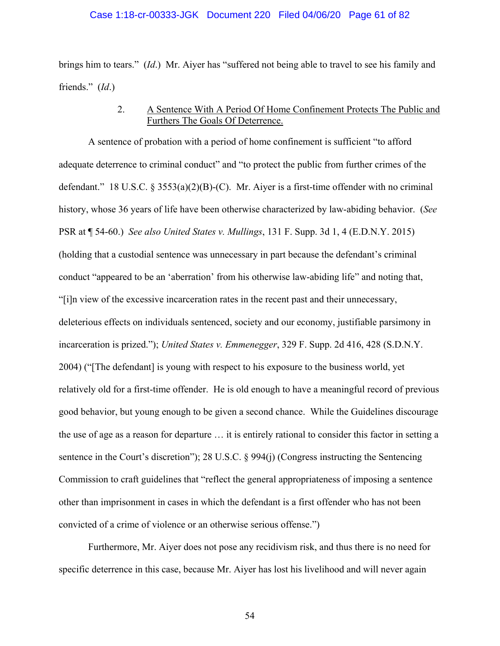brings him to tears." (*Id*.) Mr. Aiyer has "suffered not being able to travel to see his family and friends." (*Id*.)

# 2. A Sentence With A Period Of Home Confinement Protects The Public and Furthers The Goals Of Deterrence.

A sentence of probation with a period of home confinement is sufficient "to afford adequate deterrence to criminal conduct" and "to protect the public from further crimes of the defendant." 18 U.S.C. § 3553(a)(2)(B)-(C). Mr. Aiyer is a first-time offender with no criminal history, whose 36 years of life have been otherwise characterized by law-abiding behavior. (*See*  PSR at ¶ 54-60.) *See also United States v. Mullings*, 131 F. Supp. 3d 1, 4 (E.D.N.Y. 2015) (holding that a custodial sentence was unnecessary in part because the defendant's criminal conduct "appeared to be an 'aberration' from his otherwise law-abiding life" and noting that, "[i]n view of the excessive incarceration rates in the recent past and their unnecessary, deleterious effects on individuals sentenced, society and our economy, justifiable parsimony in incarceration is prized."); *United States v. Emmenegger*, 329 F. Supp. 2d 416, 428 (S.D.N.Y. 2004) ("[The defendant] is young with respect to his exposure to the business world, yet relatively old for a first-time offender. He is old enough to have a meaningful record of previous good behavior, but young enough to be given a second chance. While the Guidelines discourage the use of age as a reason for departure … it is entirely rational to consider this factor in setting a sentence in the Court's discretion"); 28 U.S.C. § 994(j) (Congress instructing the Sentencing Commission to craft guidelines that "reflect the general appropriateness of imposing a sentence other than imprisonment in cases in which the defendant is a first offender who has not been convicted of a crime of violence or an otherwise serious offense.")

Furthermore, Mr. Aiyer does not pose any recidivism risk, and thus there is no need for specific deterrence in this case, because Mr. Aiyer has lost his livelihood and will never again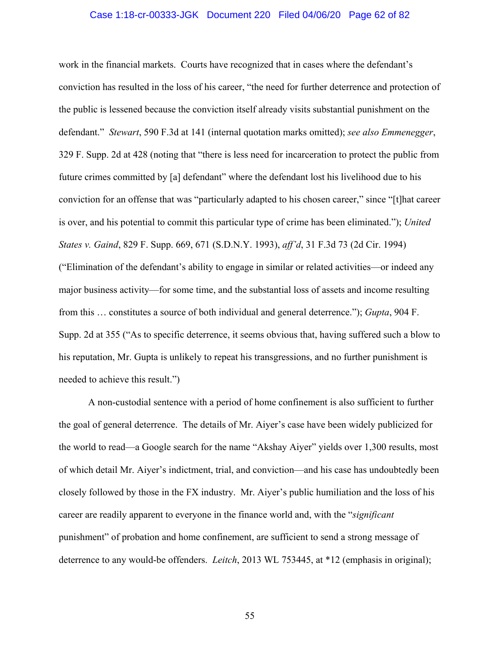#### Case 1:18-cr-00333-JGK Document 220 Filed 04/06/20 Page 62 of 82

work in the financial markets. Courts have recognized that in cases where the defendant's conviction has resulted in the loss of his career, "the need for further deterrence and protection of the public is lessened because the conviction itself already visits substantial punishment on the defendant." *Stewart*, 590 F.3d at 141 (internal quotation marks omitted); *see also Emmenegger*, 329 F. Supp. 2d at 428 (noting that "there is less need for incarceration to protect the public from future crimes committed by [a] defendant" where the defendant lost his livelihood due to his conviction for an offense that was "particularly adapted to his chosen career," since "[t]hat career is over, and his potential to commit this particular type of crime has been eliminated."); *United States v. Gaind*, 829 F. Supp. 669, 671 (S.D.N.Y. 1993), *aff'd*, 31 F.3d 73 (2d Cir. 1994) ("Elimination of the defendant's ability to engage in similar or related activities—or indeed any major business activity—for some time, and the substantial loss of assets and income resulting from this … constitutes a source of both individual and general deterrence."); *Gupta*, 904 F. Supp. 2d at 355 ("As to specific deterrence, it seems obvious that, having suffered such a blow to his reputation, Mr. Gupta is unlikely to repeat his transgressions, and no further punishment is needed to achieve this result.")

A non-custodial sentence with a period of home confinement is also sufficient to further the goal of general deterrence. The details of Mr. Aiyer's case have been widely publicized for the world to read—a Google search for the name "Akshay Aiyer" yields over 1,300 results, most of which detail Mr. Aiyer's indictment, trial, and conviction—and his case has undoubtedly been closely followed by those in the FX industry. Mr. Aiyer's public humiliation and the loss of his career are readily apparent to everyone in the finance world and, with the "*significant* punishment" of probation and home confinement, are sufficient to send a strong message of deterrence to any would-be offenders. *Leitch*, 2013 WL 753445, at \*12 (emphasis in original);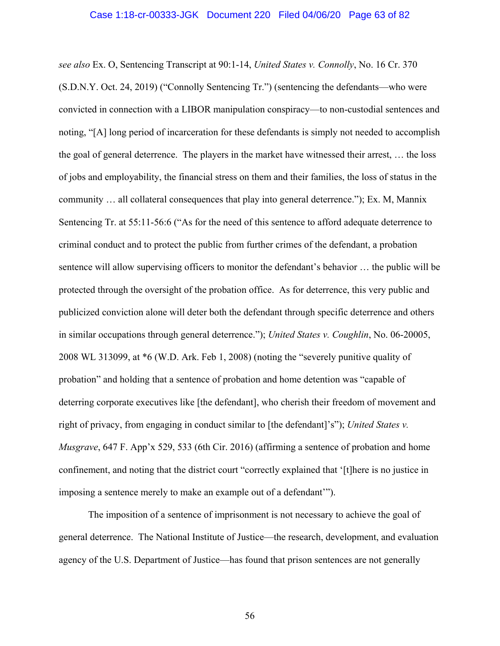*see also* Ex. O, Sentencing Transcript at 90:1-14, *United States v. Connolly*, No. 16 Cr. 370 (S.D.N.Y. Oct. 24, 2019) ("Connolly Sentencing Tr.") (sentencing the defendants—who were convicted in connection with a LIBOR manipulation conspiracy—to non-custodial sentences and noting, "[A] long period of incarceration for these defendants is simply not needed to accomplish the goal of general deterrence. The players in the market have witnessed their arrest, … the loss of jobs and employability, the financial stress on them and their families, the loss of status in the community … all collateral consequences that play into general deterrence."); Ex. M, Mannix Sentencing Tr. at 55:11-56:6 ("As for the need of this sentence to afford adequate deterrence to criminal conduct and to protect the public from further crimes of the defendant, a probation sentence will allow supervising officers to monitor the defendant's behavior … the public will be protected through the oversight of the probation office. As for deterrence, this very public and publicized conviction alone will deter both the defendant through specific deterrence and others in similar occupations through general deterrence."); *United States v. Coughlin*, No. 06-20005, 2008 WL 313099, at \*6 (W.D. Ark. Feb 1, 2008) (noting the "severely punitive quality of probation" and holding that a sentence of probation and home detention was "capable of deterring corporate executives like [the defendant], who cherish their freedom of movement and right of privacy, from engaging in conduct similar to [the defendant]'s"); *United States v. Musgrave*, 647 F. App'x 529, 533 (6th Cir. 2016) (affirming a sentence of probation and home confinement, and noting that the district court "correctly explained that '[t]here is no justice in imposing a sentence merely to make an example out of a defendant'").

The imposition of a sentence of imprisonment is not necessary to achieve the goal of general deterrence. The National Institute of Justice—the research, development, and evaluation agency of the U.S. Department of Justice—has found that prison sentences are not generally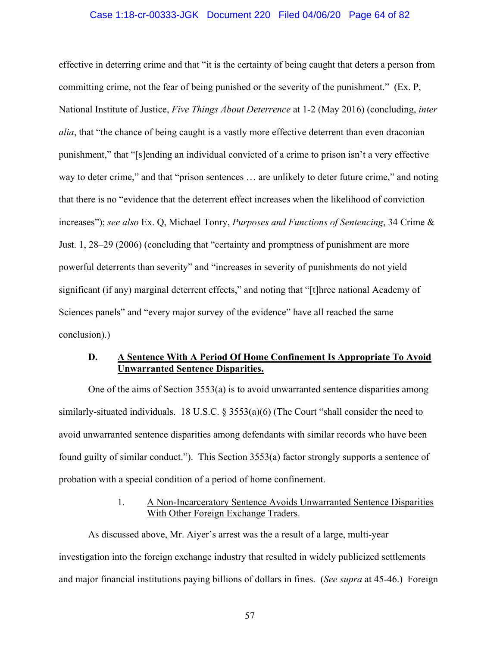#### Case 1:18-cr-00333-JGK Document 220 Filed 04/06/20 Page 64 of 82

effective in deterring crime and that "it is the certainty of being caught that deters a person from committing crime, not the fear of being punished or the severity of the punishment." (Ex. P, National Institute of Justice, *Five Things About Deterrence* at 1-2 (May 2016) (concluding, *inter alia*, that "the chance of being caught is a vastly more effective deterrent than even draconian punishment," that "[s]ending an individual convicted of a crime to prison isn't a very effective way to deter crime," and that "prison sentences … are unlikely to deter future crime," and noting that there is no "evidence that the deterrent effect increases when the likelihood of conviction increases"); *see also* Ex. Q, Michael Tonry, *Purposes and Functions of Sentencing*, 34 Crime & Just. 1, 28–29 (2006) (concluding that "certainty and promptness of punishment are more powerful deterrents than severity" and "increases in severity of punishments do not yield significant (if any) marginal deterrent effects," and noting that "[t]hree national Academy of Sciences panels" and "every major survey of the evidence" have all reached the same conclusion).)

## **D. A Sentence With A Period Of Home Confinement Is Appropriate To Avoid Unwarranted Sentence Disparities.**

One of the aims of Section 3553(a) is to avoid unwarranted sentence disparities among similarly-situated individuals. 18 U.S.C. § 3553(a)(6) (The Court "shall consider the need to avoid unwarranted sentence disparities among defendants with similar records who have been found guilty of similar conduct."). This Section 3553(a) factor strongly supports a sentence of probation with a special condition of a period of home confinement.

## 1. A Non-Incarceratory Sentence Avoids Unwarranted Sentence Disparities With Other Foreign Exchange Traders.

As discussed above, Mr. Aiyer's arrest was the a result of a large, multi-year investigation into the foreign exchange industry that resulted in widely publicized settlements and major financial institutions paying billions of dollars in fines. (*See supra* at 45-46.) Foreign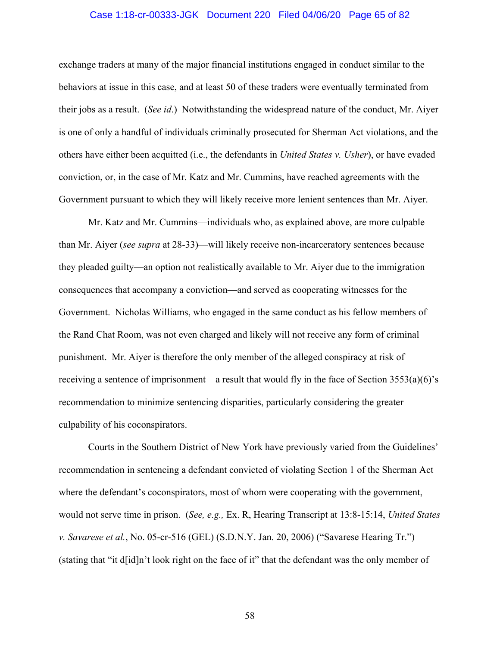#### Case 1:18-cr-00333-JGK Document 220 Filed 04/06/20 Page 65 of 82

exchange traders at many of the major financial institutions engaged in conduct similar to the behaviors at issue in this case, and at least 50 of these traders were eventually terminated from their jobs as a result. (*See id*.) Notwithstanding the widespread nature of the conduct, Mr. Aiyer is one of only a handful of individuals criminally prosecuted for Sherman Act violations, and the others have either been acquitted (i.e., the defendants in *United States v. Usher*), or have evaded conviction, or, in the case of Mr. Katz and Mr. Cummins, have reached agreements with the Government pursuant to which they will likely receive more lenient sentences than Mr. Aiyer.

Mr. Katz and Mr. Cummins—individuals who, as explained above, are more culpable than Mr. Aiyer (*see supra* at 28-33)—will likely receive non-incarceratory sentences because they pleaded guilty—an option not realistically available to Mr. Aiyer due to the immigration consequences that accompany a conviction—and served as cooperating witnesses for the Government. Nicholas Williams, who engaged in the same conduct as his fellow members of the Rand Chat Room, was not even charged and likely will not receive any form of criminal punishment. Mr. Aiyer is therefore the only member of the alleged conspiracy at risk of receiving a sentence of imprisonment—a result that would fly in the face of Section 3553(a)(6)'s recommendation to minimize sentencing disparities, particularly considering the greater culpability of his coconspirators.

Courts in the Southern District of New York have previously varied from the Guidelines' recommendation in sentencing a defendant convicted of violating Section 1 of the Sherman Act where the defendant's coconspirators, most of whom were cooperating with the government, would not serve time in prison. (*See, e.g.,* Ex. R, Hearing Transcript at 13:8-15:14, *United States v. Savarese et al.*, No. 05-cr-516 (GEL) (S.D.N.Y. Jan. 20, 2006) ("Savarese Hearing Tr.") (stating that "it d[id]n't look right on the face of it" that the defendant was the only member of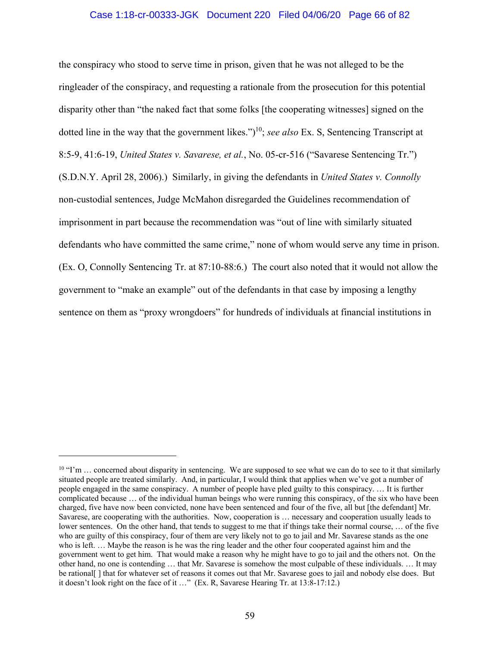### Case 1:18-cr-00333-JGK Document 220 Filed 04/06/20 Page 66 of 82

the conspiracy who stood to serve time in prison, given that he was not alleged to be the ringleader of the conspiracy, and requesting a rationale from the prosecution for this potential disparity other than "the naked fact that some folks [the cooperating witnesses] signed on the dotted line in the way that the government likes.")10; *see also* Ex. S, Sentencing Transcript at 8:5-9, 41:6-19, *United States v. Savarese, et al.*, No. 05-cr-516 ("Savarese Sentencing Tr.") (S.D.N.Y. April 28, 2006).) Similarly, in giving the defendants in *United States v. Connolly*  non-custodial sentences, Judge McMahon disregarded the Guidelines recommendation of imprisonment in part because the recommendation was "out of line with similarly situated defendants who have committed the same crime," none of whom would serve any time in prison. (Ex. O, Connolly Sentencing Tr. at 87:10-88:6.) The court also noted that it would not allow the government to "make an example" out of the defendants in that case by imposing a lengthy sentence on them as "proxy wrongdoers" for hundreds of individuals at financial institutions in

<sup>&</sup>lt;sup>10</sup> "I'm ... concerned about disparity in sentencing. We are supposed to see what we can do to see to it that similarly situated people are treated similarly. And, in particular, I would think that applies when we've got a number of people engaged in the same conspiracy. A number of people have pled guilty to this conspiracy. … It is further complicated because … of the individual human beings who were running this conspiracy, of the six who have been charged, five have now been convicted, none have been sentenced and four of the five, all but [the defendant] Mr. Savarese, are cooperating with the authorities. Now, cooperation is … necessary and cooperation usually leads to lower sentences. On the other hand, that tends to suggest to me that if things take their normal course, … of the five who are guilty of this conspiracy, four of them are very likely not to go to jail and Mr. Savarese stands as the one who is left. … Maybe the reason is he was the ring leader and the other four cooperated against him and the government went to get him. That would make a reason why he might have to go to jail and the others not. On the other hand, no one is contending … that Mr. Savarese is somehow the most culpable of these individuals. … It may be rational[ ] that for whatever set of reasons it comes out that Mr. Savarese goes to jail and nobody else does. But it doesn't look right on the face of it …" (Ex. R, Savarese Hearing Tr. at 13:8-17:12.)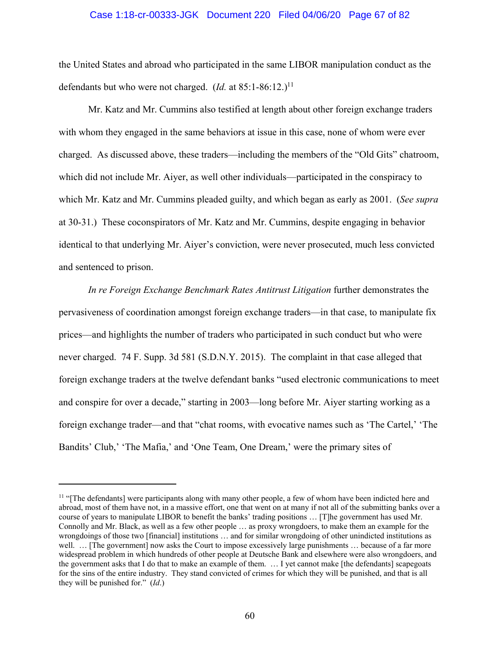#### Case 1:18-cr-00333-JGK Document 220 Filed 04/06/20 Page 67 of 82

the United States and abroad who participated in the same LIBOR manipulation conduct as the defendants but who were not charged. (*Id.* at  $85:1-86:12$ .)<sup>11</sup>

Mr. Katz and Mr. Cummins also testified at length about other foreign exchange traders with whom they engaged in the same behaviors at issue in this case, none of whom were ever charged. As discussed above, these traders—including the members of the "Old Gits" chatroom, which did not include Mr. Aiyer, as well other individuals—participated in the conspiracy to which Mr. Katz and Mr. Cummins pleaded guilty, and which began as early as 2001. (*See supra* at 30-31.) These coconspirators of Mr. Katz and Mr. Cummins, despite engaging in behavior identical to that underlying Mr. Aiyer's conviction, were never prosecuted, much less convicted and sentenced to prison.

*In re Foreign Exchange Benchmark Rates Antitrust Litigation* further demonstrates the pervasiveness of coordination amongst foreign exchange traders—in that case, to manipulate fix prices—and highlights the number of traders who participated in such conduct but who were never charged. 74 F. Supp. 3d 581 (S.D.N.Y. 2015). The complaint in that case alleged that foreign exchange traders at the twelve defendant banks "used electronic communications to meet and conspire for over a decade," starting in 2003—long before Mr. Aiyer starting working as a foreign exchange trader—and that "chat rooms, with evocative names such as 'The Cartel,' 'The Bandits' Club,' 'The Mafia,' and 'One Team, One Dream,' were the primary sites of

<sup>&</sup>lt;sup>11</sup> "[The defendants] were participants along with many other people, a few of whom have been indicted here and abroad, most of them have not, in a massive effort, one that went on at many if not all of the submitting banks over a course of years to manipulate LIBOR to benefit the banks' trading positions … [T]he government has used Mr. Connolly and Mr. Black, as well as a few other people … as proxy wrongdoers, to make them an example for the wrongdoings of those two [financial] institutions … and for similar wrongdoing of other unindicted institutions as well. ... [The government] now asks the Court to impose excessively large punishments ... because of a far more widespread problem in which hundreds of other people at Deutsche Bank and elsewhere were also wrongdoers, and the government asks that I do that to make an example of them. … I yet cannot make [the defendants] scapegoats for the sins of the entire industry. They stand convicted of crimes for which they will be punished, and that is all they will be punished for." (*Id*.)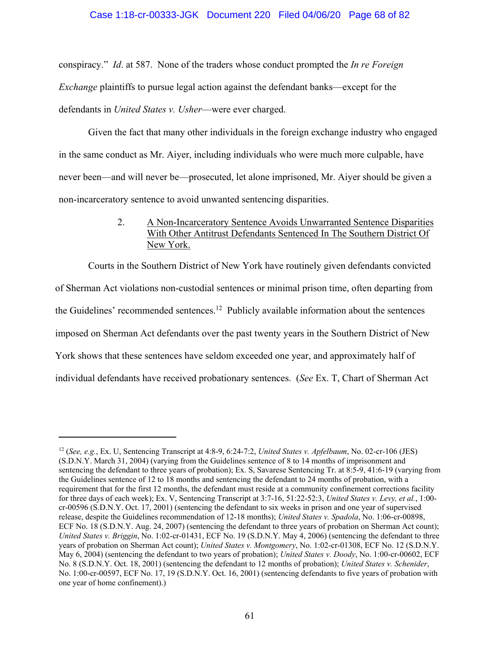### Case 1:18-cr-00333-JGK Document 220 Filed 04/06/20 Page 68 of 82

conspiracy." *Id*. at 587. None of the traders whose conduct prompted the *In re Foreign Exchange* plaintiffs to pursue legal action against the defendant banks—except for the defendants in *United States v. Usher*—were ever charged.

Given the fact that many other individuals in the foreign exchange industry who engaged in the same conduct as Mr. Aiyer, including individuals who were much more culpable, have never been—and will never be—prosecuted, let alone imprisoned, Mr. Aiyer should be given a non-incarceratory sentence to avoid unwanted sentencing disparities.

# 2. A Non-Incarceratory Sentence Avoids Unwarranted Sentence Disparities With Other Antitrust Defendants Sentenced In The Southern District Of New York.

Courts in the Southern District of New York have routinely given defendants convicted of Sherman Act violations non-custodial sentences or minimal prison time, often departing from the Guidelines' recommended sentences.<sup>12</sup> Publicly available information about the sentences imposed on Sherman Act defendants over the past twenty years in the Southern District of New York shows that these sentences have seldom exceeded one year, and approximately half of individual defendants have received probationary sentences. (*See* Ex. T, Chart of Sherman Act

<sup>12 (</sup>*See, e.g.*, Ex. U, Sentencing Transcript at 4:8-9, 6:24-7:2, *United States v. Apfelbaum*, No. 02-cr-106 (JES) (S.D.N.Y. March 31, 2004) (varying from the Guidelines sentence of 8 to 14 months of imprisonment and sentencing the defendant to three years of probation); Ex. S, Savarese Sentencing Tr. at 8:5-9, 41:6-19 (varying from the Guidelines sentence of 12 to 18 months and sentencing the defendant to 24 months of probation, with a requirement that for the first 12 months, the defendant must reside at a community confinement corrections facility for three days of each week); Ex. V, Sentencing Transcript at 3:7-16, 51:22-52:3, *United States v. Levy, et al.*, 1:00 cr-00596 (S.D.N.Y. Oct. 17, 2001) (sentencing the defendant to six weeks in prison and one year of supervised release, despite the Guidelines recommendation of 12-18 months); *United States v. Spadola*, No. 1:06-cr-00898, ECF No. 18 (S.D.N.Y. Aug. 24, 2007) (sentencing the defendant to three years of probation on Sherman Act count); *United States v. Briggin*, No. 1:02-cr-01431, ECF No. 19 (S.D.N.Y. May 4, 2006) (sentencing the defendant to three years of probation on Sherman Act count); *United States v. Montgomery*, No. 1:02-cr-01308, ECF No. 12 (S.D.N.Y. May 6, 2004) (sentencing the defendant to two years of probation); *United States v. Doody*, No. 1:00-cr-00602, ECF No. 8 (S.D.N.Y. Oct. 18, 2001) (sentencing the defendant to 12 months of probation); *United States v. Schenider*, No. 1:00-cr-00597, ECF No. 17, 19 (S.D.N.Y. Oct. 16, 2001) (sentencing defendants to five years of probation with one year of home confinement).)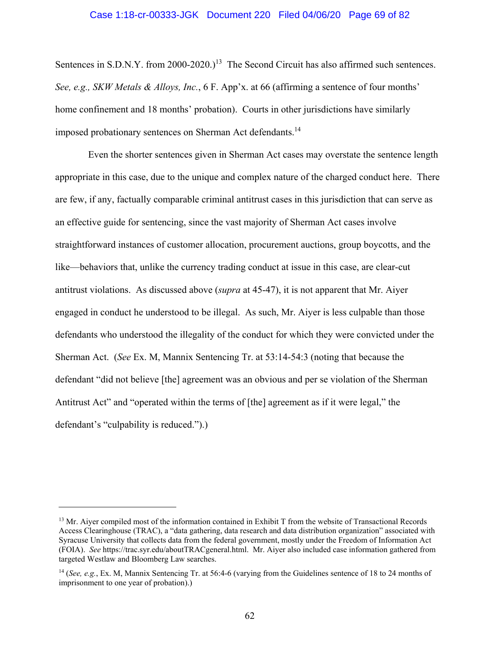#### Case 1:18-cr-00333-JGK Document 220 Filed 04/06/20 Page 69 of 82

Sentences in S.D.N.Y. from 2000-2020.)<sup>13</sup> The Second Circuit has also affirmed such sentences. *See, e.g., SKW Metals & Alloys, Inc.*, 6 F. App'x. at 66 (affirming a sentence of four months' home confinement and 18 months' probation). Courts in other jurisdictions have similarly imposed probationary sentences on Sherman Act defendants.<sup>14</sup>

Even the shorter sentences given in Sherman Act cases may overstate the sentence length appropriate in this case, due to the unique and complex nature of the charged conduct here. There are few, if any, factually comparable criminal antitrust cases in this jurisdiction that can serve as an effective guide for sentencing, since the vast majority of Sherman Act cases involve straightforward instances of customer allocation, procurement auctions, group boycotts, and the like—behaviors that, unlike the currency trading conduct at issue in this case, are clear-cut antitrust violations. As discussed above (*supra* at 45-47), it is not apparent that Mr. Aiyer engaged in conduct he understood to be illegal. As such, Mr. Aiyer is less culpable than those defendants who understood the illegality of the conduct for which they were convicted under the Sherman Act. (*See* Ex. M, Mannix Sentencing Tr. at 53:14-54:3 (noting that because the defendant "did not believe [the] agreement was an obvious and per se violation of the Sherman Antitrust Act" and "operated within the terms of [the] agreement as if it were legal," the defendant's "culpability is reduced.").)

<sup>&</sup>lt;sup>13</sup> Mr. Aiyer compiled most of the information contained in Exhibit T from the website of Transactional Records Access Clearinghouse (TRAC), a "data gathering, data research and data distribution organization" associated with Syracuse University that collects data from the federal government, mostly under the Freedom of Information Act (FOIA). *See* https://trac.syr.edu/aboutTRACgeneral.html. Mr. Aiyer also included case information gathered from targeted Westlaw and Bloomberg Law searches.

<sup>14 (</sup>*See, e.g.*, Ex. M, Mannix Sentencing Tr. at 56:4-6 (varying from the Guidelines sentence of 18 to 24 months of imprisonment to one year of probation).)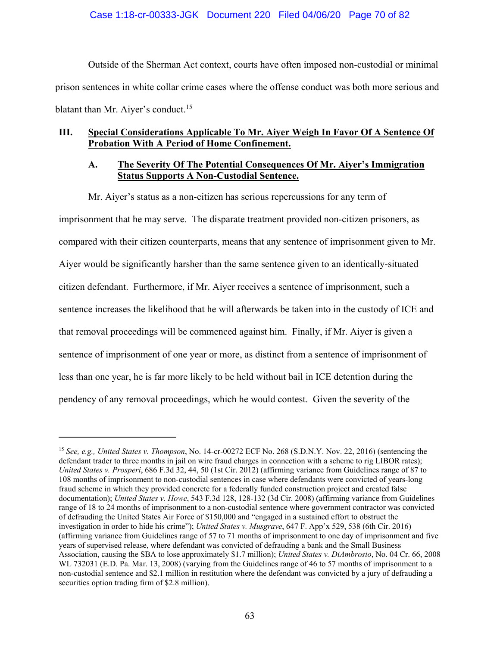Outside of the Sherman Act context, courts have often imposed non-custodial or minimal prison sentences in white collar crime cases where the offense conduct was both more serious and blatant than Mr. Aiver's conduct.<sup>15</sup>

# **III. Special Considerations Applicable To Mr. Aiyer Weigh In Favor Of A Sentence Of Probation With A Period of Home Confinement.**

# **A. The Severity Of The Potential Consequences Of Mr. Aiyer's Immigration Status Supports A Non-Custodial Sentence.**

Mr. Aiyer's status as a non-citizen has serious repercussions for any term of imprisonment that he may serve. The disparate treatment provided non-citizen prisoners, as compared with their citizen counterparts, means that any sentence of imprisonment given to Mr. Aiyer would be significantly harsher than the same sentence given to an identically-situated citizen defendant. Furthermore, if Mr. Aiyer receives a sentence of imprisonment, such a sentence increases the likelihood that he will afterwards be taken into in the custody of ICE and that removal proceedings will be commenced against him. Finally, if Mr. Aiyer is given a sentence of imprisonment of one year or more, as distinct from a sentence of imprisonment of less than one year, he is far more likely to be held without bail in ICE detention during the pendency of any removal proceedings, which he would contest. Given the severity of the

<sup>15</sup> *See, e.g., United States v. Thompson*, No. 14-cr-00272 ECF No. 268 (S.D.N.Y. Nov. 22, 2016) (sentencing the defendant trader to three months in jail on wire fraud charges in connection with a scheme to rig LIBOR rates); *United States v. Prosperi*, 686 F.3d 32, 44, 50 (1st Cir. 2012) (affirming variance from Guidelines range of 87 to 108 months of imprisonment to non-custodial sentences in case where defendants were convicted of years-long fraud scheme in which they provided concrete for a federally funded construction project and created false documentation); *United States v. Howe*, 543 F.3d 128, 128-132 (3d Cir. 2008) (affirming variance from Guidelines range of 18 to 24 months of imprisonment to a non-custodial sentence where government contractor was convicted of defrauding the United States Air Force of \$150,000 and "engaged in a sustained effort to obstruct the investigation in order to hide his crime"); *United States v. Musgrave*, 647 F. App'x 529, 538 (6th Cir. 2016) (affirming variance from Guidelines range of 57 to 71 months of imprisonment to one day of imprisonment and five years of supervised release, where defendant was convicted of defrauding a bank and the Small Business Association, causing the SBA to lose approximately \$1.7 million); *United States v. DiAmbrosio*, No. 04 Cr. 66, 2008 WL 732031 (E.D. Pa. Mar. 13, 2008) (varying from the Guidelines range of 46 to 57 months of imprisonment to a non-custodial sentence and \$2.1 million in restitution where the defendant was convicted by a jury of defrauding a securities option trading firm of \$2.8 million).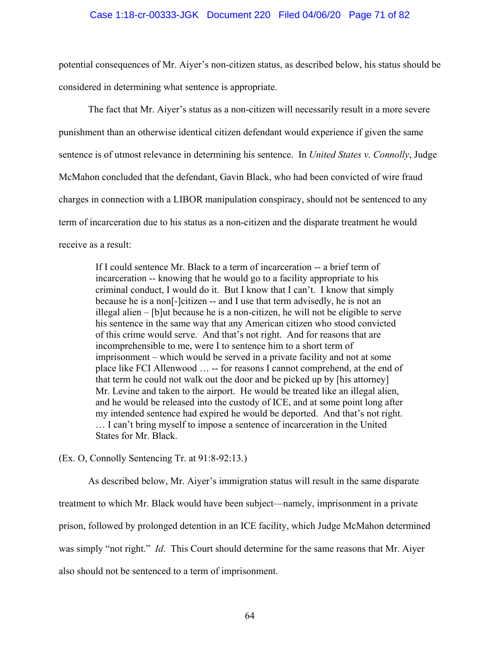### Case 1:18-cr-00333-JGK Document 220 Filed 04/06/20 Page 71 of 82

potential consequences of Mr. Aiyer's non-citizen status, as described below, his status should be considered in determining what sentence is appropriate.

The fact that Mr. Aiyer's status as a non-citizen will necessarily result in a more severe punishment than an otherwise identical citizen defendant would experience if given the same sentence is of utmost relevance in determining his sentence. In *United States v. Connolly*, Judge McMahon concluded that the defendant, Gavin Black, who had been convicted of wire fraud charges in connection with a LIBOR manipulation conspiracy, should not be sentenced to any term of incarceration due to his status as a non-citizen and the disparate treatment he would receive as a result:

If I could sentence Mr. Black to a term of incarceration -- a brief term of incarceration -- knowing that he would go to a facility appropriate to his criminal conduct, I would do it. But I know that I can't. I know that simply because he is a non[-]citizen -- and I use that term advisedly, he is not an illegal alien – [b]ut because he is a non-citizen, he will not be eligible to serve his sentence in the same way that any American citizen who stood convicted of this crime would serve. And that's not right. And for reasons that are incomprehensible to me, were I to sentence him to a short term of imprisonment – which would be served in a private facility and not at some place like FCI Allenwood … -- for reasons I cannot comprehend, at the end of that term he could not walk out the door and be picked up by [his attorney] Mr. Levine and taken to the airport. He would be treated like an illegal alien, and he would be released into the custody of ICE, and at some point long after my intended sentence had expired he would be deported. And that's not right. … I can't bring myself to impose a sentence of incarceration in the United States for Mr. Black.

### (Ex. O, Connolly Sentencing Tr. at 91:8-92:13.)

As described below, Mr. Aiyer's immigration status will result in the same disparate treatment to which Mr. Black would have been subject—namely, imprisonment in a private prison, followed by prolonged detention in an ICE facility, which Judge McMahon determined was simply "not right." *Id*. This Court should determine for the same reasons that Mr. Aiyer also should not be sentenced to a term of imprisonment.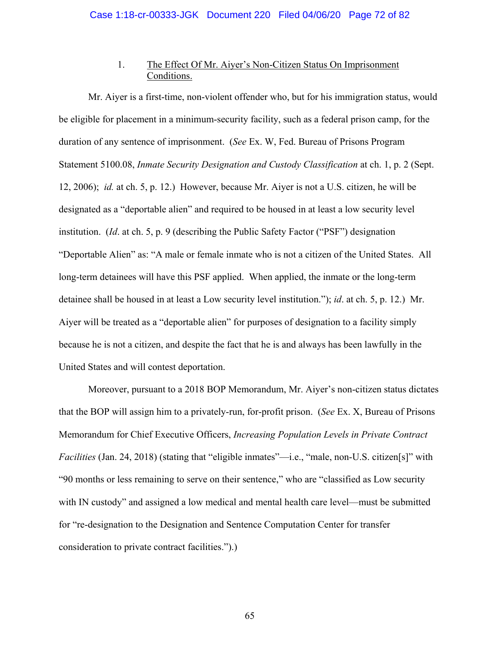# 1. The Effect Of Mr. Aiyer's Non-Citizen Status On Imprisonment Conditions.

Mr. Aiyer is a first-time, non-violent offender who, but for his immigration status, would be eligible for placement in a minimum-security facility, such as a federal prison camp, for the duration of any sentence of imprisonment. (*See* Ex. W, Fed. Bureau of Prisons Program Statement 5100.08, *Inmate Security Designation and Custody Classification* at ch. 1, p. 2 (Sept. 12, 2006); *id.* at ch. 5, p. 12.) However, because Mr. Aiyer is not a U.S. citizen, he will be designated as a "deportable alien" and required to be housed in at least a low security level institution. (*Id*. at ch. 5, p. 9 (describing the Public Safety Factor ("PSF") designation "Deportable Alien" as: "A male or female inmate who is not a citizen of the United States. All long-term detainees will have this PSF applied. When applied, the inmate or the long-term detainee shall be housed in at least a Low security level institution."); *id*. at ch. 5, p. 12.) Mr. Aiyer will be treated as a "deportable alien" for purposes of designation to a facility simply because he is not a citizen, and despite the fact that he is and always has been lawfully in the United States and will contest deportation.

Moreover, pursuant to a 2018 BOP Memorandum, Mr. Aiyer's non-citizen status dictates that the BOP will assign him to a privately-run, for-profit prison. (*See* Ex. X, Bureau of Prisons Memorandum for Chief Executive Officers, *Increasing Population Levels in Private Contract Facilities* (Jan. 24, 2018) (stating that "eligible inmates"—i.e., "male, non-U.S. citizen[s]" with "90 months or less remaining to serve on their sentence," who are "classified as Low security with IN custody" and assigned a low medical and mental health care level—must be submitted for "re-designation to the Designation and Sentence Computation Center for transfer consideration to private contract facilities.").)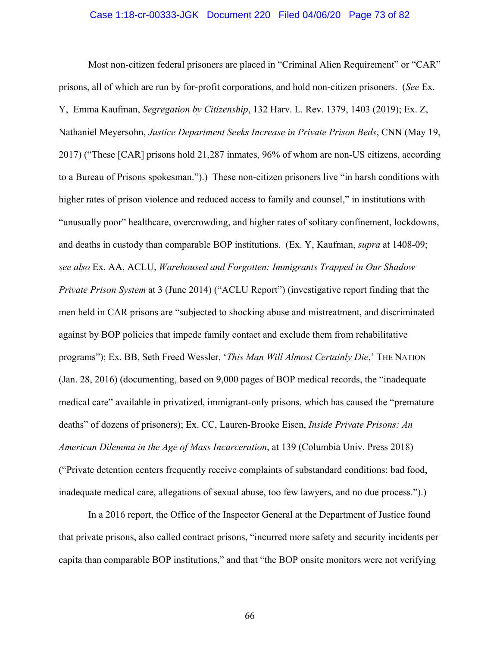### Case 1:18-cr-00333-JGK Document 220 Filed 04/06/20 Page 73 of 82

Most non-citizen federal prisoners are placed in "Criminal Alien Requirement" or "CAR" prisons, all of which are run by for-profit corporations, and hold non-citizen prisoners. (*See* Ex. Y, Emma Kaufman, *Segregation by Citizenship*, 132 Harv. L. Rev. 1379, 1403 (2019); Ex. Z, Nathaniel Meyersohn, *Justice Department Seeks Increase in Private Prison Beds*, CNN (May 19, 2017) ("These [CAR] prisons hold 21,287 inmates, 96% of whom are non-US citizens, according to a Bureau of Prisons spokesman.").) These non-citizen prisoners live "in harsh conditions with higher rates of prison violence and reduced access to family and counsel," in institutions with "unusually poor" healthcare, overcrowding, and higher rates of solitary confinement, lockdowns, and deaths in custody than comparable BOP institutions. (Ex. Y, Kaufman, *supra* at 1408-09; *see also* Ex. AA, ACLU, *Warehoused and Forgotten: Immigrants Trapped in Our Shadow Private Prison System* at 3 (June 2014) ("ACLU Report") (investigative report finding that the men held in CAR prisons are "subjected to shocking abuse and mistreatment, and discriminated against by BOP policies that impede family contact and exclude them from rehabilitative programs"); Ex. BB, Seth Freed Wessler, '*This Man Will Almost Certainly Die*,' THE NATION (Jan. 28, 2016) (documenting, based on 9,000 pages of BOP medical records, the "inadequate medical care" available in privatized, immigrant-only prisons, which has caused the "premature deaths" of dozens of prisoners); Ex. CC, Lauren-Brooke Eisen, *Inside Private Prisons: An American Dilemma in the Age of Mass Incarceration*, at 139 (Columbia Univ. Press 2018) ("Private detention centers frequently receive complaints of substandard conditions: bad food, inadequate medical care, allegations of sexual abuse, too few lawyers, and no due process.").)

In a 2016 report, the Office of the Inspector General at the Department of Justice found that private prisons, also called contract prisons, "incurred more safety and security incidents per capita than comparable BOP institutions," and that "the BOP onsite monitors were not verifying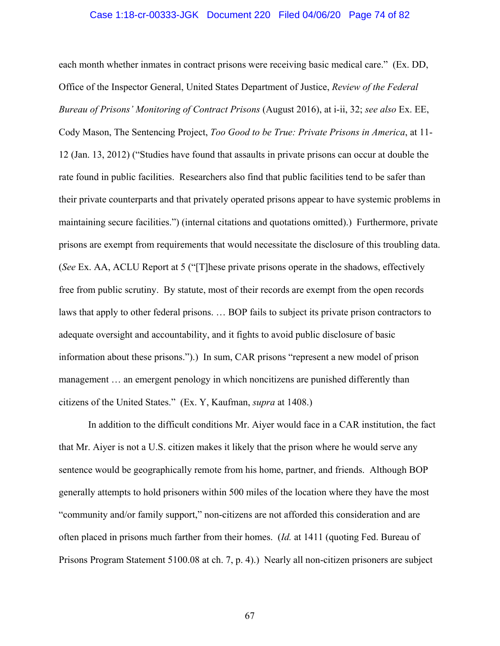#### Case 1:18-cr-00333-JGK Document 220 Filed 04/06/20 Page 74 of 82

each month whether inmates in contract prisons were receiving basic medical care." (Ex. DD, Office of the Inspector General, United States Department of Justice, *Review of the Federal Bureau of Prisons' Monitoring of Contract Prisons* (August 2016), at i-ii, 32; *see also* Ex. EE, Cody Mason, The Sentencing Project, *Too Good to be True: Private Prisons in America*, at 11- 12 (Jan. 13, 2012) ("Studies have found that assaults in private prisons can occur at double the rate found in public facilities. Researchers also find that public facilities tend to be safer than their private counterparts and that privately operated prisons appear to have systemic problems in maintaining secure facilities.") (internal citations and quotations omitted).) Furthermore, private prisons are exempt from requirements that would necessitate the disclosure of this troubling data. (*See* Ex. AA, ACLU Report at 5 ("[T]hese private prisons operate in the shadows, effectively free from public scrutiny. By statute, most of their records are exempt from the open records laws that apply to other federal prisons. … BOP fails to subject its private prison contractors to adequate oversight and accountability, and it fights to avoid public disclosure of basic information about these prisons.").) In sum, CAR prisons "represent a new model of prison management … an emergent penology in which noncitizens are punished differently than citizens of the United States." (Ex. Y, Kaufman, *supra* at 1408.)

In addition to the difficult conditions Mr. Aiyer would face in a CAR institution, the fact that Mr. Aiyer is not a U.S. citizen makes it likely that the prison where he would serve any sentence would be geographically remote from his home, partner, and friends. Although BOP generally attempts to hold prisoners within 500 miles of the location where they have the most "community and/or family support," non-citizens are not afforded this consideration and are often placed in prisons much farther from their homes. (*Id.* at 1411 (quoting Fed. Bureau of Prisons Program Statement 5100.08 at ch. 7, p. 4).) Nearly all non-citizen prisoners are subject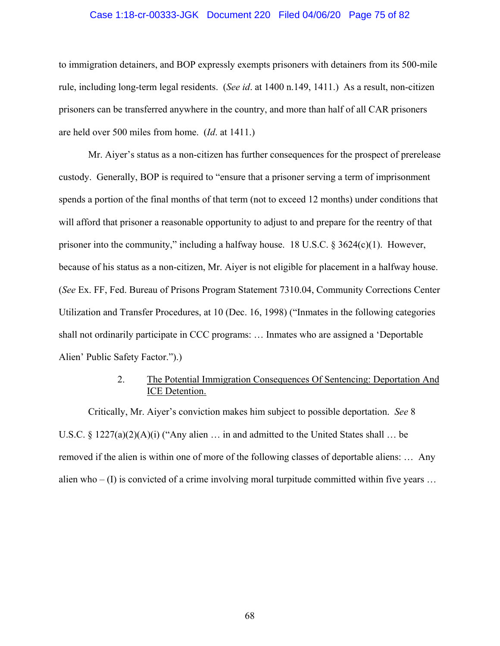# Case 1:18-cr-00333-JGK Document 220 Filed 04/06/20 Page 75 of 82

to immigration detainers, and BOP expressly exempts prisoners with detainers from its 500-mile rule, including long-term legal residents. (*See id*. at 1400 n.149, 1411.) As a result, non-citizen prisoners can be transferred anywhere in the country, and more than half of all CAR prisoners are held over 500 miles from home. (*Id*. at 1411.)

Mr. Aiyer's status as a non-citizen has further consequences for the prospect of prerelease custody. Generally, BOP is required to "ensure that a prisoner serving a term of imprisonment spends a portion of the final months of that term (not to exceed 12 months) under conditions that will afford that prisoner a reasonable opportunity to adjust to and prepare for the reentry of that prisoner into the community," including a halfway house. 18 U.S.C. § 3624(c)(1). However, because of his status as a non-citizen, Mr. Aiyer is not eligible for placement in a halfway house. (*See* Ex. FF, Fed. Bureau of Prisons Program Statement 7310.04, Community Corrections Center Utilization and Transfer Procedures, at 10 (Dec. 16, 1998) ("Inmates in the following categories shall not ordinarily participate in CCC programs: … Inmates who are assigned a 'Deportable Alien' Public Safety Factor.").)

# 2. The Potential Immigration Consequences Of Sentencing: Deportation And ICE Detention.

Critically, Mr. Aiyer's conviction makes him subject to possible deportation. *See* 8 U.S.C. § 1227(a)(2)(A)(i) ("Any alien  $\ldots$  in and admitted to the United States shall  $\ldots$  be removed if the alien is within one of more of the following classes of deportable aliens: … Any alien who  $- (I)$  is convicted of a crime involving moral turpitude committed within five years ...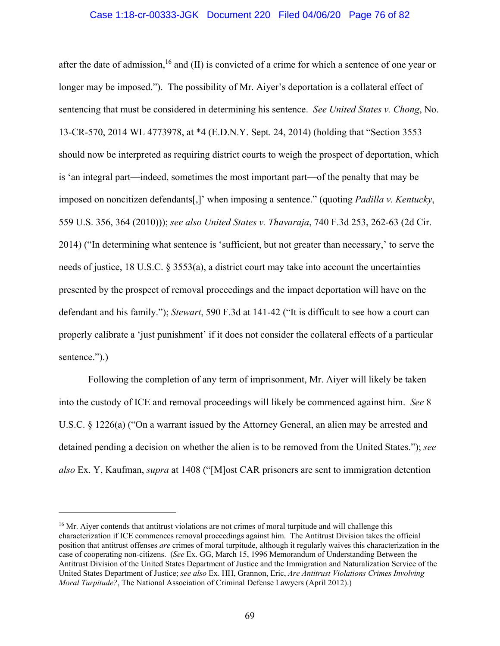# Case 1:18-cr-00333-JGK Document 220 Filed 04/06/20 Page 76 of 82

after the date of admission,  $16$  and (II) is convicted of a crime for which a sentence of one year or longer may be imposed."). The possibility of Mr. Aiyer's deportation is a collateral effect of sentencing that must be considered in determining his sentence. *See United States v. Chong*, No. 13-CR-570, 2014 WL 4773978, at \*4 (E.D.N.Y. Sept. 24, 2014) (holding that "Section 3553 should now be interpreted as requiring district courts to weigh the prospect of deportation, which is 'an integral part—indeed, sometimes the most important part—of the penalty that may be imposed on noncitizen defendants[,]' when imposing a sentence." (quoting *Padilla v. Kentucky*, 559 U.S. 356, 364 (2010))); *see also United States v. Thavaraja*, 740 F.3d 253, 262-63 (2d Cir. 2014) ("In determining what sentence is 'sufficient, but not greater than necessary,' to serve the needs of justice, 18 U.S.C. § 3553(a), a district court may take into account the uncertainties presented by the prospect of removal proceedings and the impact deportation will have on the defendant and his family."); *Stewart*, 590 F.3d at 141-42 ("It is difficult to see how a court can properly calibrate a 'just punishment' if it does not consider the collateral effects of a particular sentence.").)

Following the completion of any term of imprisonment, Mr. Aiyer will likely be taken into the custody of ICE and removal proceedings will likely be commenced against him. *See* 8 U.S.C. § 1226(a) ("On a warrant issued by the Attorney General, an alien may be arrested and detained pending a decision on whether the alien is to be removed from the United States."); *see also* Ex. Y, Kaufman, *supra* at 1408 ("[M]ost CAR prisoners are sent to immigration detention

<u>.</u>

<sup>&</sup>lt;sup>16</sup> Mr. Aiyer contends that antitrust violations are not crimes of moral turpitude and will challenge this characterization if ICE commences removal proceedings against him. The Antitrust Division takes the official position that antitrust offenses *are* crimes of moral turpitude, although it regularly waives this characterization in the case of cooperating non-citizens. (*See* Ex. GG, March 15, 1996 Memorandum of Understanding Between the Antitrust Division of the United States Department of Justice and the Immigration and Naturalization Service of the United States Department of Justice; *see also* Ex. HH, Grannon, Eric, *Are Antitrust Violations Crimes Involving Moral Turpitude?*, The National Association of Criminal Defense Lawyers (April 2012).)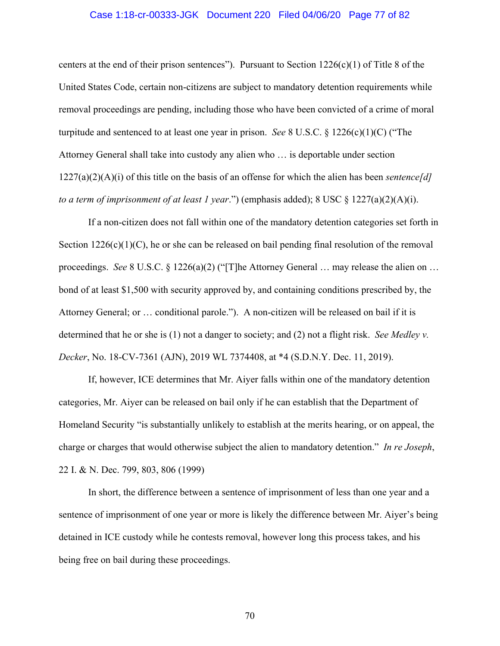# Case 1:18-cr-00333-JGK Document 220 Filed 04/06/20 Page 77 of 82

centers at the end of their prison sentences"). Pursuant to Section  $1226(c)(1)$  of Title 8 of the United States Code, certain non-citizens are subject to mandatory detention requirements while removal proceedings are pending, including those who have been convicted of a crime of moral turpitude and sentenced to at least one year in prison. *See* 8 U.S.C. § 1226(c)(1)(C) ("The Attorney General shall take into custody any alien who … is deportable under section 1227(a)(2)(A)(i) of this title on the basis of an offense for which the alien has been *sentence[d] to a term of imprisonment of at least 1 year*.") (emphasis added); 8 USC § 1227(a)(2)(A)(i).

If a non-citizen does not fall within one of the mandatory detention categories set forth in Section  $1226(c)(1)(C)$ , he or she can be released on bail pending final resolution of the removal proceedings. *See* 8 U.S.C. § 1226(a)(2) ("[T]he Attorney General … may release the alien on … bond of at least \$1,500 with security approved by, and containing conditions prescribed by, the Attorney General; or … conditional parole."). A non-citizen will be released on bail if it is determined that he or she is (1) not a danger to society; and (2) not a flight risk. *See Medley v. Decker*, No. 18-CV-7361 (AJN), 2019 WL 7374408, at \*4 (S.D.N.Y. Dec. 11, 2019).

If, however, ICE determines that Mr. Aiyer falls within one of the mandatory detention categories, Mr. Aiyer can be released on bail only if he can establish that the Department of Homeland Security "is substantially unlikely to establish at the merits hearing, or on appeal, the charge or charges that would otherwise subject the alien to mandatory detention." *In re Joseph*, 22 I. & N. Dec. 799, 803, 806 (1999)

In short, the difference between a sentence of imprisonment of less than one year and a sentence of imprisonment of one year or more is likely the difference between Mr. Aiyer's being detained in ICE custody while he contests removal, however long this process takes, and his being free on bail during these proceedings.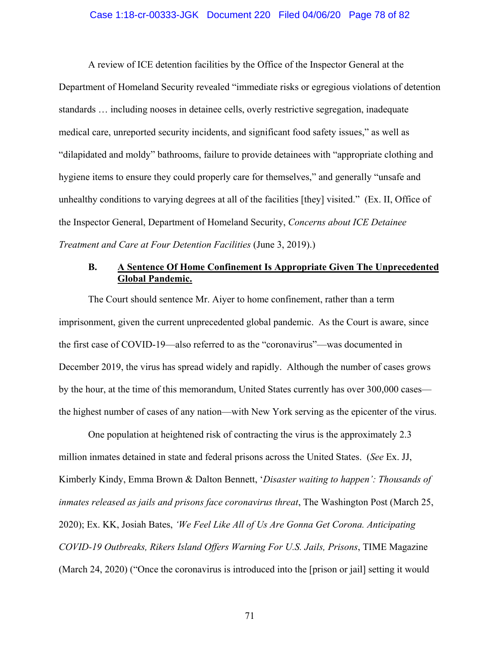### Case 1:18-cr-00333-JGK Document 220 Filed 04/06/20 Page 78 of 82

A review of ICE detention facilities by the Office of the Inspector General at the Department of Homeland Security revealed "immediate risks or egregious violations of detention standards … including nooses in detainee cells, overly restrictive segregation, inadequate medical care, unreported security incidents, and significant food safety issues," as well as "dilapidated and moldy" bathrooms, failure to provide detainees with "appropriate clothing and hygiene items to ensure they could properly care for themselves," and generally "unsafe and unhealthy conditions to varying degrees at all of the facilities [they] visited." (Ex. II, Office of the Inspector General, Department of Homeland Security, *Concerns about ICE Detainee Treatment and Care at Four Detention Facilities* (June 3, 2019).)

# **B. A Sentence Of Home Confinement Is Appropriate Given The Unprecedented Global Pandemic.**

The Court should sentence Mr. Aiyer to home confinement, rather than a term imprisonment, given the current unprecedented global pandemic. As the Court is aware, since the first case of COVID-19—also referred to as the "coronavirus"—was documented in December 2019, the virus has spread widely and rapidly. Although the number of cases grows by the hour, at the time of this memorandum, United States currently has over 300,000 cases the highest number of cases of any nation—with New York serving as the epicenter of the virus.

One population at heightened risk of contracting the virus is the approximately 2.3 million inmates detained in state and federal prisons across the United States. (*See* Ex. JJ, Kimberly Kindy, Emma Brown & Dalton Bennett, '*Disaster waiting to happen': Thousands of inmates released as jails and prisons face coronavirus threat*, The Washington Post (March 25, 2020); Ex. KK, Josiah Bates, *'We Feel Like All of Us Are Gonna Get Corona. Anticipating COVID-19 Outbreaks, Rikers Island Offers Warning For U.S. Jails, Prisons*, TIME Magazine (March 24, 2020) ("Once the coronavirus is introduced into the [prison or jail] setting it would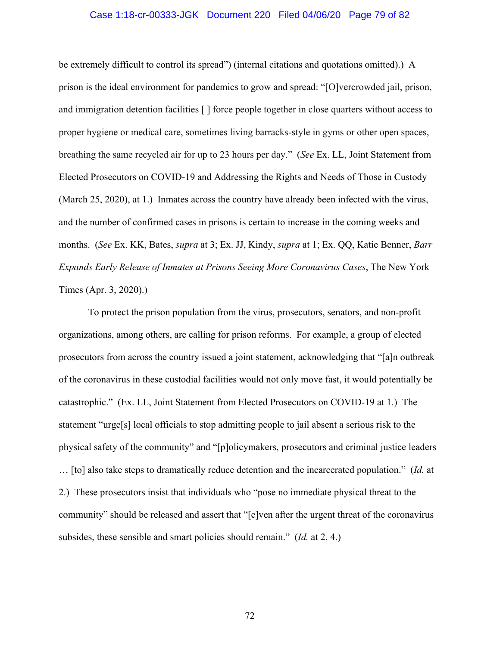### Case 1:18-cr-00333-JGK Document 220 Filed 04/06/20 Page 79 of 82

be extremely difficult to control its spread") (internal citations and quotations omitted).)A prison is the ideal environment for pandemics to grow and spread: "[O]vercrowded jail, prison, and immigration detention facilities [ ] force people together in close quarters without access to proper hygiene or medical care, sometimes living barracks-style in gyms or other open spaces, breathing the same recycled air for up to 23 hours per day." (*See* Ex. LL, Joint Statement from Elected Prosecutors on COVID-19 and Addressing the Rights and Needs of Those in Custody (March 25, 2020), at 1.) Inmates across the country have already been infected with the virus, and the number of confirmed cases in prisons is certain to increase in the coming weeks and months. (*See* Ex. KK, Bates, *supra* at 3; Ex. JJ, Kindy, *supra* at 1; Ex. QQ, Katie Benner, *Barr Expands Early Release of Inmates at Prisons Seeing More Coronavirus Cases*, The New York Times (Apr. 3, 2020).)

To protect the prison population from the virus, prosecutors, senators, and non-profit organizations, among others, are calling for prison reforms. For example, a group of elected prosecutors from across the country issued a joint statement, acknowledging that "[a]n outbreak of the coronavirus in these custodial facilities would not only move fast, it would potentially be catastrophic." (Ex. LL, Joint Statement from Elected Prosecutors on COVID-19 at 1*.*) The statement "urge[s] local officials to stop admitting people to jail absent a serious risk to the physical safety of the community" and "[p]olicymakers, prosecutors and criminal justice leaders … [to] also take steps to dramatically reduce detention and the incarcerated population." (*Id.* at 2.) These prosecutors insist that individuals who "pose no immediate physical threat to the community" should be released and assert that "[e]ven after the urgent threat of the coronavirus subsides, these sensible and smart policies should remain." (*Id.* at 2, 4.)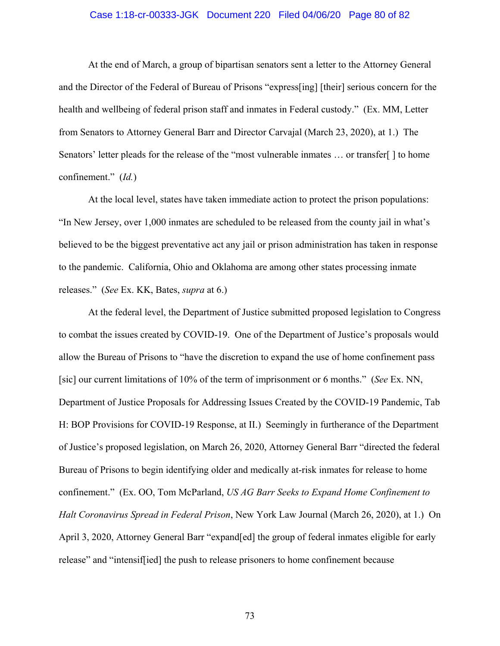# Case 1:18-cr-00333-JGK Document 220 Filed 04/06/20 Page 80 of 82

At the end of March, a group of bipartisan senators sent a letter to the Attorney General and the Director of the Federal of Bureau of Prisons "express[ing] [their] serious concern for the health and wellbeing of federal prison staff and inmates in Federal custody." (Ex. MM, Letter from Senators to Attorney General Barr and Director Carvajal (March 23, 2020), at 1.) The Senators' letter pleads for the release of the "most vulnerable inmates … or transfer[ ] to home confinement." (*Id.*)

At the local level, states have taken immediate action to protect the prison populations: "In New Jersey, over 1,000 inmates are scheduled to be released from the county jail in what's believed to be the biggest preventative act any jail or prison administration has taken in response to the pandemic. California, Ohio and Oklahoma are among other states processing inmate releases." (*See* Ex. KK, Bates, *supra* at 6.)

At the federal level, the Department of Justice submitted proposed legislation to Congress to combat the issues created by COVID-19. One of the Department of Justice's proposals would allow the Bureau of Prisons to "have the discretion to expand the use of home confinement pass [sic] our current limitations of 10% of the term of imprisonment or 6 months." (*See* Ex. NN, Department of Justice Proposals for Addressing Issues Created by the COVID-19 Pandemic, Tab H: BOP Provisions for COVID-19 Response, at II.) Seemingly in furtherance of the Department of Justice's proposed legislation, on March 26, 2020, Attorney General Barr "directed the federal Bureau of Prisons to begin identifying older and medically at-risk inmates for release to home confinement." (Ex. OO, Tom McParland, *US AG Barr Seeks to Expand Home Confinement to Halt Coronavirus Spread in Federal Prison*, New York Law Journal (March 26, 2020), at 1.) On April 3, 2020, Attorney General Barr "expand[ed] the group of federal inmates eligible for early release" and "intensif[ied] the push to release prisoners to home confinement because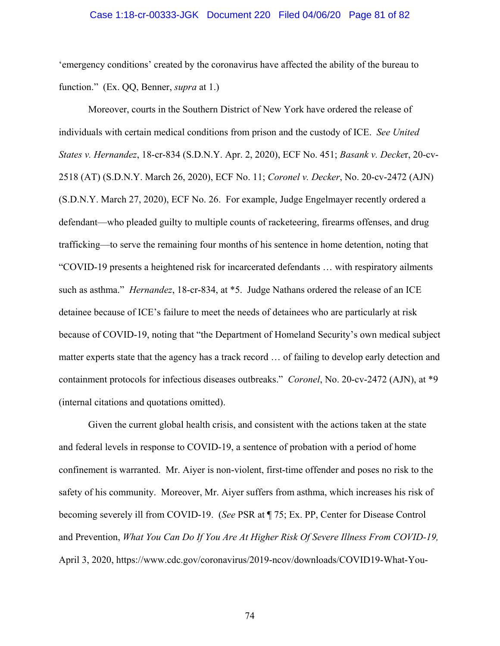### Case 1:18-cr-00333-JGK Document 220 Filed 04/06/20 Page 81 of 82

'emergency conditions' created by the coronavirus have affected the ability of the bureau to function." (Ex. QQ, Benner, *supra* at 1.)

Moreover, courts in the Southern District of New York have ordered the release of individuals with certain medical conditions from prison and the custody of ICE. *See United States v. Hernandez*, 18-cr-834 (S.D.N.Y. Apr. 2, 2020), ECF No. 451; *Basank v. Decke*r, 20-cv-2518 (AT) (S.D.N.Y. March 26, 2020), ECF No. 11; *Coronel v. Decker*, No. 20-cv-2472 (AJN) (S.D.N.Y. March 27, 2020), ECF No. 26. For example, Judge Engelmayer recently ordered a defendant—who pleaded guilty to multiple counts of racketeering, firearms offenses, and drug trafficking—to serve the remaining four months of his sentence in home detention, noting that "COVID-19 presents a heightened risk for incarcerated defendants … with respiratory ailments such as asthma." *Hernandez*, 18-cr-834, at \*5. Judge Nathans ordered the release of an ICE detainee because of ICE's failure to meet the needs of detainees who are particularly at risk because of COVID-19, noting that "the Department of Homeland Security's own medical subject matter experts state that the agency has a track record … of failing to develop early detection and containment protocols for infectious diseases outbreaks." *Coronel*, No. 20-cv-2472 (AJN), at \*9 (internal citations and quotations omitted).

Given the current global health crisis, and consistent with the actions taken at the state and federal levels in response to COVID-19, a sentence of probation with a period of home confinement is warranted. Mr. Aiyer is non-violent, first-time offender and poses no risk to the safety of his community. Moreover, Mr. Aiyer suffers from asthma, which increases his risk of becoming severely ill from COVID-19. (*See* PSR at ¶ 75; Ex. PP, Center for Disease Control and Prevention, *What You Can Do If You Are At Higher Risk Of Severe Illness From COVID-19,*  April 3, 2020, https://www.cdc.gov/coronavirus/2019-ncov/downloads/COVID19-What-You-